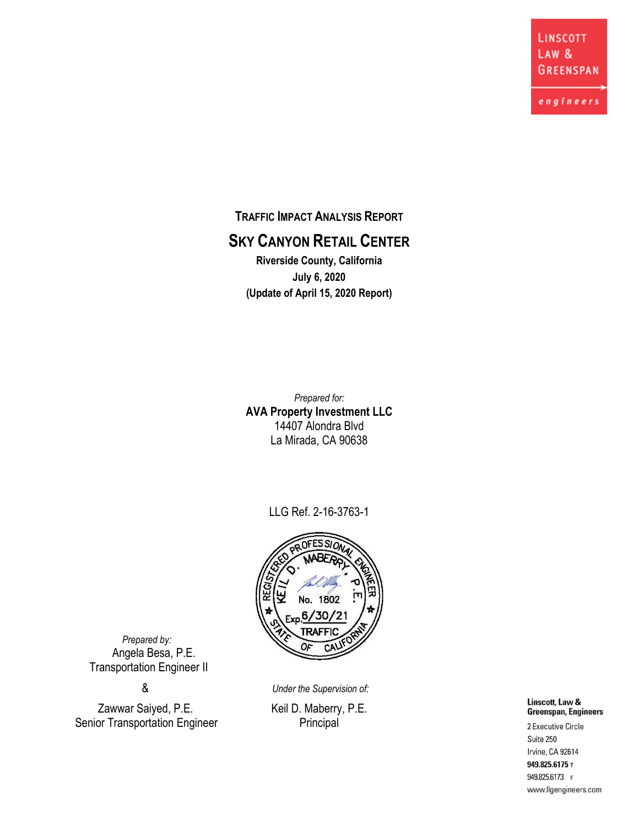**LINSCOTT LAW & GREENSPAN** 

engineers

**TRAFFIC IMPACT ANALYSIS REPORT SKY CANYON RETAIL CENTER Riverside County, California**

**July 6, 2020 (Update of April 15, 2020 Report)**

*Prepared for:* **AVA Property Investment LLC** 14407 Alondra Blvd La Mirada, CA 90638

LLG Ref. 2-16-3763-1



 *Prepared by:* Angela Besa, P.E. Transportation Engineer II

Zawwar Saiyed, P.E. Keil D. Maberry, P.E. Senior Transportation Engineer Principal

& *Under the Supervision of:*

Linscott, Law & Greenspan, Engineers 2 Executive Circle Suite 250 Irvine, CA 92614

949.825.6175 T 949.825.6173 F www.llgengineers.com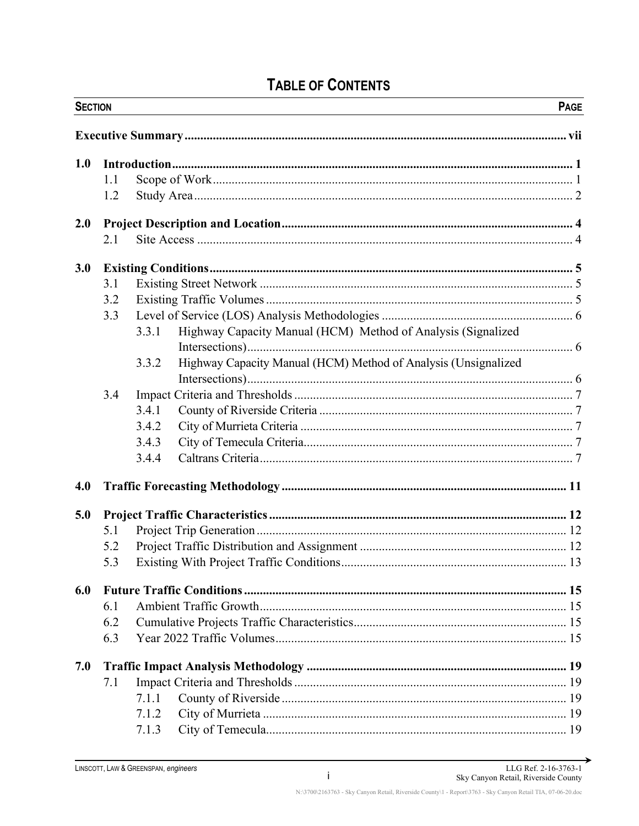| <b>SECTION</b> |     |       |                                                                | <b>PAGE</b> |
|----------------|-----|-------|----------------------------------------------------------------|-------------|
|                |     |       |                                                                |             |
| 1.0            |     |       |                                                                |             |
|                | 1.1 |       |                                                                |             |
|                | 1.2 |       |                                                                |             |
| 2.0            |     |       |                                                                |             |
|                | 2.1 |       |                                                                |             |
| 3.0            |     |       |                                                                |             |
|                | 3.1 |       |                                                                |             |
|                | 3.2 |       |                                                                |             |
|                | 3.3 |       |                                                                |             |
|                |     | 3.3.1 | Highway Capacity Manual (HCM) Method of Analysis (Signalized   |             |
|                |     |       |                                                                |             |
|                |     | 3.3.2 | Highway Capacity Manual (HCM) Method of Analysis (Unsignalized |             |
|                | 3.4 |       |                                                                |             |
|                |     | 3.4.1 |                                                                |             |
|                |     | 3.4.2 |                                                                |             |
|                |     | 3.4.3 |                                                                |             |
|                |     | 3.4.4 |                                                                |             |
| 4.0            |     |       |                                                                |             |
| 5.0            |     |       |                                                                |             |
|                | 5.1 |       |                                                                |             |
|                | 5.2 |       |                                                                |             |
|                | 5.3 |       |                                                                |             |
| 6.0            |     |       |                                                                |             |
|                | 6.1 |       |                                                                |             |
|                | 6.2 |       |                                                                |             |
|                | 6.3 |       |                                                                |             |
| 7.0            |     |       |                                                                |             |
|                | 7.1 |       |                                                                |             |
|                |     | 7.1.1 |                                                                |             |
|                |     | 7.1.2 |                                                                |             |
|                |     | 7.1.3 |                                                                |             |

# **TABLE OF CONTENTS**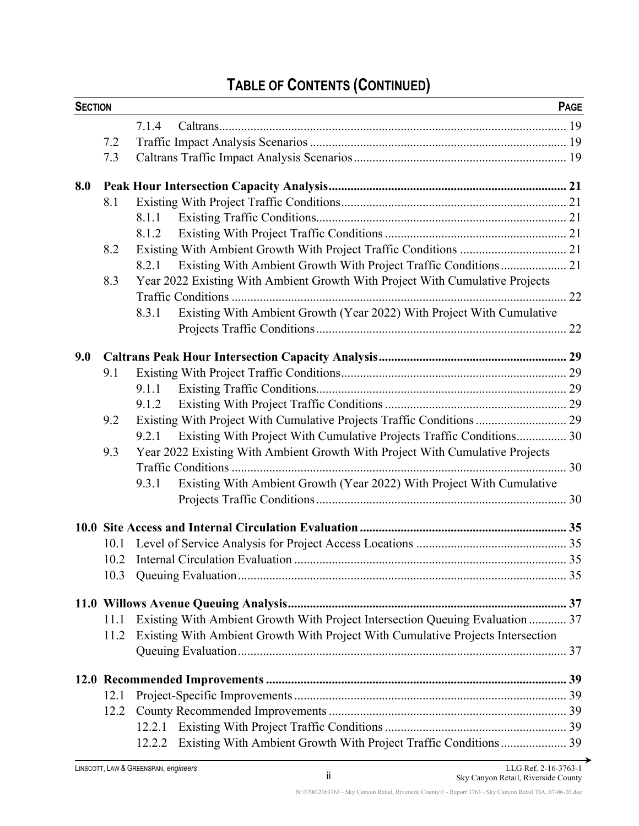# **TABLE OF CONTENTS (CONTINUED)**

| <b>SECTION</b> |      |       |                                                                                 | <b>PAGE</b> |
|----------------|------|-------|---------------------------------------------------------------------------------|-------------|
|                |      | 7.1.4 |                                                                                 |             |
|                | 7.2  |       |                                                                                 |             |
|                | 7.3  |       |                                                                                 |             |
| 8.0            |      |       |                                                                                 |             |
|                | 8.1  |       |                                                                                 |             |
|                |      | 8.1.1 |                                                                                 |             |
|                |      | 8.1.2 |                                                                                 |             |
|                | 8.2  |       |                                                                                 |             |
|                |      | 8.2.1 | Existing With Ambient Growth With Project Traffic Conditions 21                 |             |
|                | 8.3  |       | Year 2022 Existing With Ambient Growth With Project With Cumulative Projects    |             |
|                |      |       |                                                                                 |             |
|                |      | 8.3.1 | Existing With Ambient Growth (Year 2022) With Project With Cumulative           |             |
|                |      |       |                                                                                 |             |
| 9.0            |      |       |                                                                                 |             |
|                | 9.1  |       |                                                                                 |             |
|                |      | 9.1.1 |                                                                                 |             |
|                |      | 9.1.2 |                                                                                 |             |
|                | 9.2  |       | Existing With Project With Cumulative Projects Traffic Conditions  29           |             |
|                |      | 9.2.1 | Existing With Project With Cumulative Projects Traffic Conditions 30            |             |
|                | 9.3  |       | Year 2022 Existing With Ambient Growth With Project With Cumulative Projects    |             |
|                |      |       |                                                                                 |             |
|                |      | 9.3.1 | Existing With Ambient Growth (Year 2022) With Project With Cumulative           |             |
|                |      |       |                                                                                 |             |
|                |      |       |                                                                                 |             |
|                | 10.1 |       |                                                                                 |             |
|                |      |       |                                                                                 |             |
|                | 10.3 |       |                                                                                 |             |
|                |      |       |                                                                                 |             |
|                | 11.1 |       | Existing With Ambient Growth With Project Intersection Queuing Evaluation  37   |             |
|                | 11.2 |       | Existing With Ambient Growth With Project With Cumulative Projects Intersection |             |
|                |      |       |                                                                                 |             |
|                |      |       |                                                                                 |             |
|                | 12.1 |       |                                                                                 |             |
|                | 12.2 |       |                                                                                 |             |
|                |      |       |                                                                                 |             |
|                |      |       | 12.2.2 Existing With Ambient Growth With Project Traffic Conditions 39          |             |

→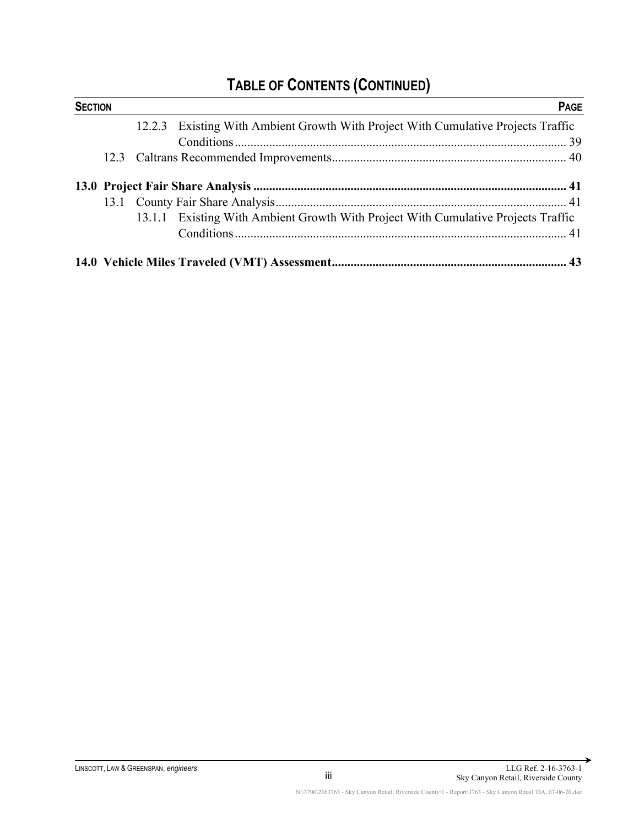# **TABLE OF CONTENTS (CONTINUED)**

| <b>SECTION</b> |  |                                                                                   | <b>PAGE</b> |
|----------------|--|-----------------------------------------------------------------------------------|-------------|
|                |  | 12.2.3 Existing With Ambient Growth With Project With Cumulative Projects Traffic |             |
|                |  |                                                                                   |             |
|                |  |                                                                                   |             |
|                |  |                                                                                   |             |
|                |  |                                                                                   |             |
|                |  | 13.1.1 Existing With Ambient Growth With Project With Cumulative Projects Traffic |             |
|                |  |                                                                                   |             |
|                |  |                                                                                   |             |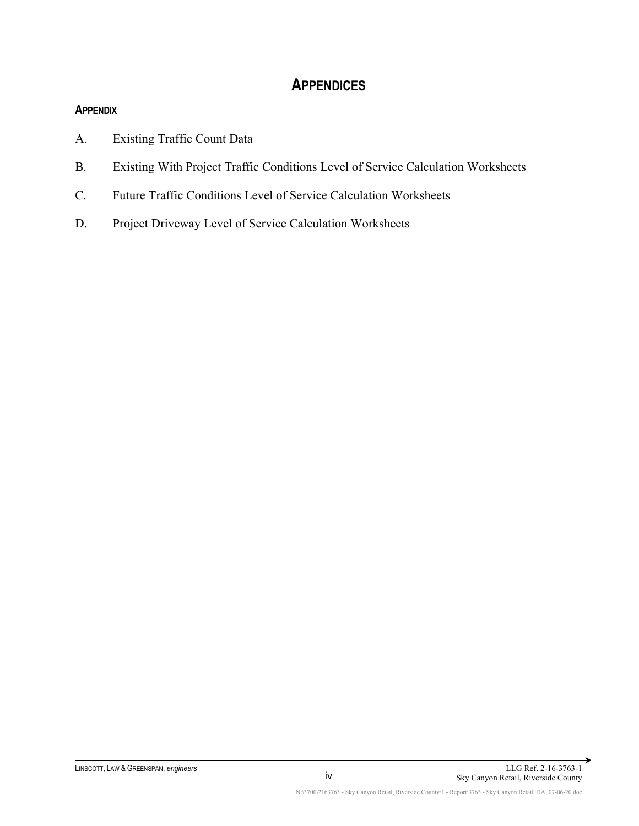#### **APPENDIX**

- A. Existing Traffic Count Data
- B. Existing With Project Traffic Conditions Level of Service Calculation Worksheets
- C. Future Traffic Conditions Level of Service Calculation Worksheets
- D. Project Driveway Level of Service Calculation Worksheets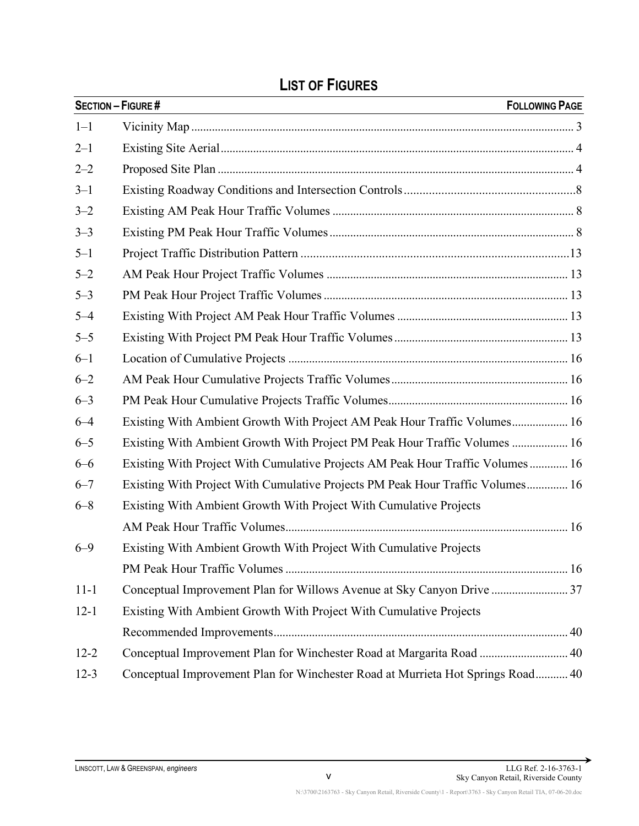|          | <b>SECTION - FIGURE #</b><br><b>FOLLOWING PAGE</b>                              |
|----------|---------------------------------------------------------------------------------|
| $1 - 1$  |                                                                                 |
| $2 - 1$  |                                                                                 |
| $2 - 2$  |                                                                                 |
| $3 - 1$  |                                                                                 |
| $3 - 2$  |                                                                                 |
| $3 - 3$  |                                                                                 |
| $5 - 1$  |                                                                                 |
| $5 - 2$  |                                                                                 |
| $5 - 3$  |                                                                                 |
| $5 - 4$  |                                                                                 |
| $5 - 5$  |                                                                                 |
| $6 - 1$  |                                                                                 |
| $6 - 2$  |                                                                                 |
| $6 - 3$  |                                                                                 |
| $6 - 4$  | Existing With Ambient Growth With Project AM Peak Hour Traffic Volumes 16       |
| $6 - 5$  | Existing With Ambient Growth With Project PM Peak Hour Traffic Volumes  16      |
| $6 - 6$  | Existing With Project With Cumulative Projects AM Peak Hour Traffic Volumes 16  |
| $6 - 7$  | Existing With Project With Cumulative Projects PM Peak Hour Traffic Volumes 16  |
| $6 - 8$  | Existing With Ambient Growth With Project With Cumulative Projects              |
|          |                                                                                 |
| $6 - 9$  | Existing With Ambient Growth With Project With Cumulative Projects              |
|          |                                                                                 |
| $11 - 1$ | Conceptual Improvement Plan for Willows Avenue at Sky Canyon Drive  37          |
| $12 - 1$ | Existing With Ambient Growth With Project With Cumulative Projects              |
|          |                                                                                 |
| $12 - 2$ | Conceptual Improvement Plan for Winchester Road at Margarita Road  40           |
| $12-3$   | Conceptual Improvement Plan for Winchester Road at Murrieta Hot Springs Road 40 |

# **LIST OF FIGURES**

→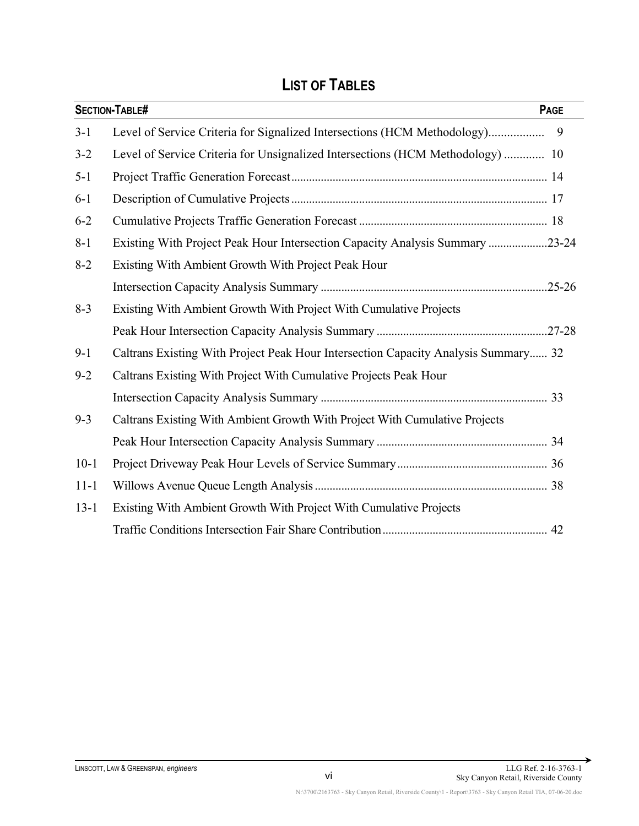# **LIST OF TABLES**

|          | <b>SECTION-TABLE#</b><br>PAGE                                                      |
|----------|------------------------------------------------------------------------------------|
| $3-1$    | Level of Service Criteria for Signalized Intersections (HCM Methodology)<br>9      |
| $3 - 2$  | Level of Service Criteria for Unsignalized Intersections (HCM Methodology)  10     |
| $5 - 1$  |                                                                                    |
| $6-1$    |                                                                                    |
| $6 - 2$  |                                                                                    |
| $8 - 1$  | Existing With Project Peak Hour Intersection Capacity Analysis Summary 23-24       |
| $8 - 2$  | Existing With Ambient Growth With Project Peak Hour                                |
|          |                                                                                    |
| $8 - 3$  | Existing With Ambient Growth With Project With Cumulative Projects                 |
|          |                                                                                    |
| $9-1$    | Caltrans Existing With Project Peak Hour Intersection Capacity Analysis Summary 32 |
| $9 - 2$  | Caltrans Existing With Project With Cumulative Projects Peak Hour                  |
|          |                                                                                    |
| $9 - 3$  | Caltrans Existing With Ambient Growth With Project With Cumulative Projects        |
|          |                                                                                    |
| $10-1$   |                                                                                    |
| $11 - 1$ |                                                                                    |
| $13 - 1$ | Existing With Ambient Growth With Project With Cumulative Projects                 |
|          |                                                                                    |

→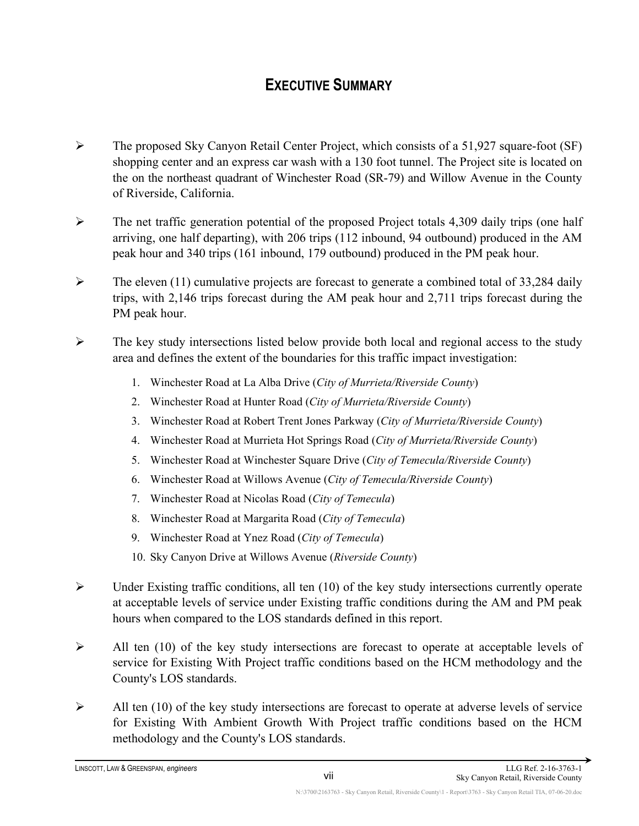# **EXECUTIVE SUMMARY**

- $\triangleright$  The proposed Sky Canyon Retail Center Project, which consists of a 51,927 square-foot (SF) shopping center and an express car wash with a 130 foot tunnel. The Project site is located on the on the northeast quadrant of Winchester Road (SR-79) and Willow Avenue in the County of Riverside, California.
- $\triangleright$  The net traffic generation potential of the proposed Project totals 4,309 daily trips (one half arriving, one half departing), with 206 trips (112 inbound, 94 outbound) produced in the AM peak hour and 340 trips (161 inbound, 179 outbound) produced in the PM peak hour.
- $\triangleright$  The eleven (11) cumulative projects are forecast to generate a combined total of 33,284 daily trips, with 2,146 trips forecast during the AM peak hour and 2,711 trips forecast during the PM peak hour.
- $\triangleright$  The key study intersections listed below provide both local and regional access to the study area and defines the extent of the boundaries for this traffic impact investigation:
	- 1. Winchester Road at La Alba Drive (*City of Murrieta/Riverside County*)
	- 2. Winchester Road at Hunter Road (*City of Murrieta/Riverside County*)
	- 3. Winchester Road at Robert Trent Jones Parkway (*City of Murrieta/Riverside County*)
	- 4. Winchester Road at Murrieta Hot Springs Road (*City of Murrieta/Riverside County*)
	- 5. Winchester Road at Winchester Square Drive (*City of Temecula/Riverside County*)
	- 6. Winchester Road at Willows Avenue (*City of Temecula/Riverside County*)
	- 7. Winchester Road at Nicolas Road (*City of Temecula*)
	- 8. Winchester Road at Margarita Road (*City of Temecula*)
	- 9. Winchester Road at Ynez Road (*City of Temecula*)
	- 10. Sky Canyon Drive at Willows Avenue (*Riverside County*)
- $\triangleright$  Under Existing traffic conditions, all ten (10) of the key study intersections currently operate at acceptable levels of service under Existing traffic conditions during the AM and PM peak hours when compared to the LOS standards defined in this report.
- $\triangleright$  All ten (10) of the key study intersections are forecast to operate at acceptable levels of service for Existing With Project traffic conditions based on the HCM methodology and the County's LOS standards.
- $\triangleright$  All ten (10) of the key study intersections are forecast to operate at adverse levels of service for Existing With Ambient Growth With Project traffic conditions based on the HCM methodology and the County's LOS standards.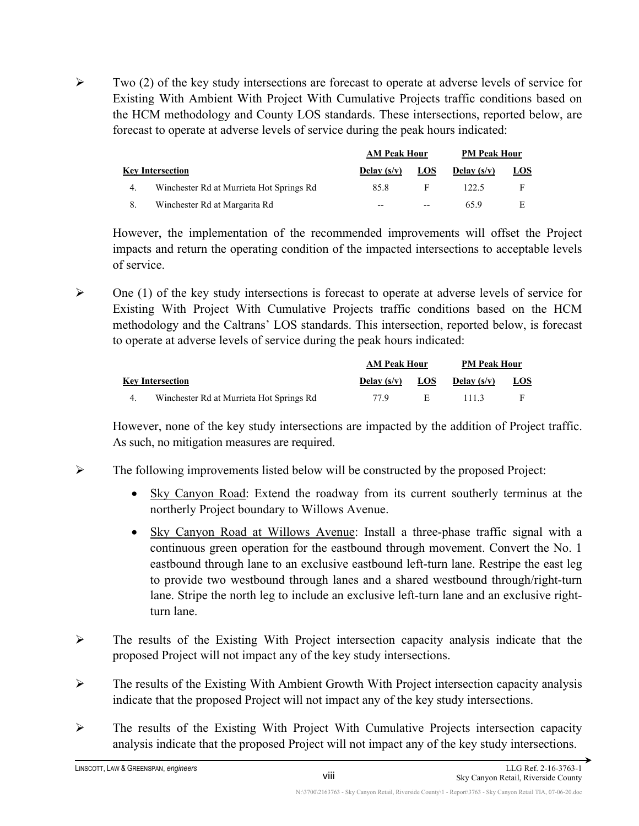$\triangleright$  Two (2) of the key study intersections are forecast to operate at adverse levels of service for Existing With Ambient With Project With Cumulative Projects traffic conditions based on the HCM methodology and County LOS standards. These intersections, reported below, are forecast to operate at adverse levels of service during the peak hours indicated:

|    |                                          | <b>AM Peak Hour</b> |            | <b>PM Peak Hour</b> |            |
|----|------------------------------------------|---------------------|------------|---------------------|------------|
|    | <b>Key Intersection</b>                  | Delay $(s/v)$       | <b>LOS</b> | Delay $(s/v)$       | <b>LOS</b> |
| 4. | Winchester Rd at Murrieta Hot Springs Rd | 85.8                | F          | 122.5               | F          |
| 8. | Winchester Rd at Margarita Rd            | $- -$               | --         | 65.9                | E          |

However, the implementation of the recommended improvements will offset the Project impacts and return the operating condition of the impacted intersections to acceptable levels of service.

 $\triangleright$  One (1) of the key study intersections is forecast to operate at adverse levels of service for Existing With Project With Cumulative Projects traffic conditions based on the HCM methodology and the Caltrans' LOS standards. This intersection, reported below, is forecast to operate at adverse levels of service during the peak hours indicated:

|                                          | <b>AM Peak Hour</b> |            | <b>PM Peak Hour</b> |            |
|------------------------------------------|---------------------|------------|---------------------|------------|
| <b>Key Intersection</b>                  | Delay $(s/v)$       | <b>LOS</b> | Delay $(s/v)$       | <u>LOS</u> |
| Winchester Rd at Murrieta Hot Springs Rd | 77 9                | н.         | 1113                |            |

However, none of the key study intersections are impacted by the addition of Project traffic. As such, no mitigation measures are required.

- $\triangleright$  The following improvements listed below will be constructed by the proposed Project:
	- Sky Canyon Road: Extend the roadway from its current southerly terminus at the northerly Project boundary to Willows Avenue.
	- Sky Canyon Road at Willows Avenue: Install a three-phase traffic signal with a continuous green operation for the eastbound through movement. Convert the No. 1 eastbound through lane to an exclusive eastbound left-turn lane. Restripe the east leg to provide two westbound through lanes and a shared westbound through/right-turn lane. Stripe the north leg to include an exclusive left-turn lane and an exclusive rightturn lane.
- $\triangleright$  The results of the Existing With Project intersection capacity analysis indicate that the proposed Project will not impact any of the key study intersections.
- $\triangleright$  The results of the Existing With Ambient Growth With Project intersection capacity analysis indicate that the proposed Project will not impact any of the key study intersections.
- The results of the Existing With Project With Cumulative Projects intersection capacity analysis indicate that the proposed Project will not impact any of the key study intersections.

viii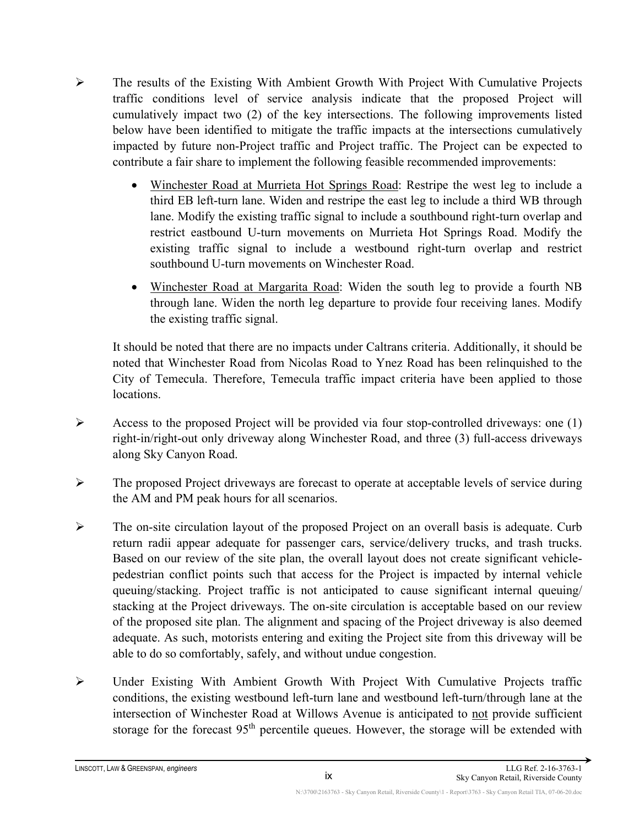- $\triangleright$  The results of the Existing With Ambient Growth With Project With Cumulative Projects traffic conditions level of service analysis indicate that the proposed Project will cumulatively impact two (2) of the key intersections. The following improvements listed below have been identified to mitigate the traffic impacts at the intersections cumulatively impacted by future non-Project traffic and Project traffic. The Project can be expected to contribute a fair share to implement the following feasible recommended improvements:
	- Winchester Road at Murrieta Hot Springs Road: Restripe the west leg to include a third EB left-turn lane. Widen and restripe the east leg to include a third WB through lane. Modify the existing traffic signal to include a southbound right-turn overlap and restrict eastbound U-turn movements on Murrieta Hot Springs Road. Modify the existing traffic signal to include a westbound right-turn overlap and restrict southbound U-turn movements on Winchester Road.
	- Winchester Road at Margarita Road: Widen the south leg to provide a fourth NB through lane. Widen the north leg departure to provide four receiving lanes. Modify the existing traffic signal.

It should be noted that there are no impacts under Caltrans criteria. Additionally, it should be noted that Winchester Road from Nicolas Road to Ynez Road has been relinquished to the City of Temecula. Therefore, Temecula traffic impact criteria have been applied to those locations.

- Access to the proposed Project will be provided via four stop-controlled driveways: one  $(1)$ right-in/right-out only driveway along Winchester Road, and three (3) full-access driveways along Sky Canyon Road.
- $\triangleright$  The proposed Project driveways are forecast to operate at acceptable levels of service during the AM and PM peak hours for all scenarios.
- $\triangleright$  The on-site circulation layout of the proposed Project on an overall basis is adequate. Curb return radii appear adequate for passenger cars, service/delivery trucks, and trash trucks. Based on our review of the site plan, the overall layout does not create significant vehiclepedestrian conflict points such that access for the Project is impacted by internal vehicle queuing/stacking. Project traffic is not anticipated to cause significant internal queuing/ stacking at the Project driveways. The on-site circulation is acceptable based on our review of the proposed site plan. The alignment and spacing of the Project driveway is also deemed adequate. As such, motorists entering and exiting the Project site from this driveway will be able to do so comfortably, safely, and without undue congestion.
- Under Existing With Ambient Growth With Project With Cumulative Projects traffic conditions, the existing westbound left-turn lane and westbound left-turn/through lane at the intersection of Winchester Road at Willows Avenue is anticipated to not provide sufficient storage for the forecast  $95<sup>th</sup>$  percentile queues. However, the storage will be extended with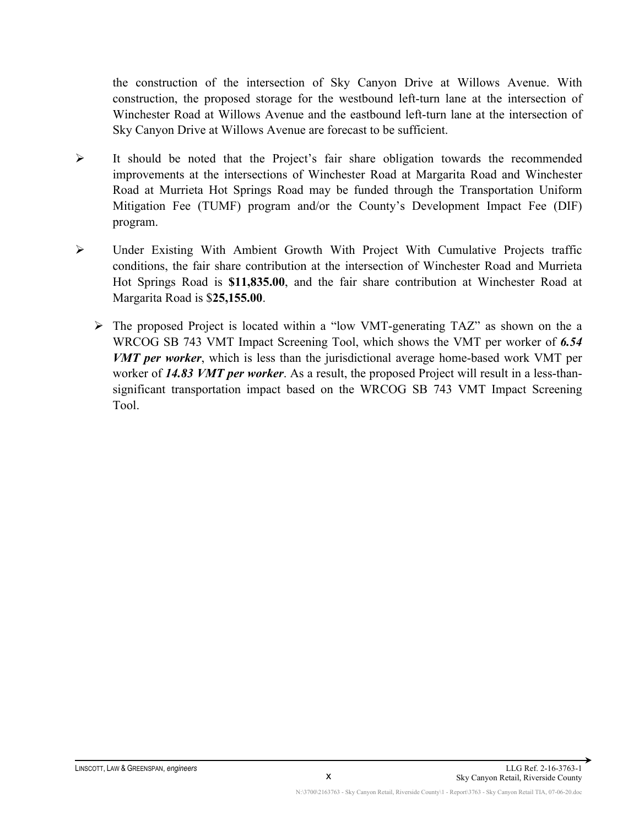the construction of the intersection of Sky Canyon Drive at Willows Avenue. With construction, the proposed storage for the westbound left-turn lane at the intersection of Winchester Road at Willows Avenue and the eastbound left-turn lane at the intersection of Sky Canyon Drive at Willows Avenue are forecast to be sufficient.

- $\triangleright$  It should be noted that the Project's fair share obligation towards the recommended improvements at the intersections of Winchester Road at Margarita Road and Winchester Road at Murrieta Hot Springs Road may be funded through the Transportation Uniform Mitigation Fee (TUMF) program and/or the County's Development Impact Fee (DIF) program.
- Under Existing With Ambient Growth With Project With Cumulative Projects traffic conditions, the fair share contribution at the intersection of Winchester Road and Murrieta Hot Springs Road is **\$11,835.00**, and the fair share contribution at Winchester Road at Margarita Road is \$**25,155.00**.
	- The proposed Project is located within a "low VMT-generating TAZ" as shown on the a WRCOG SB 743 VMT Impact Screening Tool, which shows the VMT per worker of *6.54 VMT per worker*, which is less than the jurisdictional average home-based work VMT per worker of *14.83 VMT per worker*. As a result, the proposed Project will result in a less-thansignificant transportation impact based on the WRCOG SB 743 VMT Impact Screening Tool.

x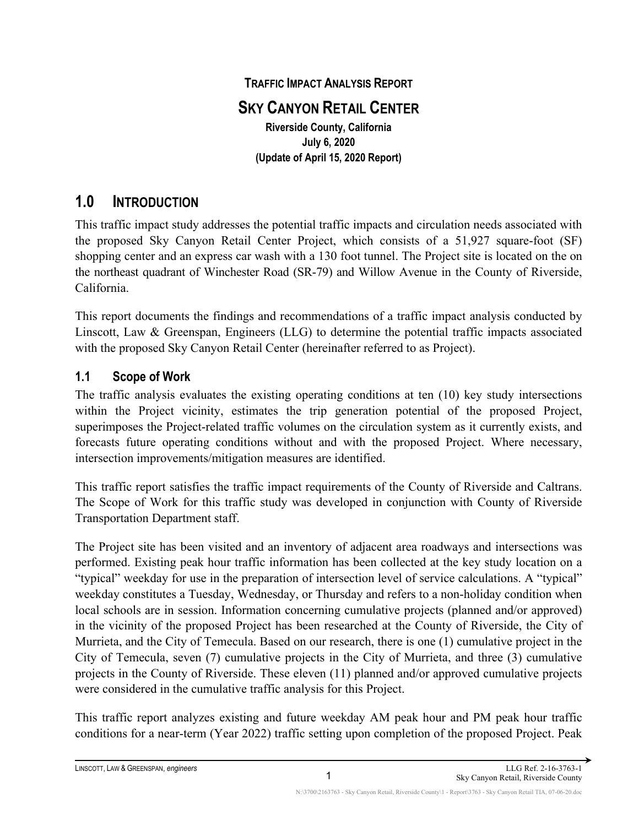## **TRAFFIC IMPACT ANALYSIS REPORT SKY CANYON RETAIL CENTER Riverside County, California July 6, 2020 (Update of April 15, 2020 Report)**

## <span id="page-11-0"></span>**1.0 INTRODUCTION**

This traffic impact study addresses the potential traffic impacts and circulation needs associated with the proposed Sky Canyon Retail Center Project, which consists of a 51,927 square-foot (SF) shopping center and an express car wash with a 130 foot tunnel. The Project site is located on the on the northeast quadrant of Winchester Road (SR-79) and Willow Avenue in the County of Riverside, California.

This report documents the findings and recommendations of a traffic impact analysis conducted by Linscott, Law & Greenspan, Engineers (LLG) to determine the potential traffic impacts associated with the proposed Sky Canyon Retail Center (hereinafter referred to as Project).

#### <span id="page-11-1"></span>**1.1 Scope of Work**

The traffic analysis evaluates the existing operating conditions at ten (10) key study intersections within the Project vicinity, estimates the trip generation potential of the proposed Project, superimposes the Project-related traffic volumes on the circulation system as it currently exists, and forecasts future operating conditions without and with the proposed Project. Where necessary, intersection improvements/mitigation measures are identified.

This traffic report satisfies the traffic impact requirements of the County of Riverside and Caltrans. The Scope of Work for this traffic study was developed in conjunction with County of Riverside Transportation Department staff.

The Project site has been visited and an inventory of adjacent area roadways and intersections was performed. Existing peak hour traffic information has been collected at the key study location on a "typical" weekday for use in the preparation of intersection level of service calculations. A "typical" weekday constitutes a Tuesday, Wednesday, or Thursday and refers to a non-holiday condition when local schools are in session. Information concerning cumulative projects (planned and/or approved) in the vicinity of the proposed Project has been researched at the County of Riverside, the City of Murrieta, and the City of Temecula. Based on our research, there is one (1) cumulative project in the City of Temecula, seven (7) cumulative projects in the City of Murrieta, and three (3) cumulative projects in the County of Riverside. These eleven (11) planned and/or approved cumulative projects were considered in the cumulative traffic analysis for this Project.

This traffic report analyzes existing and future weekday AM peak hour and PM peak hour traffic conditions for a near-term (Year 2022) traffic setting upon completion of the proposed Project. Peak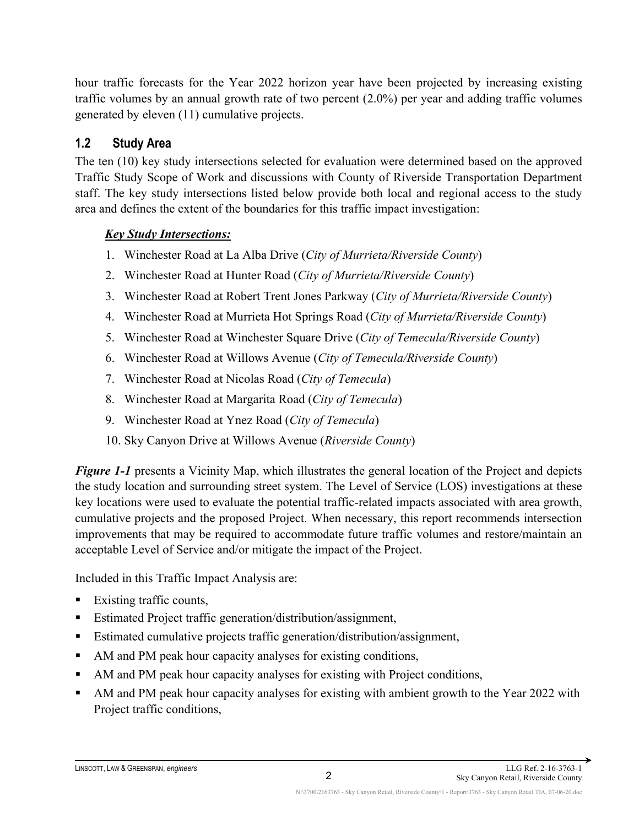hour traffic forecasts for the Year 2022 horizon year have been projected by increasing existing traffic volumes by an annual growth rate of two percent (2.0%) per year and adding traffic volumes generated by eleven (11) cumulative projects.

### <span id="page-12-0"></span>**1.2 Study Area**

The ten (10) key study intersections selected for evaluation were determined based on the approved Traffic Study Scope of Work and discussions with County of Riverside Transportation Department staff. The key study intersections listed below provide both local and regional access to the study area and defines the extent of the boundaries for this traffic impact investigation:

### *Key Study Intersections:*

- 1. Winchester Road at La Alba Drive (*City of Murrieta/Riverside County*)
- 2. Winchester Road at Hunter Road (*City of Murrieta/Riverside County*)
- 3. Winchester Road at Robert Trent Jones Parkway (*City of Murrieta/Riverside County*)
- 4. Winchester Road at Murrieta Hot Springs Road (*City of Murrieta/Riverside County*)
- 5. Winchester Road at Winchester Square Drive (*City of Temecula/Riverside County*)
- 6. Winchester Road at Willows Avenue (*City of Temecula/Riverside County*)
- 7. Winchester Road at Nicolas Road (*City of Temecula*)
- 8. Winchester Road at Margarita Road (*City of Temecula*)
- 9. Winchester Road at Ynez Road (*City of Temecula*)
- 10. Sky Canyon Drive at Willows Avenue (*Riverside County*)

*Figure* 1-1 presents a Vicinity Map, which illustrates the general location of the Project and depicts the study location and surrounding street system. The Level of Service (LOS) investigations at these key locations were used to evaluate the potential traffic-related impacts associated with area growth, cumulative projects and the proposed Project. When necessary, this report recommends intersection improvements that may be required to accommodate future traffic volumes and restore/maintain an acceptable Level of Service and/or mitigate the impact of the Project.

Included in this Traffic Impact Analysis are:

- Existing traffic counts,
- Estimated Project traffic generation/distribution/assignment,
- Estimated cumulative projects traffic generation/distribution/assignment,
- AM and PM peak hour capacity analyses for existing conditions,
- AM and PM peak hour capacity analyses for existing with Project conditions,
- AM and PM peak hour capacity analyses for existing with ambient growth to the Year 2022 with Project traffic conditions,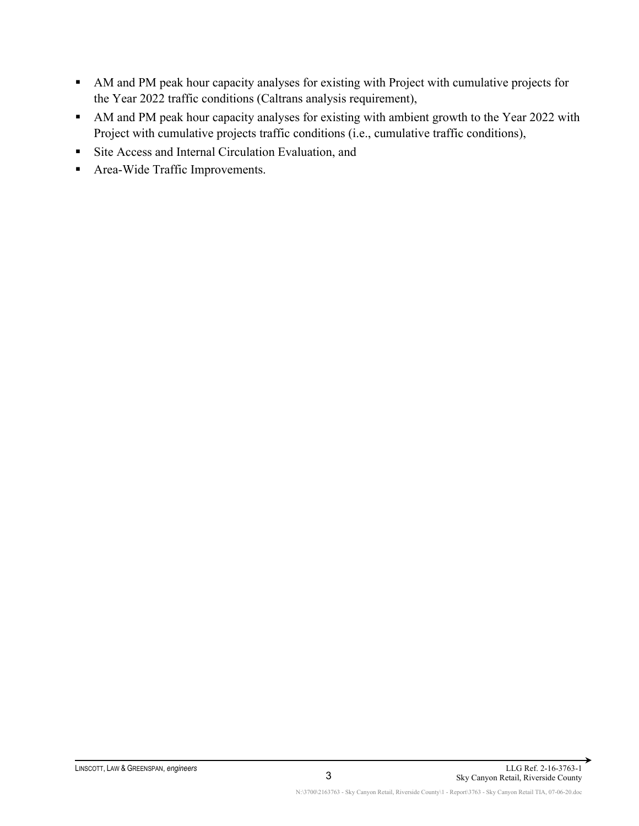- AM and PM peak hour capacity analyses for existing with Project with cumulative projects for the Year 2022 traffic conditions (Caltrans analysis requirement),
- AM and PM peak hour capacity analyses for existing with ambient growth to the Year 2022 with Project with cumulative projects traffic conditions (i.e., cumulative traffic conditions),
- Site Access and Internal Circulation Evaluation, and
- Area-Wide Traffic Improvements.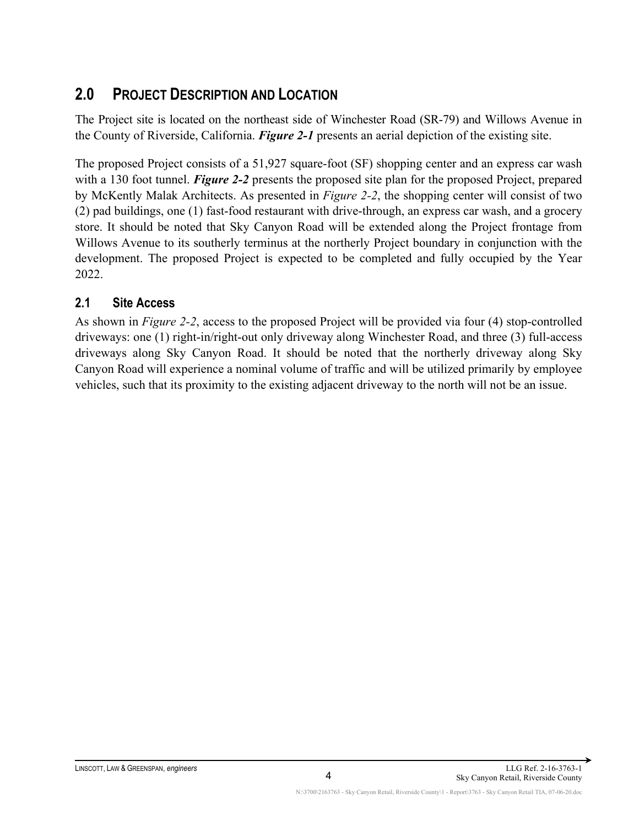## <span id="page-14-0"></span>**2.0 PROJECT DESCRIPTION AND LOCATION**

The Project site is located on the northeast side of Winchester Road (SR-79) and Willows Avenue in the County of Riverside, California. *Figure 2-1* presents an aerial depiction of the existing site.

The proposed Project consists of a 51,927 square-foot (SF) shopping center and an express car wash with a 130 foot tunnel. *Figure 2-2* presents the proposed site plan for the proposed Project, prepared by McKently Malak Architects. As presented in *Figure 2-2*, the shopping center will consist of two (2) pad buildings, one (1) fast-food restaurant with drive-through, an express car wash, and a grocery store. It should be noted that Sky Canyon Road will be extended along the Project frontage from Willows Avenue to its southerly terminus at the northerly Project boundary in conjunction with the development. The proposed Project is expected to be completed and fully occupied by the Year 2022.

#### <span id="page-14-1"></span>**2.1 Site Access**

As shown in *Figure 2-2*, access to the proposed Project will be provided via four (4) stop-controlled driveways: one (1) right-in/right-out only driveway along Winchester Road, and three (3) full-access driveways along Sky Canyon Road. It should be noted that the northerly driveway along Sky Canyon Road will experience a nominal volume of traffic and will be utilized primarily by employee vehicles, such that its proximity to the existing adjacent driveway to the north will not be an issue.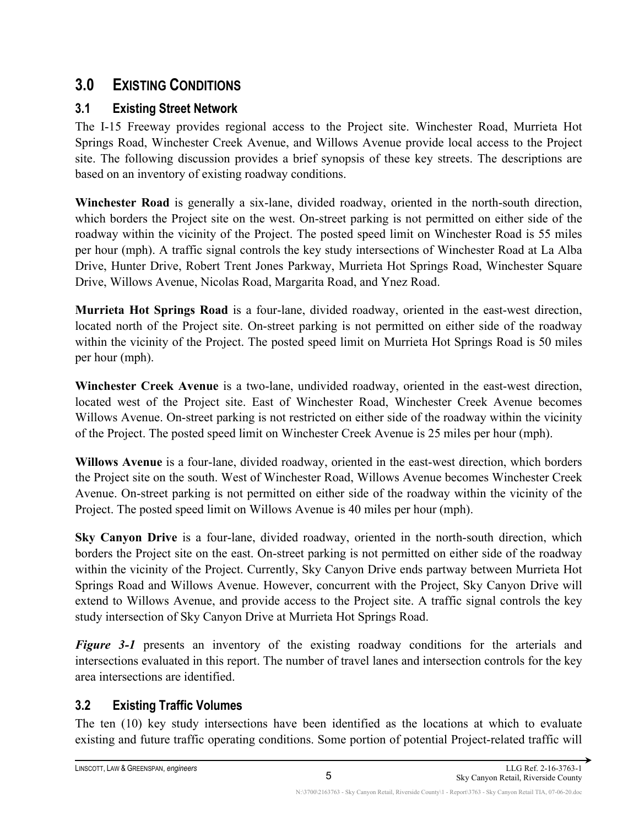# <span id="page-15-0"></span>**3.0 EXISTING CONDITIONS**

## <span id="page-15-1"></span>**3.1 Existing Street Network**

The I-15 Freeway provides regional access to the Project site. Winchester Road, Murrieta Hot Springs Road, Winchester Creek Avenue, and Willows Avenue provide local access to the Project site. The following discussion provides a brief synopsis of these key streets. The descriptions are based on an inventory of existing roadway conditions.

**Winchester Road** is generally a six-lane, divided roadway, oriented in the north-south direction, which borders the Project site on the west. On-street parking is not permitted on either side of the roadway within the vicinity of the Project. The posted speed limit on Winchester Road is 55 miles per hour (mph). A traffic signal controls the key study intersections of Winchester Road at La Alba Drive, Hunter Drive, Robert Trent Jones Parkway, Murrieta Hot Springs Road, Winchester Square Drive, Willows Avenue, Nicolas Road, Margarita Road, and Ynez Road.

**Murrieta Hot Springs Road** is a four-lane, divided roadway, oriented in the east-west direction, located north of the Project site. On-street parking is not permitted on either side of the roadway within the vicinity of the Project. The posted speed limit on Murrieta Hot Springs Road is 50 miles per hour (mph).

**Winchester Creek Avenue** is a two-lane, undivided roadway, oriented in the east-west direction, located west of the Project site. East of Winchester Road, Winchester Creek Avenue becomes Willows Avenue. On-street parking is not restricted on either side of the roadway within the vicinity of the Project. The posted speed limit on Winchester Creek Avenue is 25 miles per hour (mph).

**Willows Avenue** is a four-lane, divided roadway, oriented in the east-west direction, which borders the Project site on the south. West of Winchester Road, Willows Avenue becomes Winchester Creek Avenue. On-street parking is not permitted on either side of the roadway within the vicinity of the Project. The posted speed limit on Willows Avenue is 40 miles per hour (mph).

**Sky Canyon Drive** is a four-lane, divided roadway, oriented in the north-south direction, which borders the Project site on the east. On-street parking is not permitted on either side of the roadway within the vicinity of the Project. Currently, Sky Canyon Drive ends partway between Murrieta Hot Springs Road and Willows Avenue. However, concurrent with the Project, Sky Canyon Drive will extend to Willows Avenue, and provide access to the Project site. A traffic signal controls the key study intersection of Sky Canyon Drive at Murrieta Hot Springs Road.

*Figure 3-1* presents an inventory of the existing roadway conditions for the arterials and intersections evaluated in this report. The number of travel lanes and intersection controls for the key area intersections are identified.

## <span id="page-15-2"></span>**3.2 Existing Traffic Volumes**

The ten (10) key study intersections have been identified as the locations at which to evaluate existing and future traffic operating conditions. Some portion of potential Project-related traffic will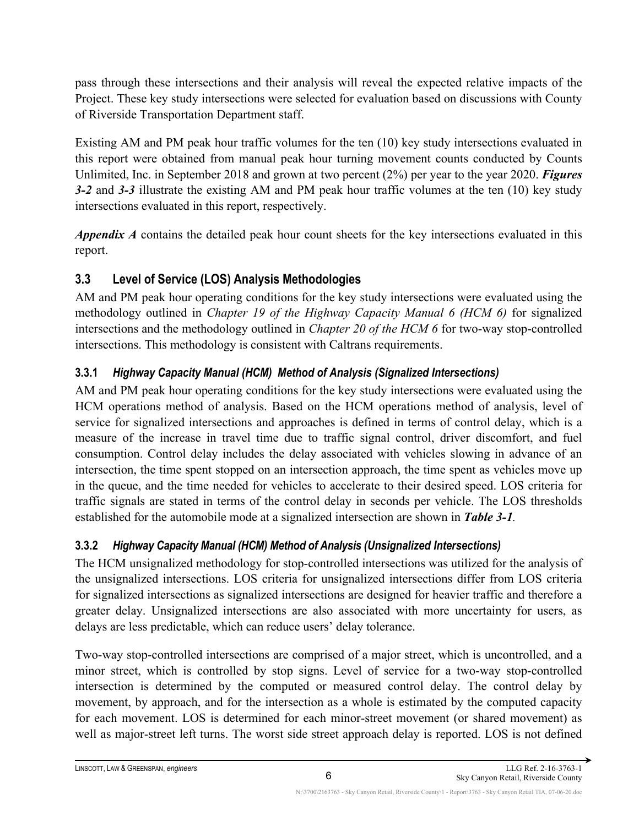pass through these intersections and their analysis will reveal the expected relative impacts of the Project. These key study intersections were selected for evaluation based on discussions with County of Riverside Transportation Department staff.

Existing AM and PM peak hour traffic volumes for the ten (10) key study intersections evaluated in this report were obtained from manual peak hour turning movement counts conducted by Counts Unlimited, Inc. in September 2018 and grown at two percent (2%) per year to the year 2020. *Figures 3-2* and *3-3* illustrate the existing AM and PM peak hour traffic volumes at the ten (10) key study intersections evaluated in this report, respectively.

*Appendix A* contains the detailed peak hour count sheets for the key intersections evaluated in this report.

## <span id="page-16-0"></span>**3.3 Level of Service (LOS) Analysis Methodologies**

AM and PM peak hour operating conditions for the key study intersections were evaluated using the methodology outlined in *Chapter 19 of the Highway Capacity Manual 6 (HCM 6)* for signalized intersections and the methodology outlined in *Chapter 20 of the HCM 6* for two-way stop-controlled intersections. This methodology is consistent with Caltrans requirements.

## <span id="page-16-1"></span>**3.3.1** *Highway Capacity Manual (HCM) Method of Analysis (Signalized Intersections)*

AM and PM peak hour operating conditions for the key study intersections were evaluated using the HCM operations method of analysis. Based on the HCM operations method of analysis, level of service for signalized intersections and approaches is defined in terms of control delay, which is a measure of the increase in travel time due to traffic signal control, driver discomfort, and fuel consumption. Control delay includes the delay associated with vehicles slowing in advance of an intersection, the time spent stopped on an intersection approach, the time spent as vehicles move up in the queue, and the time needed for vehicles to accelerate to their desired speed. LOS criteria for traffic signals are stated in terms of the control delay in seconds per vehicle. The LOS thresholds established for the automobile mode at a signalized intersection are shown in *Table 3-1.*

## <span id="page-16-2"></span>**3.3.2** *Highway Capacity Manual (HCM) Method of Analysis (Unsignalized Intersections)*

The HCM unsignalized methodology for stop-controlled intersections was utilized for the analysis of the unsignalized intersections. LOS criteria for unsignalized intersections differ from LOS criteria for signalized intersections as signalized intersections are designed for heavier traffic and therefore a greater delay. Unsignalized intersections are also associated with more uncertainty for users, as delays are less predictable, which can reduce users' delay tolerance.

Two-way stop-controlled intersections are comprised of a major street, which is uncontrolled, and a minor street, which is controlled by stop signs. Level of service for a two-way stop-controlled intersection is determined by the computed or measured control delay. The control delay by movement, by approach, and for the intersection as a whole is estimated by the computed capacity for each movement. LOS is determined for each minor-street movement (or shared movement) as well as major-street left turns. The worst side street approach delay is reported. LOS is not defined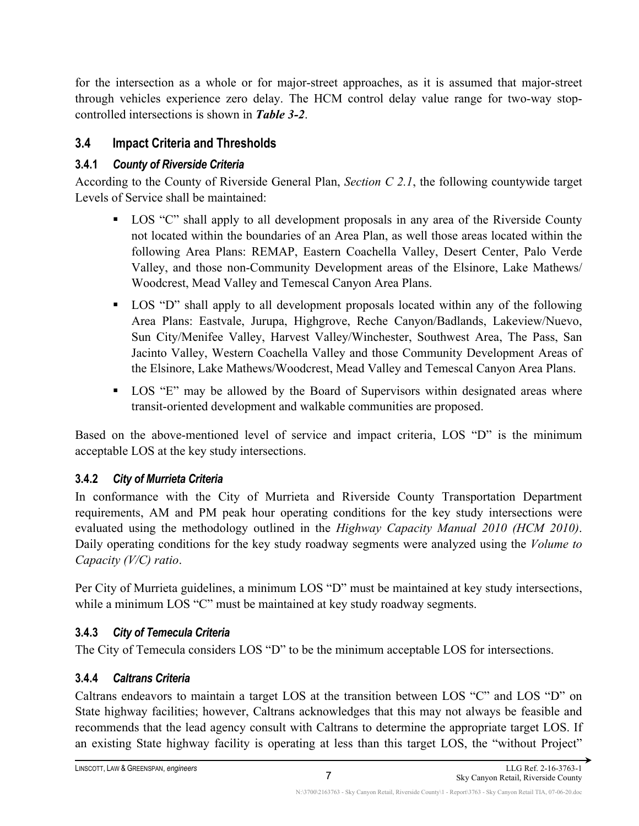for the intersection as a whole or for major-street approaches, as it is assumed that major-street through vehicles experience zero delay. The HCM control delay value range for two-way stopcontrolled intersections is shown in *Table 3-2*.

#### <span id="page-17-0"></span>**3.4 Impact Criteria and Thresholds**

#### <span id="page-17-1"></span>**3.4.1** *County of Riverside Criteria*

According to the County of Riverside General Plan, *Section C 2.1*, the following countywide target Levels of Service shall be maintained:

- **LOS** "C" shall apply to all development proposals in any area of the Riverside County not located within the boundaries of an Area Plan, as well those areas located within the following Area Plans: REMAP, Eastern Coachella Valley, Desert Center, Palo Verde Valley, and those non-Community Development areas of the Elsinore, Lake Mathews/ Woodcrest, Mead Valley and Temescal Canyon Area Plans.
- LOS "D" shall apply to all development proposals located within any of the following Area Plans: Eastvale, Jurupa, Highgrove, Reche Canyon/Badlands, Lakeview/Nuevo, Sun City/Menifee Valley, Harvest Valley/Winchester, Southwest Area, The Pass, San Jacinto Valley, Western Coachella Valley and those Community Development Areas of the Elsinore, Lake Mathews/Woodcrest, Mead Valley and Temescal Canyon Area Plans.
- **LOS** "E" may be allowed by the Board of Supervisors within designated areas where transit-oriented development and walkable communities are proposed.

Based on the above-mentioned level of service and impact criteria, LOS "D" is the minimum acceptable LOS at the key study intersections.

#### <span id="page-17-2"></span>**3.4.2** *City of Murrieta Criteria*

In conformance with the City of Murrieta and Riverside County Transportation Department requirements, AM and PM peak hour operating conditions for the key study intersections were evaluated using the methodology outlined in the *Highway Capacity Manual 2010 (HCM 2010)*. Daily operating conditions for the key study roadway segments were analyzed using the *Volume to Capacity (V/C) ratio*.

Per City of Murrieta guidelines, a minimum LOS "D" must be maintained at key study intersections, while a minimum LOS "C" must be maintained at key study roadway segments.

#### <span id="page-17-3"></span>**3.4.3** *City of Temecula Criteria*

The City of Temecula considers LOS "D" to be the minimum acceptable LOS for intersections.

#### <span id="page-17-4"></span>**3.4.4** *Caltrans Criteria*

Caltrans endeavors to maintain a target LOS at the transition between LOS "C" and LOS "D" on State highway facilities; however, Caltrans acknowledges that this may not always be feasible and recommends that the lead agency consult with Caltrans to determine the appropriate target LOS. If an existing State highway facility is operating at less than this target LOS, the "without Project"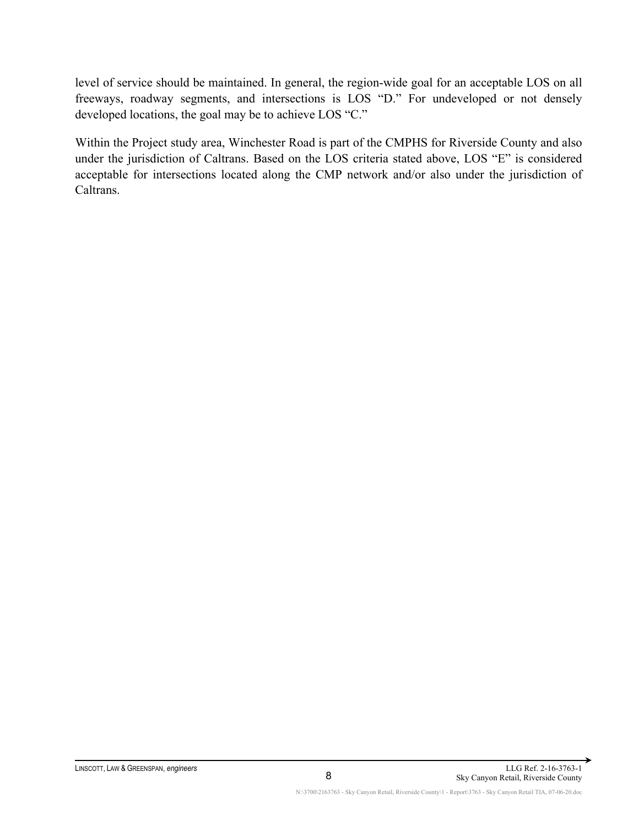level of service should be maintained. In general, the region-wide goal for an acceptable LOS on all freeways, roadway segments, and intersections is LOS "D." For undeveloped or not densely developed locations, the goal may be to achieve LOS "C."

Within the Project study area, Winchester Road is part of the CMPHS for Riverside County and also under the jurisdiction of Caltrans. Based on the LOS criteria stated above, LOS "E" is considered acceptable for intersections located along the CMP network and/or also under the jurisdiction of Caltrans.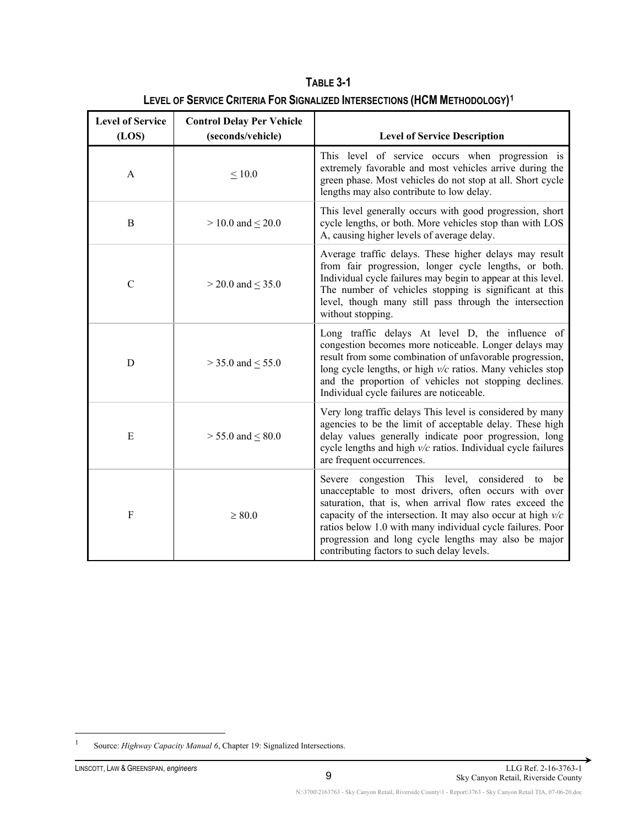| <b>Level of Service</b> | <b>Control Delay Per Vehicle</b> |                                                                                                                                                                                                                                                                                                                                                                                                           |
|-------------------------|----------------------------------|-----------------------------------------------------------------------------------------------------------------------------------------------------------------------------------------------------------------------------------------------------------------------------------------------------------------------------------------------------------------------------------------------------------|
| (LOS)                   | (seconds/vehicle)                | <b>Level of Service Description</b>                                                                                                                                                                                                                                                                                                                                                                       |
| A                       | $\leq 10.0$                      | This level of service occurs when progression is<br>extremely favorable and most vehicles arrive during the<br>green phase. Most vehicles do not stop at all. Short cycle<br>lengths may also contribute to low delay.                                                                                                                                                                                    |
| $\bf{B}$                | $> 10.0$ and $\leq 20.0$         | This level generally occurs with good progression, short<br>cycle lengths, or both. More vehicles stop than with LOS<br>A, causing higher levels of average delay.                                                                                                                                                                                                                                        |
| $\mathcal{C}$           | $>$ 20.0 and $\leq$ 35.0         | Average traffic delays. These higher delays may result<br>from fair progression, longer cycle lengths, or both.<br>Individual cycle failures may begin to appear at this level.<br>The number of vehicles stopping is significant at this<br>level, though many still pass through the intersection<br>without stopping.                                                                                  |
| D                       | $>$ 35.0 and $\leq$ 55.0         | Long traffic delays At level D, the influence of<br>congestion becomes more noticeable. Longer delays may<br>result from some combination of unfavorable progression,<br>long cycle lengths, or high $v/c$ ratios. Many vehicles stop<br>and the proportion of vehicles not stopping declines.<br>Individual cycle failures are noticeable.                                                               |
| E                       | $> 55.0$ and $\leq 80.0$         | Very long traffic delays This level is considered by many<br>agencies to be the limit of acceptable delay. These high<br>delay values generally indicate poor progression, long<br>cycle lengths and high $v/c$ ratios. Individual cycle failures<br>are frequent occurrences.                                                                                                                            |
| $\rm F$                 | $\geq 80.0$                      | congestion This level, considered to be<br>Severe<br>unacceptable to most drivers, often occurs with over<br>saturation, that is, when arrival flow rates exceed the<br>capacity of the intersection. It may also occur at high $v/c$<br>ratios below 1.0 with many individual cycle failures. Poor<br>progression and long cycle lengths may also be major<br>contributing factors to such delay levels. |

**TABLE 3-1 LEVEL OF SERVICE CRITERIA FOR SIGNALIZED INTERSECTIONS (HCM METHODOLOGY)[1](#page-19-0)**

<span id="page-19-0"></span><sup>&</sup>lt;sup>1</sup> Source: *Highway Capacity Manual 6*, Chapter 19: Signalized Intersections.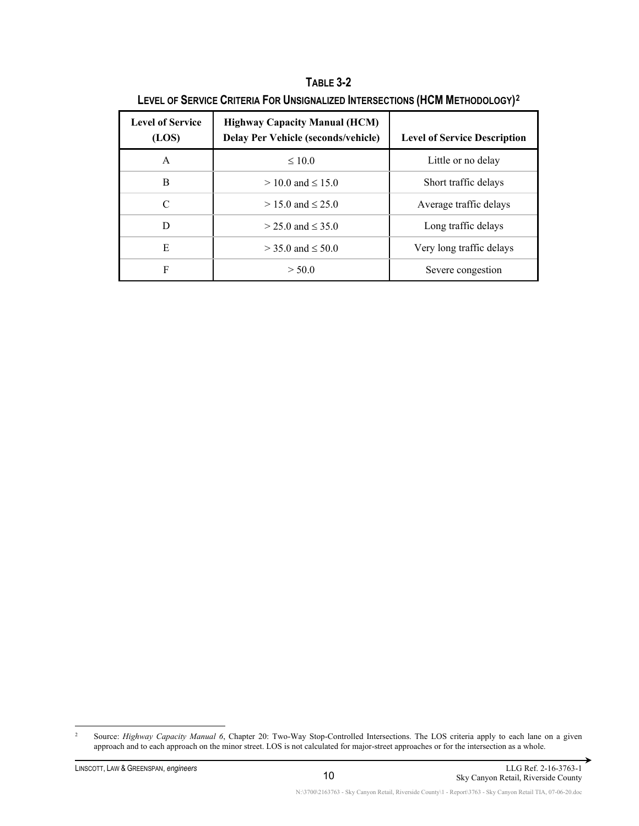| <b>Level of Service</b><br>(LOS) | <b>Highway Capacity Manual (HCM)</b><br><b>Delay Per Vehicle (seconds/vehicle)</b> | <b>Level of Service Description</b> |
|----------------------------------|------------------------------------------------------------------------------------|-------------------------------------|
| A                                | $\leq 10.0$                                                                        | Little or no delay                  |
| B                                | $> 10.0$ and $< 15.0$                                                              | Short traffic delays                |
| C                                | $> 15.0$ and $< 25.0$                                                              | Average traffic delays              |
| D                                | $>$ 25.0 and $\leq$ 35.0                                                           | Long traffic delays                 |
| E                                | $>$ 35.0 and $\leq$ 50.0                                                           | Very long traffic delays            |
| F                                | > 50.0                                                                             | Severe congestion                   |

**TABLE 3-2 LEVEL OF SERVICE CRITERIA FOR UNSIGNALIZED INTERSECTIONS (HCM METHODOLOGY)[2](#page-20-0)**

<span id="page-20-0"></span><sup>&</sup>lt;sup>2</sup> Source: *Highway Capacity Manual 6*, Chapter 20: Two-Way Stop-Controlled Intersections. The LOS criteria apply to each lane on a given approach and to each approach on the minor street. LOS is not calculated for major-street approaches or for the intersection as a whole.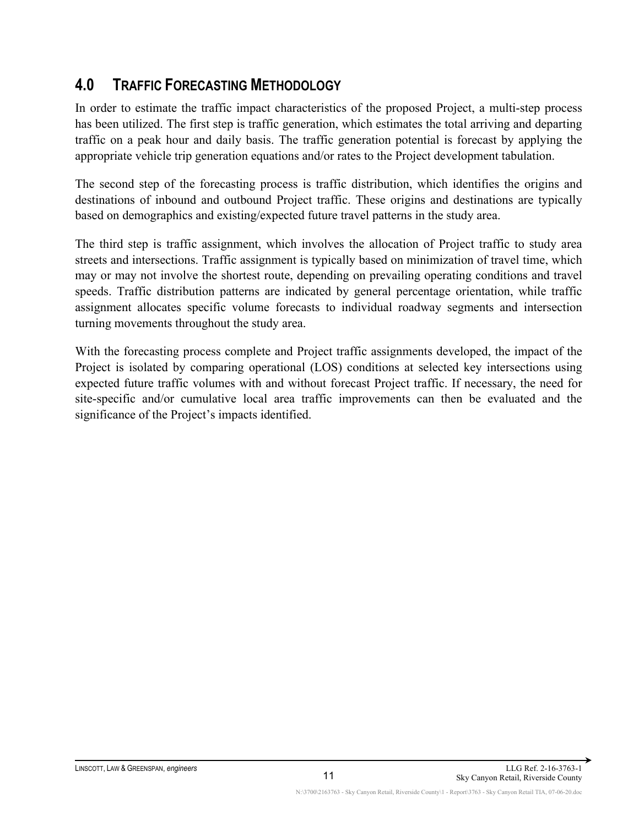# <span id="page-21-0"></span>**4.0 TRAFFIC FORECASTING METHODOLOGY**

In order to estimate the traffic impact characteristics of the proposed Project, a multi-step process has been utilized. The first step is traffic generation, which estimates the total arriving and departing traffic on a peak hour and daily basis. The traffic generation potential is forecast by applying the appropriate vehicle trip generation equations and/or rates to the Project development tabulation.

The second step of the forecasting process is traffic distribution, which identifies the origins and destinations of inbound and outbound Project traffic. These origins and destinations are typically based on demographics and existing/expected future travel patterns in the study area.

The third step is traffic assignment, which involves the allocation of Project traffic to study area streets and intersections. Traffic assignment is typically based on minimization of travel time, which may or may not involve the shortest route, depending on prevailing operating conditions and travel speeds. Traffic distribution patterns are indicated by general percentage orientation, while traffic assignment allocates specific volume forecasts to individual roadway segments and intersection turning movements throughout the study area.

With the forecasting process complete and Project traffic assignments developed, the impact of the Project is isolated by comparing operational (LOS) conditions at selected key intersections using expected future traffic volumes with and without forecast Project traffic. If necessary, the need for site-specific and/or cumulative local area traffic improvements can then be evaluated and the significance of the Project's impacts identified.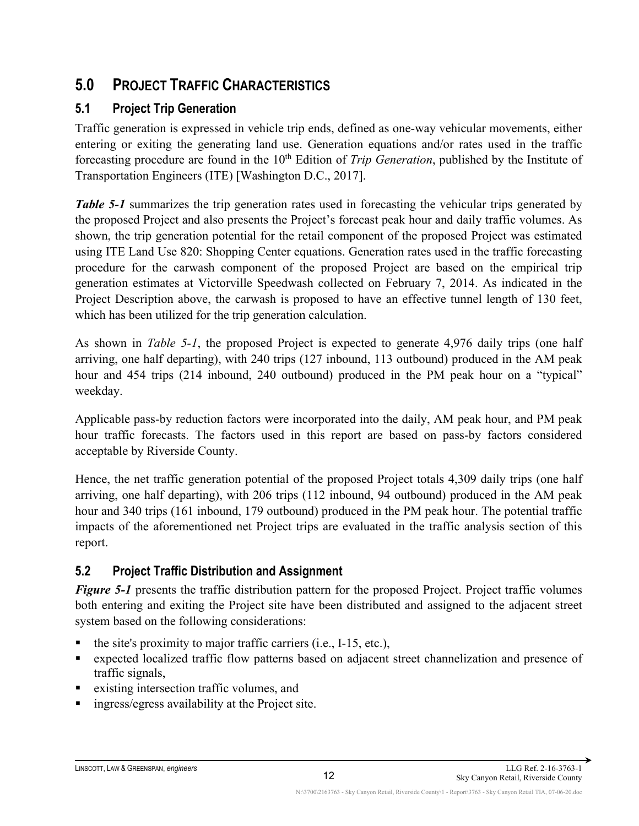# <span id="page-22-0"></span>**5.0 PROJECT TRAFFIC CHARACTERISTICS**

## <span id="page-22-1"></span>**5.1 Project Trip Generation**

Traffic generation is expressed in vehicle trip ends, defined as one-way vehicular movements, either entering or exiting the generating land use. Generation equations and/or rates used in the traffic forecasting procedure are found in the 10<sup>th</sup> Edition of *Trip Generation*, published by the Institute of Transportation Engineers (ITE) [Washington D.C., 2017].

*Table 5-1* summarizes the trip generation rates used in forecasting the vehicular trips generated by the proposed Project and also presents the Project's forecast peak hour and daily traffic volumes. As shown, the trip generation potential for the retail component of the proposed Project was estimated using ITE Land Use 820: Shopping Center equations. Generation rates used in the traffic forecasting procedure for the carwash component of the proposed Project are based on the empirical trip generation estimates at Victorville Speedwash collected on February 7, 2014. As indicated in the Project Description above, the carwash is proposed to have an effective tunnel length of 130 feet, which has been utilized for the trip generation calculation.

As shown in *Table 5-1*, the proposed Project is expected to generate 4,976 daily trips (one half arriving, one half departing), with 240 trips (127 inbound, 113 outbound) produced in the AM peak hour and 454 trips (214 inbound, 240 outbound) produced in the PM peak hour on a "typical" weekday.

Applicable pass-by reduction factors were incorporated into the daily, AM peak hour, and PM peak hour traffic forecasts. The factors used in this report are based on pass-by factors considered acceptable by Riverside County.

Hence, the net traffic generation potential of the proposed Project totals 4,309 daily trips (one half arriving, one half departing), with 206 trips (112 inbound, 94 outbound) produced in the AM peak hour and 340 trips (161 inbound, 179 outbound) produced in the PM peak hour. The potential traffic impacts of the aforementioned net Project trips are evaluated in the traffic analysis section of this report.

## <span id="page-22-2"></span>**5.2 Project Traffic Distribution and Assignment**

*Figure 5-1* presents the traffic distribution pattern for the proposed Project. Project traffic volumes both entering and exiting the Project site have been distributed and assigned to the adjacent street system based on the following considerations:

- the site's proximity to major traffic carriers (i.e., I-15, etc.),
- expected localized traffic flow patterns based on adjacent street channelization and presence of traffic signals,
- existing intersection traffic volumes, and
- ingress/egress availability at the Project site.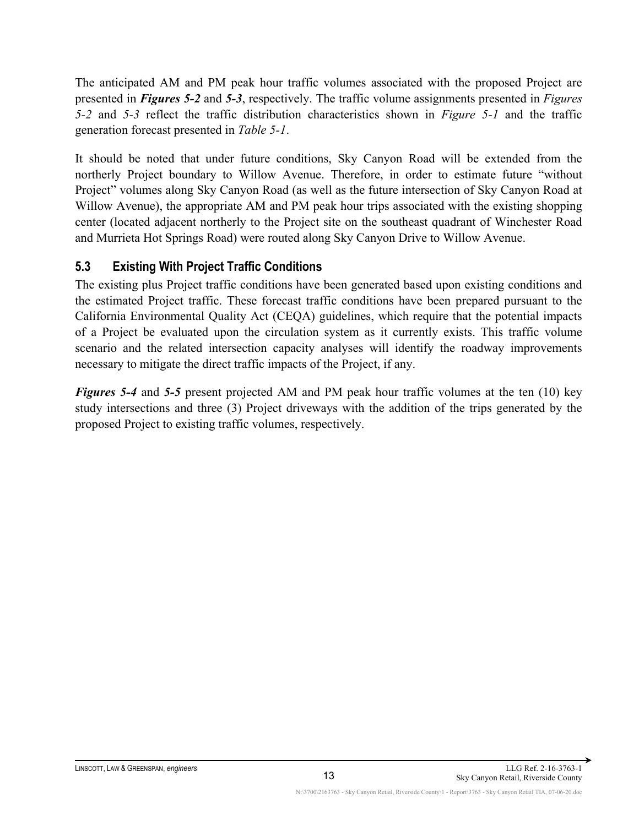The anticipated AM and PM peak hour traffic volumes associated with the proposed Project are presented in *Figures 5-2* and *5-3*, respectively. The traffic volume assignments presented in *Figures 5-2* and *5-3* reflect the traffic distribution characteristics shown in *Figure 5-1* and the traffic generation forecast presented in *Table 5-1*.

It should be noted that under future conditions, Sky Canyon Road will be extended from the northerly Project boundary to Willow Avenue. Therefore, in order to estimate future "without Project" volumes along Sky Canyon Road (as well as the future intersection of Sky Canyon Road at Willow Avenue), the appropriate AM and PM peak hour trips associated with the existing shopping center (located adjacent northerly to the Project site on the southeast quadrant of Winchester Road and Murrieta Hot Springs Road) were routed along Sky Canyon Drive to Willow Avenue.

#### <span id="page-23-0"></span>**5.3 Existing With Project Traffic Conditions**

The existing plus Project traffic conditions have been generated based upon existing conditions and the estimated Project traffic. These forecast traffic conditions have been prepared pursuant to the California Environmental Quality Act (CEQA) guidelines, which require that the potential impacts of a Project be evaluated upon the circulation system as it currently exists. This traffic volume scenario and the related intersection capacity analyses will identify the roadway improvements necessary to mitigate the direct traffic impacts of the Project, if any.

*Figures 5-4* and *5-5* present projected AM and PM peak hour traffic volumes at the ten (10) key study intersections and three (3) Project driveways with the addition of the trips generated by the proposed Project to existing traffic volumes, respectively.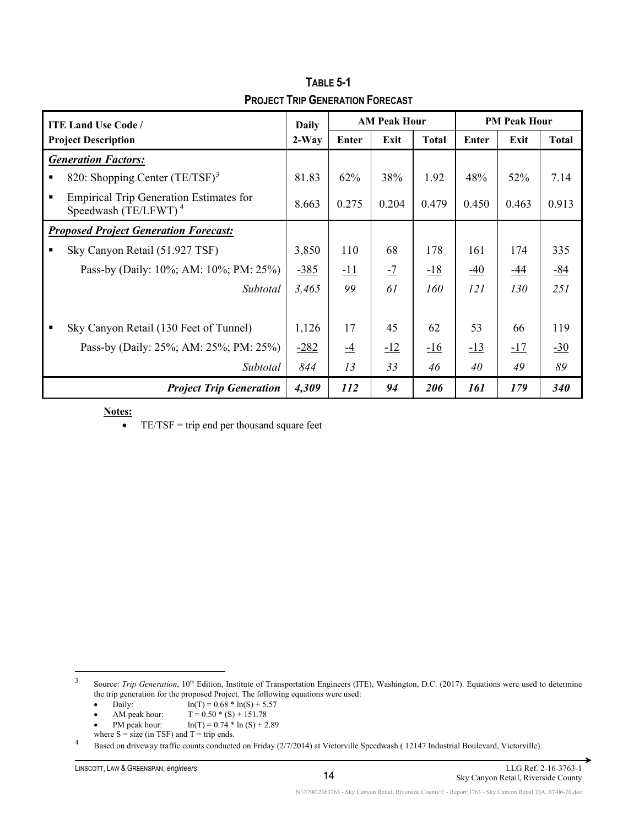| <b>ITE Land Use Code/</b> |                                                                           | <b>Daily</b> | <b>AM Peak Hour</b> |       |              | <b>PM Peak Hour</b> |       |              |
|---------------------------|---------------------------------------------------------------------------|--------------|---------------------|-------|--------------|---------------------|-------|--------------|
|                           | <b>Project Description</b>                                                | $2-Way$      | Enter               | Exit  | <b>Total</b> | Enter               | Exit  | <b>Total</b> |
|                           | <b>Generation Factors:</b>                                                |              |                     |       |              |                     |       |              |
|                           | 820: Shopping Center $(TE/TSF)^3$                                         | 81.83        | 62%                 | 38%   | 1.92         | 48%                 | 52%   | 7.14         |
|                           | <b>Empirical Trip Generation Estimates for</b><br>Speedwash $(TE/LFWT)^4$ | 8.663        | 0.275               | 0.204 | 0.479        | 0.450               | 0.463 | 0.913        |
|                           | <b>Proposed Project Generation Forecast:</b>                              |              |                     |       |              |                     |       |              |
|                           | Sky Canyon Retail (51.927 TSF)                                            | 3,850        | 110                 | 68    | 178          | 161                 | 174   | 335          |
|                           | Pass-by (Daily: 10%; AM: 10%; PM: 25%)                                    | $-385$       | <u>-11</u>          | $-7$  | $-18$        | $-40$               | $-44$ | $-84$        |
|                           | Subtotal                                                                  | 3,465        | 99                  | 61    | 160          | 121                 | 130   | 251          |
|                           |                                                                           |              |                     |       |              |                     |       |              |
|                           | Sky Canyon Retail (130 Feet of Tunnel)                                    | 1,126        | 17                  | 45    | 62           | 53                  | 66    | 119          |
|                           | Pass-by (Daily: 25%; AM: 25%; PM: 25%)                                    | $-282$       | $\overline{-4}$     | $-12$ | $-16$        | $-13$               | $-17$ | $-30$        |
|                           | Subtotal                                                                  | 844          | 13                  | 33    | 46           | 40                  | 49    | 89           |
|                           | <b>Project Trip Generation</b>                                            | 4,309        | 112                 | 94    | 206          | 161                 | 179   | <b>340</b>   |

**TABLE 5-1 PROJECT TRIP GENERATION FORECAST**

 $\bullet$  TE/TSF = trip end per thousand square feet

<span id="page-24-0"></span><sup>3</sup> Source: *Trip Generation*, 10<sup>th</sup> Edition, Institute of Transportation Engineers (ITE), Washington, D.C. (2017). Equations were used to determine the trip generation for the proposed Project. The following equations were used:

- Daily:  $\ln(T) = 0.68 * \ln(S) + 5.57$ <br>AM peak hour:  $T = 0.50 * (S) + 151.78$
- AM peak hour:  $T = 0.50 * (S) + 151.78$ <br>PM peak hour:  $\ln(T) = 0.74 * \ln(S) + 2$
- $ln(T) = 0.74 * ln(S) + 2.89$
- where  $S = size (in TSF)$  and  $T = trip$  ends.

<span id="page-24-1"></span><sup>4</sup> Based on driveway traffic counts conducted on Friday (2/7/2014) at Victorville Speedwash ( 12147 Industrial Boulevard, Victorville).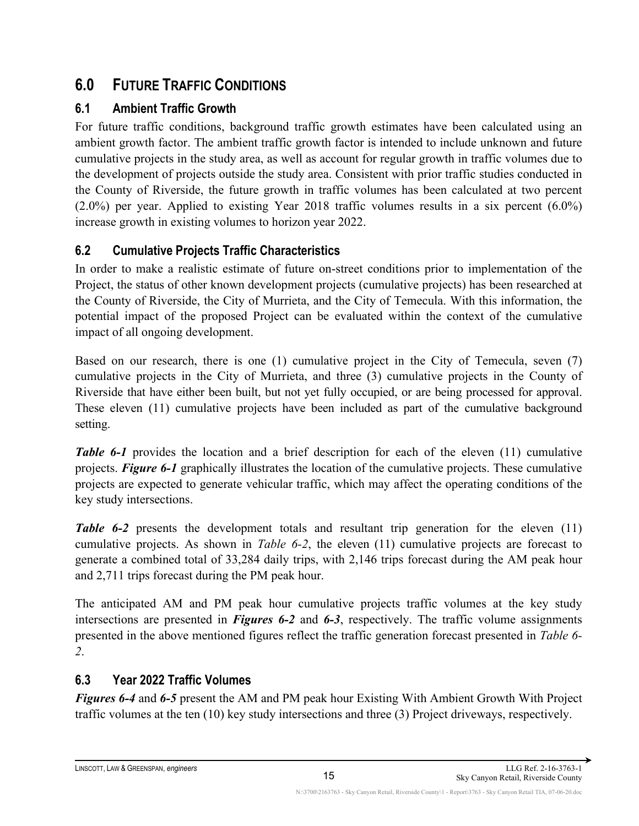# <span id="page-25-0"></span>**6.0 FUTURE TRAFFIC CONDITIONS**

## <span id="page-25-1"></span>**6.1 Ambient Traffic Growth**

For future traffic conditions, background traffic growth estimates have been calculated using an ambient growth factor. The ambient traffic growth factor is intended to include unknown and future cumulative projects in the study area, as well as account for regular growth in traffic volumes due to the development of projects outside the study area. Consistent with prior traffic studies conducted in the County of Riverside, the future growth in traffic volumes has been calculated at two percent (2.0%) per year. Applied to existing Year 2018 traffic volumes results in a six percent (6.0%) increase growth in existing volumes to horizon year 2022.

## <span id="page-25-2"></span>**6.2 Cumulative Projects Traffic Characteristics**

In order to make a realistic estimate of future on-street conditions prior to implementation of the Project, the status of other known development projects (cumulative projects) has been researched at the County of Riverside, the City of Murrieta, and the City of Temecula. With this information, the potential impact of the proposed Project can be evaluated within the context of the cumulative impact of all ongoing development.

Based on our research, there is one (1) cumulative project in the City of Temecula, seven (7) cumulative projects in the City of Murrieta, and three (3) cumulative projects in the County of Riverside that have either been built, but not yet fully occupied, or are being processed for approval. These eleven (11) cumulative projects have been included as part of the cumulative background setting.

*Table 6-1* provides the location and a brief description for each of the eleven (11) cumulative projects. *Figure 6-1* graphically illustrates the location of the cumulative projects. These cumulative projects are expected to generate vehicular traffic, which may affect the operating conditions of the key study intersections.

*Table 6-2* presents the development totals and resultant trip generation for the eleven (11) cumulative projects. As shown in *Table 6-2*, the eleven (11) cumulative projects are forecast to generate a combined total of 33,284 daily trips, with 2,146 trips forecast during the AM peak hour and 2,711 trips forecast during the PM peak hour.

The anticipated AM and PM peak hour cumulative projects traffic volumes at the key study intersections are presented in *Figures 6-2* and *6-3*, respectively. The traffic volume assignments presented in the above mentioned figures reflect the traffic generation forecast presented in *Table 6- 2*.

## <span id="page-25-3"></span>**6.3 Year 2022 Traffic Volumes**

*Figures 6-4* and *6-5* present the AM and PM peak hour Existing With Ambient Growth With Project traffic volumes at the ten (10) key study intersections and three (3) Project driveways, respectively.

15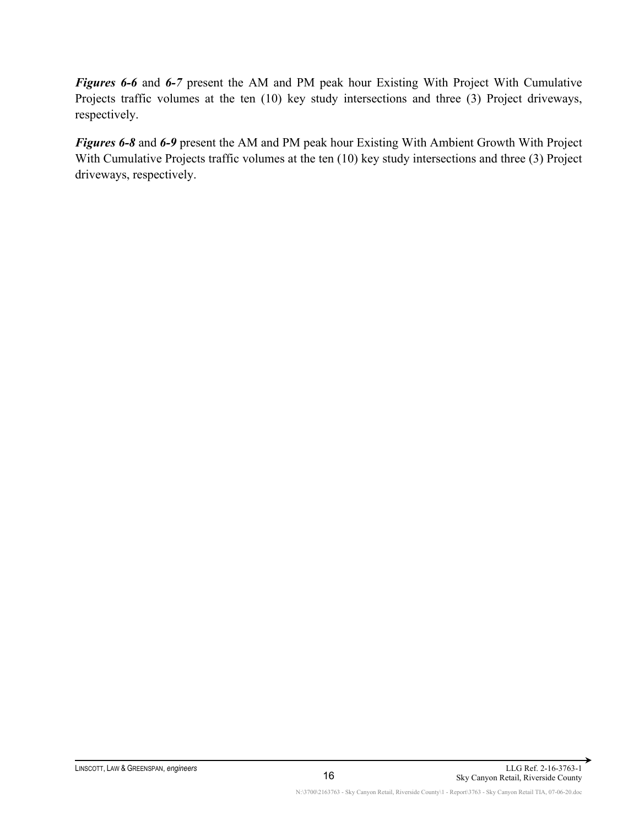*Figures 6-6* and *6-7* present the AM and PM peak hour Existing With Project With Cumulative Projects traffic volumes at the ten (10) key study intersections and three (3) Project driveways, respectively.

*Figures 6-8* and *6-9* present the AM and PM peak hour Existing With Ambient Growth With Project With Cumulative Projects traffic volumes at the ten (10) key study intersections and three (3) Project driveways, respectively.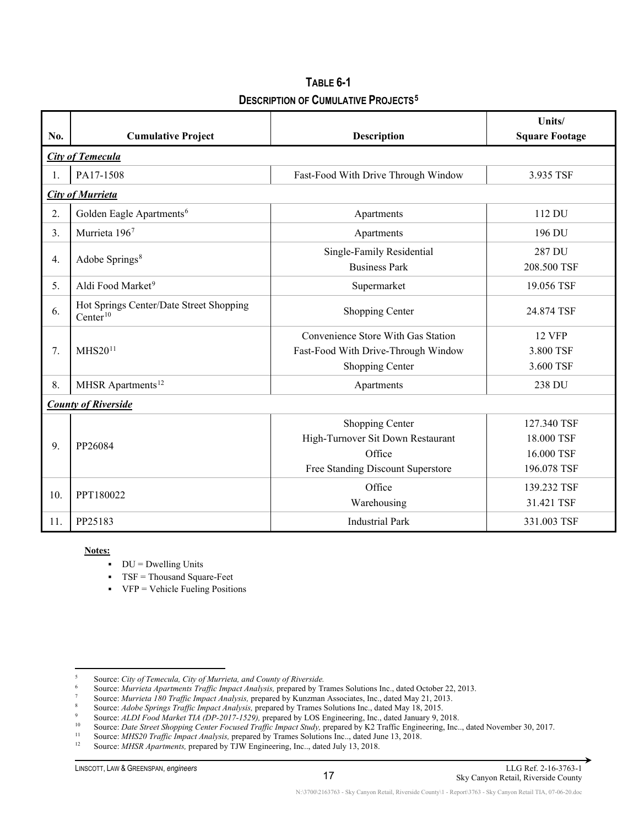| TABLE 6-1                                             |
|-------------------------------------------------------|
| <b>DESCRIPTION OF CUMULATIVE PROJECTS<sup>5</sup></b> |

| No. | <b>Cumulative Project</b>                                       | <b>Description</b>                                                                                  | Units/<br><b>Square Footage</b>                        |  |  |  |  |  |  |
|-----|-----------------------------------------------------------------|-----------------------------------------------------------------------------------------------------|--------------------------------------------------------|--|--|--|--|--|--|
|     | <b>City of Temecula</b>                                         |                                                                                                     |                                                        |  |  |  |  |  |  |
| 1.  | PA17-1508                                                       | Fast-Food With Drive Through Window                                                                 | 3.935 TSF                                              |  |  |  |  |  |  |
|     | <b>City of Murrieta</b>                                         |                                                                                                     |                                                        |  |  |  |  |  |  |
| 2.  | Golden Eagle Apartments <sup>6</sup>                            | Apartments                                                                                          | 112 DU                                                 |  |  |  |  |  |  |
| 3.  | Murrieta 1967                                                   | Apartments                                                                                          | 196 DU                                                 |  |  |  |  |  |  |
| 4.  | Adobe Springs <sup>8</sup>                                      | Single-Family Residential<br><b>Business Park</b>                                                   | 287 DU<br>208.500 TSF                                  |  |  |  |  |  |  |
| 5.  | Aldi Food Market <sup>9</sup>                                   | Supermarket                                                                                         | 19.056 TSF                                             |  |  |  |  |  |  |
| 6.  | Hot Springs Center/Date Street Shopping<br>Center <sup>10</sup> | Shopping Center                                                                                     | 24.874 TSF                                             |  |  |  |  |  |  |
| 7.  | MHS20 <sup>11</sup>                                             | Convenience Store With Gas Station<br>Fast-Food With Drive-Through Window<br>Shopping Center        | <b>12 VFP</b><br>3.800 TSF<br>3.600 TSF                |  |  |  |  |  |  |
| 8.  | MHSR Apartments <sup>12</sup>                                   | Apartments                                                                                          | 238 DU                                                 |  |  |  |  |  |  |
|     | <b>County of Riverside</b>                                      |                                                                                                     |                                                        |  |  |  |  |  |  |
| 9.  | PP26084                                                         | Shopping Center<br>High-Turnover Sit Down Restaurant<br>Office<br>Free Standing Discount Superstore | 127.340 TSF<br>18.000 TSF<br>16.000 TSF<br>196.078 TSF |  |  |  |  |  |  |
| 10. | PPT180022                                                       | Office<br>Warehousing                                                                               | 139.232 TSF<br>31.421 TSF                              |  |  |  |  |  |  |
| 11. | PP25183                                                         | <b>Industrial Park</b>                                                                              | 331.003 TSF                                            |  |  |  |  |  |  |

 $DU = Dwelling Units$ 

**TSF** = Thousand Square-Feet

 $VFP = Vehicle Fueling Positions$ 

<span id="page-27-0"></span><sup>5</sup> Source: *City of Temecula, City of Murrieta, and County of Riverside.*

<sup>6</sup> Source: *Murrieta Apartments Traffic Impact Analysis,* prepared by Trames Solutions Inc., dated October 22, 2013.

<span id="page-27-3"></span><span id="page-27-2"></span><span id="page-27-1"></span><sup>7</sup> Source: *Murrieta 180 Traffic Impact Analysis,* prepared by Kunzman Associates, Inc., dated May 21, 2013.

<sup>8</sup> Source: *Adobe Springs Traffic Impact Analysis,* prepared by Trames Solutions Inc., dated May 18, 2015.

<sup>9</sup> Source: *ALDI Food Market TIA (DP-2017-1529),* prepared by LOS Engineering, Inc., dated January 9, 2018.

<span id="page-27-5"></span><span id="page-27-4"></span><sup>&</sup>lt;sup>10</sup> Source: *Date Street Shopping Center Focused Traffic Impact Study*, prepared by K2 Traffic Engineering, Inc.., dated November 30, 2017.

<span id="page-27-7"></span><span id="page-27-6"></span><sup>&</sup>lt;sup>11</sup> Source: *MHS20 Traffic Impact Analysis*, prepared by Trames Solutions Inc.., dated June 13, 2018.<br><sup>12</sup> Source: *MHSR Apartments*, prepared by TIW Engineering Inc., dated July 13, 2018.

<sup>12</sup> Source: *MHSR Apartments,* prepared by TJW Engineering, Inc.., dated July 13, 2018.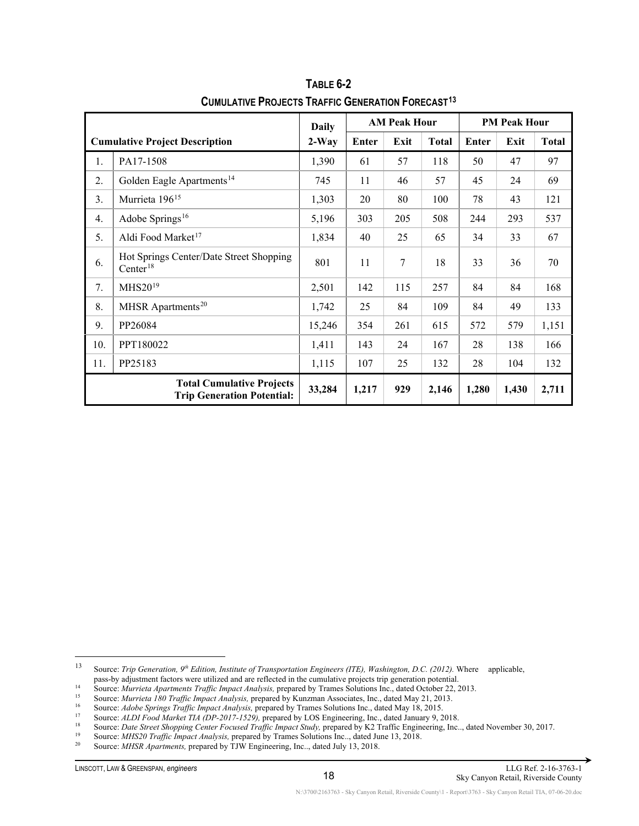|     |                                                                       | <b>Daily</b> |       | <b>AM Peak Hour</b> |              | <b>PM Peak Hour</b> |       |              |  |
|-----|-----------------------------------------------------------------------|--------------|-------|---------------------|--------------|---------------------|-------|--------------|--|
|     | <b>Cumulative Project Description</b>                                 | $2-Way$      | Enter | Exit                | <b>Total</b> | Enter               | Exit  | <b>Total</b> |  |
| 1.  | PA17-1508                                                             | 1,390        | 61    | 57                  | 118          | 50                  | 47    | 97           |  |
| 2.  | Golden Eagle Apartments <sup>14</sup>                                 | 745          | 11    | 46                  | 57           | 45                  | 24    | 69           |  |
| 3.  | Murrieta 196 <sup>15</sup>                                            | 1,303        | 20    | 80                  | 100          | 78                  | 43    | 121          |  |
| 4.  | Adobe Springs <sup>16</sup>                                           | 5,196        | 303   | 205                 | 508          | 244                 | 293   | 537          |  |
| 5.  | Aldi Food Market <sup>17</sup>                                        | 1,834        | 40    | 25                  | 65           | 34                  | 33    | 67           |  |
| 6.  | Hot Springs Center/Date Street Shopping<br>$Center^{18}$              | 801          | 11    | 7                   | 18           | 33                  | 36    | 70           |  |
| 7.  | MHS20 <sup>19</sup>                                                   | 2,501        | 142   | 115                 | 257          | 84                  | 84    | 168          |  |
| 8.  | MHSR Apartments <sup>20</sup>                                         | 1,742        | 25    | 84                  | 109          | 84                  | 49    | 133          |  |
| 9.  | PP26084                                                               | 15,246       | 354   | 261                 | 615          | 572                 | 579   | 1,151        |  |
| 10. | PPT180022                                                             | 1,411        | 143   | 24                  | 167          | 28                  | 138   | 166          |  |
| 11. | PP25183                                                               | 1,115        | 107   | 25                  | 132          | 28                  | 104   | 132          |  |
|     | <b>Total Cumulative Projects</b><br><b>Trip Generation Potential:</b> | 33,284       | 1,217 | 929                 | 2,146        | 1,280               | 1,430 | 2,711        |  |

**TABLE 6-2 CUMULATIVE PROJECTS TRAFFIC GENERATION FORECAST[13](#page-28-0)**

<span id="page-28-1"></span>14<br>
<sup>14</sup> Source: *Murrieta Apartments Traffic Impact Analysis,* prepared by Trames Solutions Inc., dated October 22, 2013.<br>
<sup>15</sup> Source: *Murrieta Apartments Traffic Impact Analysis,* prepared by Trames Solutions Inc., dat

<span id="page-28-0"></span><sup>13</sup> Source: *Trip Generation, 9th Edition, Institute of Transportation Engineers (ITE), Washington, D.C. (2012).* Where applicable, pass-by adjustment factors were utilized and are reflected in the cumulative projects trip generation potential.

<span id="page-28-2"></span><sup>15</sup> Source: *Murrieta 180 Traffic Impact Analysis,* prepared by Kunzman Associates, Inc., dated May 21, 2013.

<span id="page-28-3"></span><sup>16</sup> Source: *Adobe Springs Traffic Impact Analysis,* prepared by Trames Solutions Inc., dated May 18, 2015.

<span id="page-28-4"></span><sup>17</sup> Source: *ALDI Food Market TIA (DP-2017-1529),* prepared by LOS Engineering, Inc., dated January 9, 2018.

<sup>&</sup>lt;sup>18</sup> Source: *Date Street Shopping Center Focused Traffic Impact Study*, prepared by K2 Traffic Engineering, Inc.., dated November 30, 2017.

<span id="page-28-7"></span><span id="page-28-6"></span><span id="page-28-5"></span><sup>&</sup>lt;sup>19</sup> Source: *MHS20 Traffic Impact Analysis*, prepared by Trames Solutions Inc.., dated June 13, 2018.<br><sup>20</sup> Source: *MHSP Angutmants*, prepared by TIW Engineering Inc., dated July 13, 2018.

<sup>20</sup> Source: *MHSR Apartments,* prepared by TJW Engineering, Inc.., dated July 13, 2018.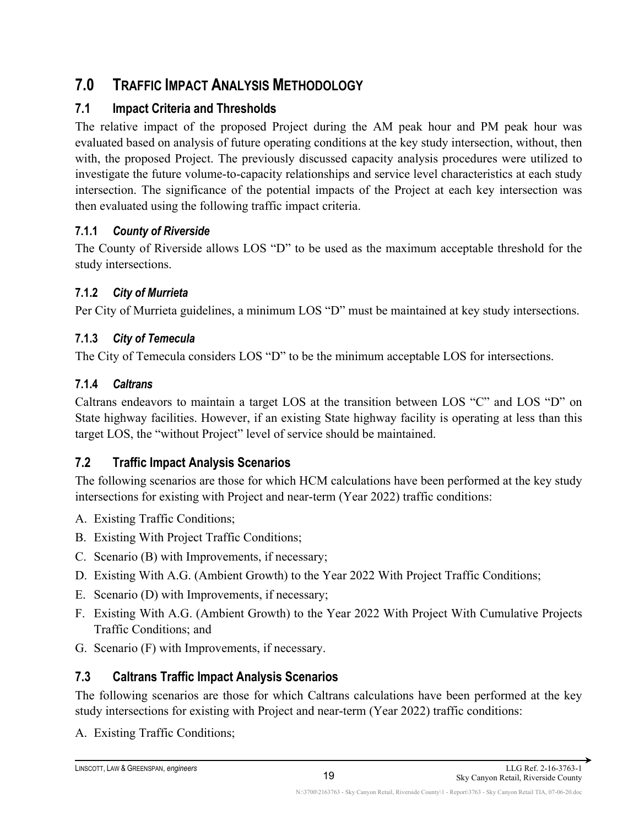# <span id="page-29-0"></span>**7.0 TRAFFIC IMPACT ANALYSIS METHODOLOGY**

## <span id="page-29-1"></span>**7.1 Impact Criteria and Thresholds**

The relative impact of the proposed Project during the AM peak hour and PM peak hour was evaluated based on analysis of future operating conditions at the key study intersection, without, then with, the proposed Project. The previously discussed capacity analysis procedures were utilized to investigate the future volume-to-capacity relationships and service level characteristics at each study intersection. The significance of the potential impacts of the Project at each key intersection was then evaluated using the following traffic impact criteria.

### <span id="page-29-2"></span>**7.1.1** *County of Riverside*

The County of Riverside allows LOS "D" to be used as the maximum acceptable threshold for the study intersections.

### <span id="page-29-3"></span>**7.1.2** *City of Murrieta*

Per City of Murrieta guidelines, a minimum LOS "D" must be maintained at key study intersections.

### <span id="page-29-4"></span>**7.1.3** *City of Temecula*

The City of Temecula considers LOS "D" to be the minimum acceptable LOS for intersections.

### <span id="page-29-5"></span>**7.1.4** *Caltrans*

Caltrans endeavors to maintain a target LOS at the transition between LOS "C" and LOS "D" on State highway facilities. However, if an existing State highway facility is operating at less than this target LOS, the "without Project" level of service should be maintained.

## <span id="page-29-6"></span>**7.2 Traffic Impact Analysis Scenarios**

The following scenarios are those for which HCM calculations have been performed at the key study intersections for existing with Project and near-term (Year 2022) traffic conditions:

- A. Existing Traffic Conditions;
- B. Existing With Project Traffic Conditions;
- C. Scenario (B) with Improvements, if necessary;
- D. Existing With A.G. (Ambient Growth) to the Year 2022 With Project Traffic Conditions;
- E. Scenario (D) with Improvements, if necessary;
- F. Existing With A.G. (Ambient Growth) to the Year 2022 With Project With Cumulative Projects Traffic Conditions; and
- G. Scenario (F) with Improvements, if necessary.

## <span id="page-29-7"></span>**7.3 Caltrans Traffic Impact Analysis Scenarios**

The following scenarios are those for which Caltrans calculations have been performed at the key study intersections for existing with Project and near-term (Year 2022) traffic conditions:

A. Existing Traffic Conditions;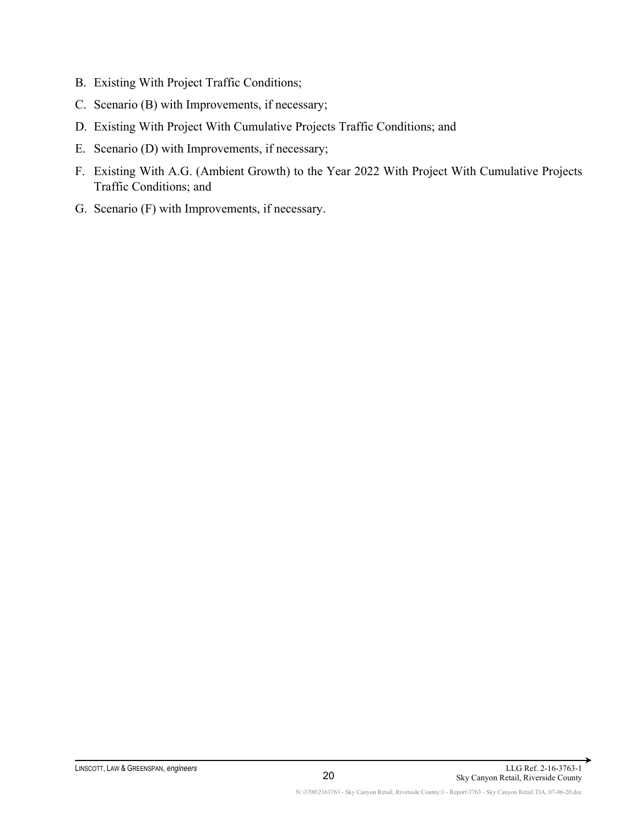- B. Existing With Project Traffic Conditions;
- C. Scenario (B) with Improvements, if necessary;
- D. Existing With Project With Cumulative Projects Traffic Conditions; and
- E. Scenario (D) with Improvements, if necessary;
- F. Existing With A.G. (Ambient Growth) to the Year 2022 With Project With Cumulative Projects Traffic Conditions; and
- G. Scenario (F) with Improvements, if necessary.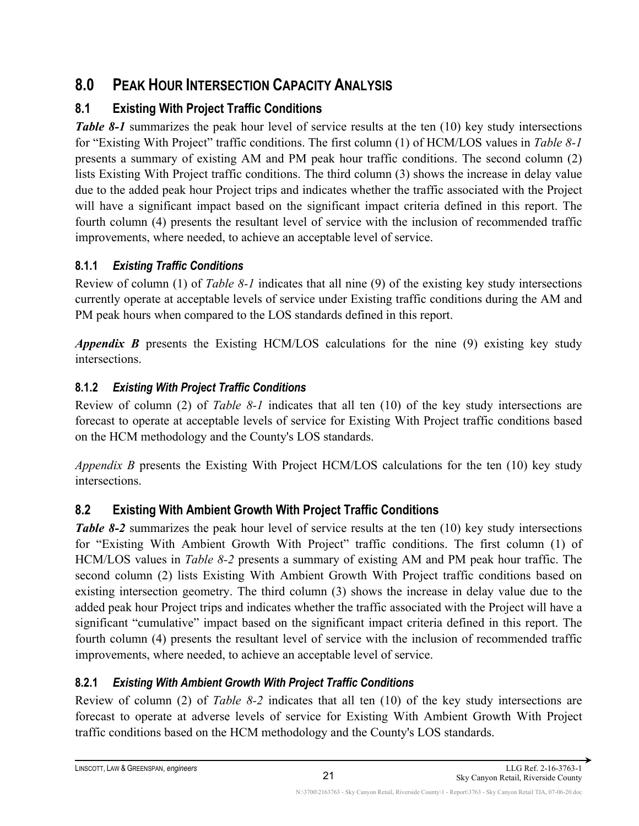# <span id="page-31-0"></span>**8.0 PEAK HOUR INTERSECTION CAPACITY ANALYSIS**

# <span id="page-31-1"></span>**8.1 Existing With Project Traffic Conditions**

*Table 8-1* summarizes the peak hour level of service results at the ten (10) key study intersections for "Existing With Project" traffic conditions. The first column (1) of HCM/LOS values in *Table 8-1* presents a summary of existing AM and PM peak hour traffic conditions. The second column (2) lists Existing With Project traffic conditions. The third column (3) shows the increase in delay value due to the added peak hour Project trips and indicates whether the traffic associated with the Project will have a significant impact based on the significant impact criteria defined in this report. The fourth column (4) presents the resultant level of service with the inclusion of recommended traffic improvements, where needed, to achieve an acceptable level of service.

## <span id="page-31-2"></span>**8.1.1** *Existing Traffic Conditions*

Review of column (1) of *Table 8-1* indicates that all nine (9) of the existing key study intersections currently operate at acceptable levels of service under Existing traffic conditions during the AM and PM peak hours when compared to the LOS standards defined in this report.

*Appendix B* presents the Existing HCM/LOS calculations for the nine (9) existing key study intersections.

## <span id="page-31-3"></span>**8.1.2** *Existing With Project Traffic Conditions*

Review of column (2) of *Table 8-1* indicates that all ten (10) of the key study intersections are forecast to operate at acceptable levels of service for Existing With Project traffic conditions based on the HCM methodology and the County's LOS standards.

*Appendix B* presents the Existing With Project HCM/LOS calculations for the ten (10) key study intersections.

# <span id="page-31-4"></span>**8.2 Existing With Ambient Growth With Project Traffic Conditions**

*Table 8-2* summarizes the peak hour level of service results at the ten (10) key study intersections for "Existing With Ambient Growth With Project" traffic conditions. The first column (1) of HCM/LOS values in *Table 8-2* presents a summary of existing AM and PM peak hour traffic. The second column (2) lists Existing With Ambient Growth With Project traffic conditions based on existing intersection geometry. The third column (3) shows the increase in delay value due to the added peak hour Project trips and indicates whether the traffic associated with the Project will have a significant "cumulative" impact based on the significant impact criteria defined in this report. The fourth column (4) presents the resultant level of service with the inclusion of recommended traffic improvements, where needed, to achieve an acceptable level of service.

## <span id="page-31-5"></span>**8.2.1** *Existing With Ambient Growth With Project Traffic Conditions*

Review of column (2) of *Table 8-2* indicates that all ten (10) of the key study intersections are forecast to operate at adverse levels of service for Existing With Ambient Growth With Project traffic conditions based on the HCM methodology and the County's LOS standards.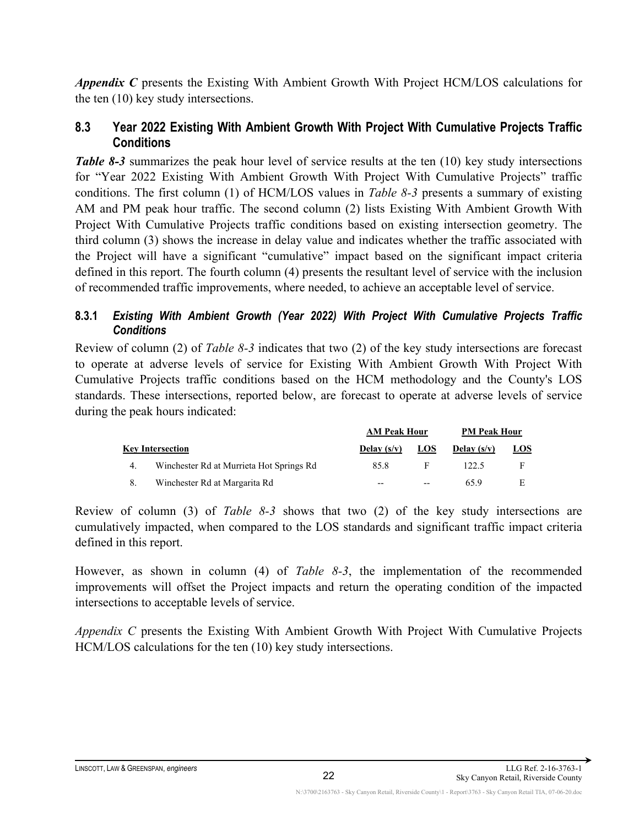*Appendix C* presents the Existing With Ambient Growth With Project HCM/LOS calculations for the ten (10) key study intersections.

#### <span id="page-32-0"></span>**8.3 Year 2022 Existing With Ambient Growth With Project With Cumulative Projects Traffic Conditions**

*Table 8-3* summarizes the peak hour level of service results at the ten (10) key study intersections for "Year 2022 Existing With Ambient Growth With Project With Cumulative Projects" traffic conditions. The first column (1) of HCM/LOS values in *Table 8-3* presents a summary of existing AM and PM peak hour traffic. The second column (2) lists Existing With Ambient Growth With Project With Cumulative Projects traffic conditions based on existing intersection geometry. The third column (3) shows the increase in delay value and indicates whether the traffic associated with the Project will have a significant "cumulative" impact based on the significant impact criteria defined in this report. The fourth column (4) presents the resultant level of service with the inclusion of recommended traffic improvements, where needed, to achieve an acceptable level of service.

#### <span id="page-32-1"></span>**8.3.1** *Existing With Ambient Growth (Year 2022) With Project With Cumulative Projects Traffic Conditions*

Review of column (2) of *Table 8-3* indicates that two (2) of the key study intersections are forecast to operate at adverse levels of service for Existing With Ambient Growth With Project With Cumulative Projects traffic conditions based on the HCM methodology and the County's LOS standards. These intersections, reported below, are forecast to operate at adverse levels of service during the peak hours indicated:

|    |                                          | <b>AM Peak Hour</b> |     | <b>PM Peak Hour</b> |            |  |
|----|------------------------------------------|---------------------|-----|---------------------|------------|--|
|    | <b>Key Intersection</b>                  | Delay $(s/v)$       | LOS | Delay $(s/v)$       | <u>LOS</u> |  |
| 4. | Winchester Rd at Murrieta Hot Springs Rd | 85.8                | F   | 122.5               |            |  |
| 8. | Winchester Rd at Margarita Rd            | $- -$               | --  | 65.9                |            |  |

Review of column (3) of *Table 8-3* shows that two (2) of the key study intersections are cumulatively impacted, when compared to the LOS standards and significant traffic impact criteria defined in this report.

However, as shown in column (4) of *Table 8-3*, the implementation of the recommended improvements will offset the Project impacts and return the operating condition of the impacted intersections to acceptable levels of service.

*Appendix C* presents the Existing With Ambient Growth With Project With Cumulative Projects HCM/LOS calculations for the ten (10) key study intersections.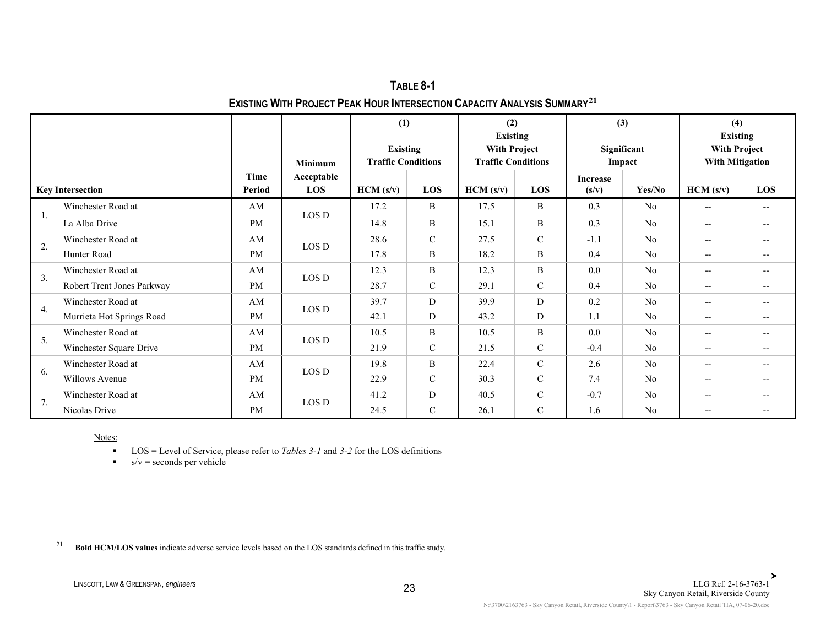<span id="page-33-0"></span>

| TABLE 8-1                                                                                   |
|---------------------------------------------------------------------------------------------|
| <b>EXISTING WITH PROJECT PEAK HOUR INTERSECTION CAPACITY ANALYSIS SUMMARY</b> <sup>21</sup> |

|     |                            |                |                                     | (1)<br><b>Existing</b><br><b>Traffic Conditions</b> |               | (2)<br><b>Existing</b><br><b>With Project</b><br><b>Traffic Conditions</b> |               | (3)<br>Significant<br>Impact |                | (4)<br><b>Existing</b><br><b>With Project</b><br><b>With Mitigation</b> |                     |
|-----|----------------------------|----------------|-------------------------------------|-----------------------------------------------------|---------------|----------------------------------------------------------------------------|---------------|------------------------------|----------------|-------------------------------------------------------------------------|---------------------|
|     | <b>Key Intersection</b>    | Time<br>Period | <b>Minimum</b><br>Acceptable<br>LOS | HCM (s/v)                                           | LOS           | HCM (s/v)                                                                  | LOS           | Increase<br>(s/v)            | Yes/No         | HCM (s/v)                                                               | LOS                 |
|     | Winchester Road at         | AM             | LOS D                               | 17.2                                                | B             | 17.5                                                                       | $\bf{B}$      | 0.3                          | N <sub>o</sub> | $- -$                                                                   | $- -$               |
| -1. | La Alba Drive              | <b>PM</b>      |                                     | 14.8                                                | $\, {\bf B}$  | 15.1                                                                       | $\bf{B}$      | 0.3                          | N <sub>o</sub> | $-$                                                                     | $-$                 |
| 2.  | Winchester Road at         | AM             | LOS D                               | 28.6                                                | $\mathcal{C}$ | 27.5                                                                       | $\mathcal{C}$ | $-1.1$                       | N <sub>o</sub> | $- -$                                                                   | $-$                 |
|     | Hunter Road                | <b>PM</b>      |                                     | 17.8                                                | B             | 18.2                                                                       | B             | 0.4                          | N <sub>0</sub> | $- -$                                                                   |                     |
| 3.  | Winchester Road at         | AM             | LOS D                               | 12.3                                                | B             | 12.3                                                                       | B             | 0.0                          | N <sub>0</sub> | $- -$                                                                   | $-$                 |
|     | Robert Trent Jones Parkway | <b>PM</b>      |                                     | 28.7                                                | $\mathsf{C}$  | 29.1                                                                       | $\mathbf C$   | 0.4                          | N <sub>o</sub> | $- -$                                                                   | $-$                 |
| 4.  | Winchester Road at         | AM             | LOS D                               | 39.7                                                | D             | 39.9                                                                       | ${\bf D}$     | 0.2                          | N <sub>o</sub> | $- -$                                                                   |                     |
|     | Murrieta Hot Springs Road  | <b>PM</b>      |                                     | 42.1                                                | D             | 43.2                                                                       | D             | 1.1                          | N <sub>0</sub> | $- -$                                                                   |                     |
| 5.  | Winchester Road at         | AM             | LOS D                               | 10.5                                                | B             | 10.5                                                                       | B             | 0.0                          | N <sub>0</sub> | --                                                                      | $\hspace{0.05cm} -$ |
|     | Winchester Square Drive    | <b>PM</b>      |                                     | 21.9                                                | $\mathcal{C}$ | 21.5                                                                       | $\mathcal{C}$ | $-0.4$                       | N <sub>0</sub> | $-$                                                                     |                     |
|     | Winchester Road at         | AM             | LOS D                               | 19.8                                                | B             | 22.4                                                                       | $\mathcal{C}$ | 2.6                          | No             | $-$                                                                     |                     |
| 6.  | Willows Avenue             | <b>PM</b>      |                                     | 22.9                                                | $\mathcal{C}$ | 30.3                                                                       | $\mathsf{C}$  | 7.4                          | N <sub>0</sub> | --                                                                      |                     |
|     | Winchester Road at         | AM             | LOS D                               | 41.2                                                | D             | 40.5                                                                       | $\mathcal{C}$ | $-0.7$                       | No             | $-$                                                                     | $-$                 |
| 7.  | Nicolas Drive              | <b>PM</b>      |                                     | 24.5                                                | $\mathcal{C}$ | 26.1                                                                       | $\mathcal{C}$ | 1.6                          | N <sub>o</sub> | --                                                                      |                     |

■ LOS = Level of Service, please refer to *Tables* 3-1 and 3-2 for the LOS definitions

 $s/v =$  seconds per vehicle

<sup>21</sup> **Bold HCM/LOS values** indicate adverse service levels based on the LOS standards defined in this traffic study.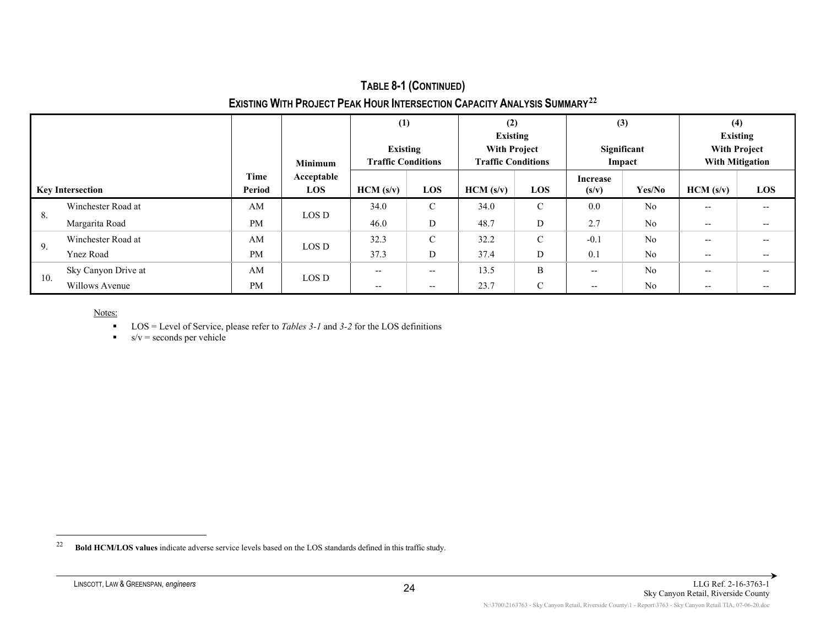### <span id="page-34-0"></span>**TABLE 8-1 (CONTINUED) EXISTING WITH PROJECT PEAK HOUR INTERSECTION CAPACITY ANALYSIS SUMMARY[22](#page-34-0)**

| <b>Key Intersection</b> |                     | <b>Minimum</b> |                   | (1)<br>Existing<br><b>Traffic Conditions</b> |               | (2)<br><b>Existing</b><br><b>With Project</b><br><b>Traffic Conditions</b> |               | (3)<br>Significant<br>Impact |                | (4)<br><b>Existing</b><br><b>With Project</b><br><b>With Mitigation</b> |                                       |
|-------------------------|---------------------|----------------|-------------------|----------------------------------------------|---------------|----------------------------------------------------------------------------|---------------|------------------------------|----------------|-------------------------------------------------------------------------|---------------------------------------|
|                         |                     | Time<br>Period | Acceptable<br>LOS | HCM (s/v)                                    | LOS           | HCM (s/v)                                                                  | <b>LOS</b>    | Increase<br>(s/v)            | Yes/No         | HCM (s/v)                                                               | <b>LOS</b>                            |
| 8.                      | Winchester Road at  | AM             |                   | 34.0                                         | $\mathcal{C}$ | 34.0                                                                       | $\mathcal{C}$ | 0.0                          | N <sub>o</sub> | $- -$                                                                   | $- -$                                 |
|                         | Margarita Road      | <b>PM</b>      | LOS D             | 46.0                                         | D             | 48.7                                                                       | D             | 2.7                          | N <sub>o</sub> | $- -$                                                                   | $- -$                                 |
| 9.                      | Winchester Road at  | AM             | LOS D             | 32.3                                         | $\mathcal{C}$ | 32.2                                                                       | $\mathcal{C}$ | $-0.1$                       | N <sub>o</sub> | $- -$                                                                   | $- -$                                 |
|                         | <b>Ynez Road</b>    | <b>PM</b>      |                   | 37.3                                         | D             | 37.4                                                                       | D             | 0.1                          | N <sub>o</sub> | $\overline{\phantom{m}}$                                                | $\hspace{0.05cm}$ – $\hspace{0.05cm}$ |
| 10.                     | Sky Canyon Drive at | AM             | LOS D             | $- -$                                        | $- -$         | 13.5                                                                       | B             | $\hspace{0.05cm} \ldots$     | N <sub>o</sub> | $\overline{\phantom{m}}$                                                | $- -$                                 |
|                         | Willows Avenue      | <b>PM</b>      |                   | $- -$                                        | $- -$         | 23.7                                                                       | $\mathcal{C}$ | $\overline{\phantom{m}}$     | No             | $\overline{\phantom{m}}$                                                | $- -$                                 |

- LOS = Level of Service, please refer to *Tables 3-1* and *3-2* for the LOS definitions
- $s/v =$  seconds per vehicle

<sup>22</sup> **Bold HCM/LOS values** indicate adverse service levels based on the LOS standards defined in this traffic study.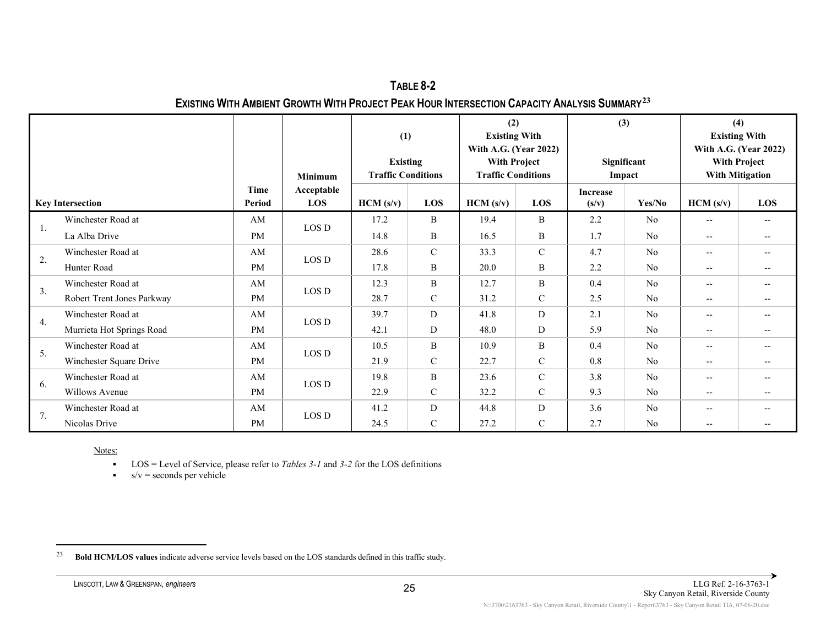<span id="page-35-0"></span>**TABLE 8-2 EXISTING WITH AMBIENT GROWTH WITH PROJECT PEAK HOUR INTERSECTION CAPACITY ANALYSIS SUMMARY[23](#page-35-0)**

|    |                            |           | <b>Minimum</b>    |           | (1)<br><b>Existing</b><br><b>Traffic Conditions</b> |          | (2)<br><b>Existing With</b><br>With A.G. (Year 2022)<br><b>With Project</b><br><b>Traffic Conditions</b> |                          | (3)<br>Significant<br>Impact |                          | (4)<br><b>Existing With</b><br>With A.G. (Year 2022)<br><b>With Project</b><br><b>With Mitigation</b> |  |
|----|----------------------------|-----------|-------------------|-----------|-----------------------------------------------------|----------|----------------------------------------------------------------------------------------------------------|--------------------------|------------------------------|--------------------------|-------------------------------------------------------------------------------------------------------|--|
|    | <b>Key Intersection</b>    |           | Acceptable<br>LOS | HCM (s/v) | LOS                                                 | HCM(s/v) | LOS                                                                                                      | <b>Increase</b><br>(s/v) | Yes/No                       | HCM (s/v)                | <b>LOS</b>                                                                                            |  |
|    | Winchester Road at         | AM        |                   | 17.2      | B                                                   | 19.4     | B                                                                                                        | 2.2                      | N <sub>o</sub>               | $- -$                    | $- -$                                                                                                 |  |
| 1. | La Alba Drive              | <b>PM</b> | LOS D             | 14.8      | B                                                   | 16.5     | B                                                                                                        | 1.7                      | N <sub>o</sub>               | $\overline{\phantom{a}}$ |                                                                                                       |  |
|    | Winchester Road at         | AM        |                   | 28.6      | $\mathbf C$                                         | 33.3     | $\mathcal{C}$                                                                                            | 4.7                      | No                           | $\overline{\phantom{a}}$ | $- -$                                                                                                 |  |
| 2. | Hunter Road                | <b>PM</b> | LOS D             | 17.8      | B                                                   | 20.0     | B                                                                                                        | 2.2                      | N <sub>o</sub>               | $-\!$ $\!-$              |                                                                                                       |  |
| 3. | Winchester Road at         | AM        | LOS D             | 12.3      | B                                                   | 12.7     | B                                                                                                        | 0.4                      | N <sub>o</sub>               | $\overline{\phantom{a}}$ |                                                                                                       |  |
|    | Robert Trent Jones Parkway | <b>PM</b> |                   | 28.7      | $\mathbf C$                                         | 31.2     | $\mathcal{C}$                                                                                            | 2.5                      | No                           | $\qquad \qquad -$        | $- -$                                                                                                 |  |
|    | Winchester Road at         | AM        | $\rm{LOS}\,D$     | 39.7      | D                                                   | 41.8     | D                                                                                                        | 2.1                      | N <sub>o</sub>               | $\overline{\phantom{a}}$ | $- -$                                                                                                 |  |
| 4. | Murrieta Hot Springs Road  | <b>PM</b> |                   | 42.1      | D                                                   | 48.0     | D                                                                                                        | 5.9                      | N <sub>o</sub>               | $\overline{\phantom{a}}$ | --                                                                                                    |  |
|    | Winchester Road at         | AM        | LOS D             | 10.5      | B                                                   | 10.9     | B                                                                                                        | 0.4                      | No                           | $\qquad \qquad -$        | $- -$                                                                                                 |  |
| 5. | Winchester Square Drive    | <b>PM</b> |                   | 21.9      | $\mathcal{C}$                                       | 22.7     | $\mathsf{C}$                                                                                             | 0.8                      | N <sub>o</sub>               | $-\!$ $\!-$              |                                                                                                       |  |
|    | Winchester Road at         | AM        |                   | 19.8      | B                                                   | 23.6     | $\mathcal{C}$                                                                                            | 3.8                      | N <sub>o</sub>               | $\overline{\phantom{a}}$ |                                                                                                       |  |
| 6. | Willows Avenue             | <b>PM</b> | LOS D             | 22.9      | $\mathcal{C}$                                       | 32.2     | $\mathbf C$                                                                                              | 9.3                      | N <sub>o</sub>               | $\overline{\phantom{a}}$ | $- -$                                                                                                 |  |
| 7. | Winchester Road at         | AM        |                   | 41.2      | D                                                   | 44.8     | D                                                                                                        | 3.6                      | No                           | $\overline{\phantom{a}}$ |                                                                                                       |  |
|    | Nicolas Drive              | <b>PM</b> | LOS D             | 24.5      | $\mathbf C$                                         | 27.2     | $\mathbf C$                                                                                              | 2.7                      | N <sub>o</sub>               | $- -$                    |                                                                                                       |  |

- LOS = Level of Service, please refer to *Tables 3-1* and *3-2* for the LOS definitions
- $s/v =$  seconds per vehicle

<sup>23</sup> **Bold HCM/LOS values** indicate adverse service levels based on the LOS standards defined in this traffic study.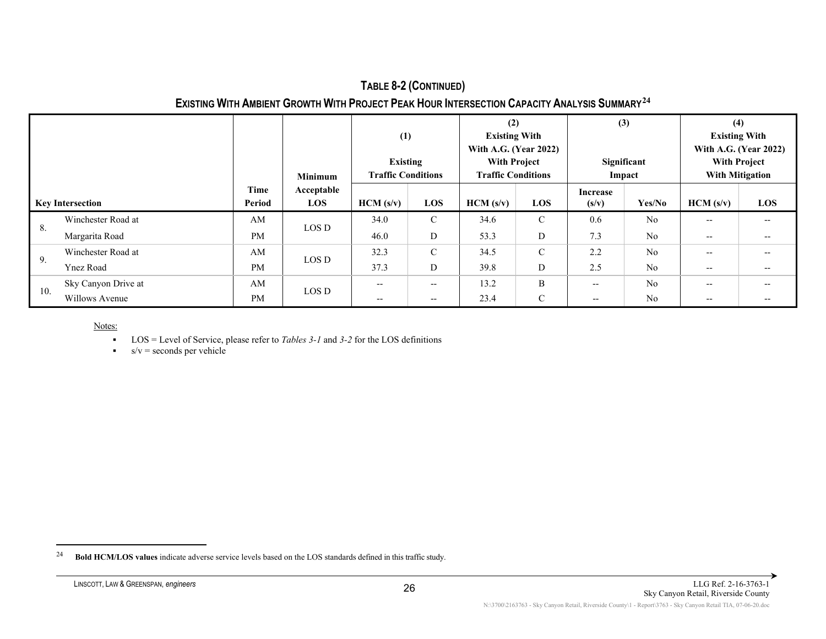### <span id="page-36-0"></span>**TABLE 8-2 (CONTINUED) EXISTING WITH AMBIENT GROWTH WITH PROJECT PEAK HOUR INTERSECTION CAPACITY ANALYSIS SUMMARY[24](#page-36-0)**

|                         |                     |                | <b>Minimum</b>           | (1)<br><b>Existing</b><br><b>Traffic Conditions</b> |               | (2)<br><b>Existing With</b><br>With A.G. (Year 2022)<br><b>With Project</b><br><b>Traffic Conditions</b> |             | (3)<br>Significant<br>Impact |                | (4)<br><b>Existing With</b><br>With A.G. (Year 2022)<br><b>With Project</b><br><b>With Mitigation</b> |       |
|-------------------------|---------------------|----------------|--------------------------|-----------------------------------------------------|---------------|----------------------------------------------------------------------------------------------------------|-------------|------------------------------|----------------|-------------------------------------------------------------------------------------------------------|-------|
| <b>Key Intersection</b> |                     | Time<br>Period | Acceptable<br><b>LOS</b> | HCM(s/v)                                            | LOS           | HCM (s/v)                                                                                                | LOS         | <b>Increase</b><br>(s/v)     | Yes/No         | HCM (s/v)                                                                                             | LOS   |
|                         | Winchester Road at  | AM             | LOS D                    | 34.0                                                | $\mathcal{C}$ | 34.6                                                                                                     | $\mathbf C$ | 0.6                          | N <sub>o</sub> | $- -$                                                                                                 | $- -$ |
| 8.                      | Margarita Road      | PM             |                          | 46.0                                                | D             | 53.3                                                                                                     | D           | 7.3                          | N <sub>o</sub> | $- -$                                                                                                 | $- -$ |
|                         | Winchester Road at  | AM             | LOS D                    | 32.3                                                | $\mathbf C$   | 34.5                                                                                                     | $\mathbf C$ | 2.2                          | N <sub>o</sub> | $- -$                                                                                                 | $- -$ |
| 9.                      | <b>Ynez Road</b>    | <b>PM</b>      |                          | 37.3                                                | D             | 39.8                                                                                                     | D           | 2.5                          | N <sub>o</sub> | $- -$                                                                                                 | $- -$ |
| 10.                     | Sky Canyon Drive at | AM             | LOS D                    | --                                                  | --            | 13.2                                                                                                     | B           | $\overline{\phantom{m}}$     | N <sub>o</sub> | $\hspace{0.04in}$ $\hspace{0.04in}$                                                                   | --    |
|                         | Willows Avenue      | <b>PM</b>      |                          | $\hspace{0.05cm}$ – $\hspace{0.05cm}$               | $- -$         | 23.4                                                                                                     | C           | $\overline{\phantom{m}}$     | N <sub>o</sub> | $- -$                                                                                                 | $- -$ |

- LOS = Level of Service, please refer to *Tables 3-1* and *3-2* for the LOS definitions
- $s/v =$  seconds per vehicle

<sup>24</sup> **Bold HCM/LOS values** indicate adverse service levels based on the LOS standards defined in this traffic study.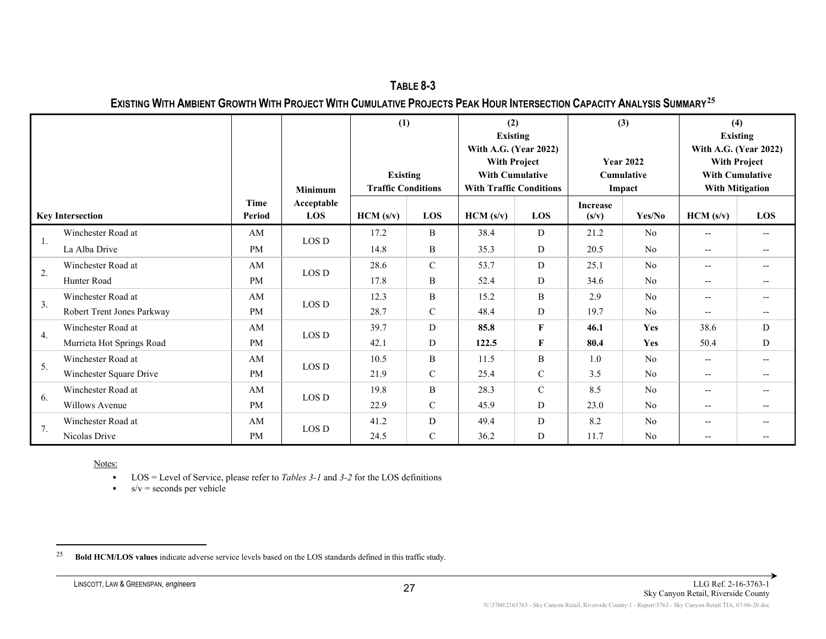<span id="page-37-0"></span>**TABLE 8-3 EXISTING WITH AMBIENT GROWTH WITH PROJECT WITH CUMULATIVE PROJECTS PEAK HOUR INTERSECTION CAPACITY ANALYSIS SUMMARY[25](#page-37-0)**

| <b>Key Intersection</b> |                            | <b>Minimum</b> |                          | (1)<br><b>Existing</b><br><b>Traffic Conditions</b> |               | (2)<br><b>Existing</b><br>With A.G. (Year 2022)<br><b>With Project</b><br><b>With Cumulative</b><br><b>With Traffic Conditions</b> |              | (3)<br><b>Year 2022</b><br>Cumulative<br>Impact |                | (4)<br><b>Existing</b><br>With A.G. (Year 2022)<br><b>With Project</b><br><b>With Cumulative</b><br><b>With Mitigation</b> |       |
|-------------------------|----------------------------|----------------|--------------------------|-----------------------------------------------------|---------------|------------------------------------------------------------------------------------------------------------------------------------|--------------|-------------------------------------------------|----------------|----------------------------------------------------------------------------------------------------------------------------|-------|
|                         |                            | Time<br>Period | Acceptable<br><b>LOS</b> | HCM(s/v)                                            | <b>LOS</b>    | HCM (s/v)                                                                                                                          | LOS          | <b>Increase</b><br>(s/v)                        | Yes/No         | HCM(s/v)                                                                                                                   | LOS   |
|                         | Winchester Road at         | AM             |                          | 17.2                                                | B             | 38.4                                                                                                                               | D            | 21.2                                            | N <sub>o</sub> | $\overline{\phantom{a}}$                                                                                                   | $- -$ |
| 1.                      | La Alba Drive              | <b>PM</b>      | LOS D                    | 14.8                                                | B             | 35.3                                                                                                                               | D            | 20.5                                            | N <sub>o</sub> | $--$                                                                                                                       | $- -$ |
|                         | Winchester Road at         | AM             | LOS D                    | 28.6                                                | $\mathcal{C}$ | 53.7                                                                                                                               | D            | 25.1                                            | No             | $--$                                                                                                                       | $--$  |
| 2.                      | Hunter Road                | <b>PM</b>      |                          | 17.8                                                | B             | 52.4                                                                                                                               | D            | 34.6                                            | N <sub>o</sub> | $\hspace{0.05cm} -\hspace{0.05cm} -\hspace{0.05cm}$                                                                        | $- -$ |
|                         | Winchester Road at         | AM             |                          | 12.3                                                | B             | 15.2                                                                                                                               | B            | 2.9                                             | N <sub>o</sub> | $\hspace{0.05cm} -\hspace{0.05cm} -\hspace{0.05cm}$                                                                        | $- -$ |
| 3.                      | Robert Trent Jones Parkway | <b>PM</b>      | LOS D                    | 28.7                                                | $\mathcal{C}$ | 48.4                                                                                                                               | D            | 19.7                                            | N <sub>0</sub> | $- -$                                                                                                                      |       |
| 4.                      | Winchester Road at         | AM             | LOS D                    | 39.7                                                | D             | 85.8                                                                                                                               | $\mathbf{F}$ | 46.1                                            | Yes            | 38.6                                                                                                                       | D     |
|                         | Murrieta Hot Springs Road  | <b>PM</b>      |                          | 42.1                                                | D             | 122.5                                                                                                                              | $\mathbf F$  | 80.4                                            | Yes            | 50.4                                                                                                                       | D     |
| 5.                      | Winchester Road at         | AM             | LOS D                    | 10.5                                                | B             | 11.5                                                                                                                               | B            | 1.0                                             | N <sub>0</sub> | $\overline{\phantom{a}}$                                                                                                   | $--$  |
|                         | Winchester Square Drive    | <b>PM</b>      |                          | 21.9                                                | $\mathcal{C}$ | 25.4                                                                                                                               | $\mathbf C$  | 3.5                                             | N <sub>o</sub> | $\hspace{0.05cm} -\hspace{0.05cm} -\hspace{0.05cm}$                                                                        | $- -$ |
|                         | Winchester Road at         | AM             |                          | 19.8                                                | B             | 28.3                                                                                                                               | $\mathsf{C}$ | 8.5                                             | N <sub>0</sub> | $\overline{\phantom{a}}$                                                                                                   | $- -$ |
| 6.                      | Willows Avenue             | <b>PM</b>      | LOS D                    | 22.9                                                | $\mathcal{C}$ | 45.9                                                                                                                               | D            | 23.0                                            | N <sub>o</sub> | $\hspace{0.05cm} -\hspace{0.05cm} -\hspace{0.05cm}$                                                                        | $- -$ |
| 7.                      | Winchester Road at         | AM             | LOS D                    | 41.2                                                | D             | 49.4                                                                                                                               | D            | 8.2                                             | N <sub>o</sub> | $\overline{\phantom{a}}$                                                                                                   | $- -$ |
|                         | Nicolas Drive              | <b>PM</b>      |                          | 24.5                                                | $\mathcal{C}$ | 36.2                                                                                                                               | D            | 11.7                                            | N <sub>o</sub> | $- -$                                                                                                                      |       |

- LOS = Level of Service, please refer to *Tables 3-1* and *3-2* for the LOS definitions
- $s/v =$  seconds per vehicle

<sup>25</sup> **Bold HCM/LOS values** indicate adverse service levels based on the LOS standards defined in this traffic study.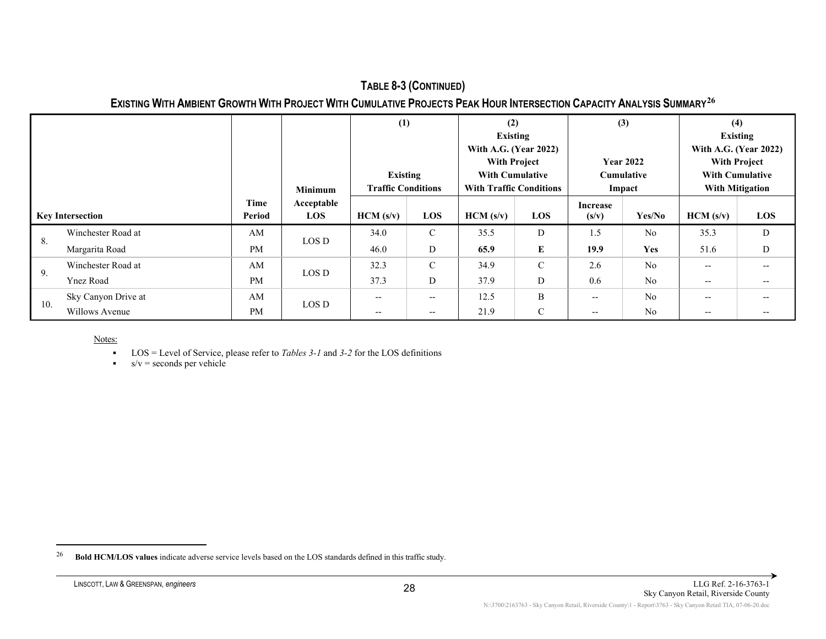#### <span id="page-38-0"></span>**TABLE 8-3 (CONTINUED) EXISTING WITH AMBIENT GROWTH WITH PROJECT WITH CUMULATIVE PROJECTS PEAK HOUR INTERSECTION CAPACITY ANALYSIS SUMMARY[26](#page-38-0)**

|                         |                     |                | <b>Minimum</b>           | (1)<br><b>Existing</b><br><b>Traffic Conditions</b> |                          | (2)<br><b>Existing</b><br>With A.G. (Year 2022)<br><b>With Project</b><br><b>With Cumulative</b><br><b>With Traffic Conditions</b> |               | (3)<br><b>Year 2022</b><br><b>Cumulative</b><br>Impact |                | (4)<br><b>Existing</b><br>With A.G. (Year 2022)<br><b>With Project</b><br><b>With Cumulative</b><br><b>With Mitigation</b> |       |
|-------------------------|---------------------|----------------|--------------------------|-----------------------------------------------------|--------------------------|------------------------------------------------------------------------------------------------------------------------------------|---------------|--------------------------------------------------------|----------------|----------------------------------------------------------------------------------------------------------------------------|-------|
| <b>Key Intersection</b> |                     | Time<br>Period | Acceptable<br><b>LOS</b> | HCM (s/v)                                           | <b>LOS</b>               | HCM (s/v)                                                                                                                          | LOS           | Increase<br>(s/v)                                      | Yes/No         | HCM (s/v)                                                                                                                  | LOS   |
|                         | Winchester Road at  | AM             |                          | 34.0                                                | $\mathcal{C}$            | 35.5                                                                                                                               | D             | 1.5                                                    | N <sub>o</sub> | 35.3                                                                                                                       | D     |
| 8.                      | Margarita Road      | <b>PM</b>      | LOS D                    | 46.0                                                | D                        | 65.9                                                                                                                               | Е             | 19.9                                                   | Yes            | 51.6                                                                                                                       | D     |
| 9.                      | Winchester Road at  | AM             |                          | 32.3                                                | $\mathcal{C}$            | 34.9                                                                                                                               | $\mathcal{C}$ | 2.6                                                    | N <sub>o</sub> | $- -$                                                                                                                      | $- -$ |
|                         | <b>Ynez Road</b>    | <b>PM</b>      | LOS D                    | 37.3                                                | D                        | 37.9                                                                                                                               | D             | 0.6                                                    | N <sub>o</sub> | $- -$                                                                                                                      | $- -$ |
| 10.                     | Sky Canyon Drive at | AM             |                          | $- -$                                               | $- -$                    | 12.5                                                                                                                               | B             | $\qquad \qquad -$                                      | N <sub>o</sub> | $- -$                                                                                                                      | $- -$ |
|                         | Willows Avenue      | <b>PM</b>      | LOS D                    | $- -$                                               | $\hspace{0.05cm} \ldots$ | 21.9                                                                                                                               | $\mathcal{C}$ | $- -$                                                  | N <sub>o</sub> | $- -$                                                                                                                      | $- -$ |

- LOS = Level of Service, please refer to *Tables 3-1* and *3-2* for the LOS definitions
- $s/v =$  seconds per vehicle

<sup>26</sup> **Bold HCM/LOS values** indicate adverse service levels based on the LOS standards defined in this traffic study.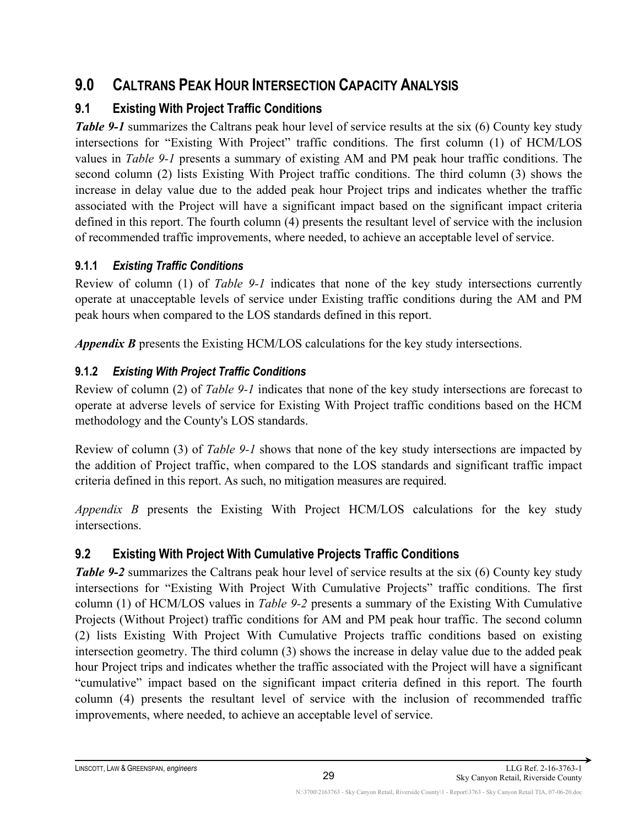# <span id="page-39-0"></span>**9.0 CALTRANS PEAK HOUR INTERSECTION CAPACITY ANALYSIS**

## <span id="page-39-1"></span>**9.1 Existing With Project Traffic Conditions**

*Table 9-1* summarizes the Caltrans peak hour level of service results at the six (6) County key study intersections for "Existing With Project" traffic conditions. The first column (1) of HCM/LOS values in *Table 9-1* presents a summary of existing AM and PM peak hour traffic conditions. The second column (2) lists Existing With Project traffic conditions. The third column (3) shows the increase in delay value due to the added peak hour Project trips and indicates whether the traffic associated with the Project will have a significant impact based on the significant impact criteria defined in this report. The fourth column (4) presents the resultant level of service with the inclusion of recommended traffic improvements, where needed, to achieve an acceptable level of service.

## <span id="page-39-2"></span>**9.1.1** *Existing Traffic Conditions*

Review of column (1) of *Table 9-1* indicates that none of the key study intersections currently operate at unacceptable levels of service under Existing traffic conditions during the AM and PM peak hours when compared to the LOS standards defined in this report.

*Appendix B* presents the Existing HCM/LOS calculations for the key study intersections.

## <span id="page-39-3"></span>**9.1.2** *Existing With Project Traffic Conditions*

Review of column (2) of *Table 9-1* indicates that none of the key study intersections are forecast to operate at adverse levels of service for Existing With Project traffic conditions based on the HCM methodology and the County's LOS standards.

Review of column (3) of *Table 9-1* shows that none of the key study intersections are impacted by the addition of Project traffic, when compared to the LOS standards and significant traffic impact criteria defined in this report. As such, no mitigation measures are required.

*Appendix B* presents the Existing With Project HCM/LOS calculations for the key study intersections.

## <span id="page-39-4"></span>**9.2 Existing With Project With Cumulative Projects Traffic Conditions**

*Table 9-2* summarizes the Caltrans peak hour level of service results at the six (6) County key study intersections for "Existing With Project With Cumulative Projects" traffic conditions. The first column (1) of HCM/LOS values in *Table 9-2* presents a summary of the Existing With Cumulative Projects (Without Project) traffic conditions for AM and PM peak hour traffic. The second column (2) lists Existing With Project With Cumulative Projects traffic conditions based on existing intersection geometry. The third column (3) shows the increase in delay value due to the added peak hour Project trips and indicates whether the traffic associated with the Project will have a significant "cumulative" impact based on the significant impact criteria defined in this report. The fourth column (4) presents the resultant level of service with the inclusion of recommended traffic improvements, where needed, to achieve an acceptable level of service.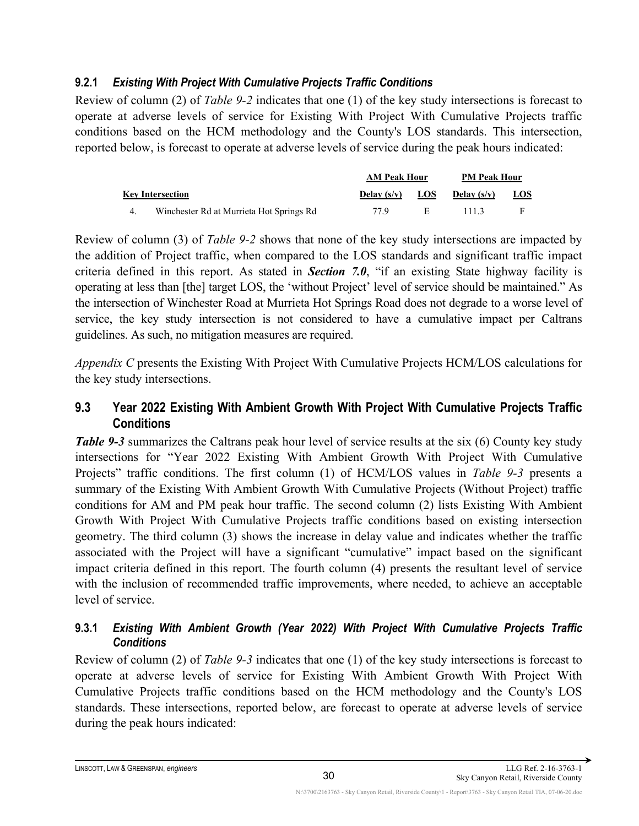#### <span id="page-40-0"></span>**9.2.1** *Existing With Project With Cumulative Projects Traffic Conditions*

Review of column (2) of *Table 9-2* indicates that one (1) of the key study intersections is forecast to operate at adverse levels of service for Existing With Project With Cumulative Projects traffic conditions based on the HCM methodology and the County's LOS standards. This intersection, reported below, is forecast to operate at adverse levels of service during the peak hours indicated:

|                                          | <b>AM Peak Hour</b> |            | <b>PM Peak Hour</b>  |            |
|------------------------------------------|---------------------|------------|----------------------|------------|
| <b>Key Intersection</b>                  | Delay $(s/v)$       | <b>LOS</b> | <b>Delay</b> $(s/v)$ | <u>LOS</u> |
| Winchester Rd at Murrieta Hot Springs Rd | 77 Q                | - F -      | 1113                 |            |

Review of column (3) of *Table 9-2* shows that none of the key study intersections are impacted by the addition of Project traffic, when compared to the LOS standards and significant traffic impact criteria defined in this report. As stated in *Section 7.0*, "if an existing State highway facility is operating at less than [the] target LOS, the 'without Project' level of service should be maintained." As the intersection of Winchester Road at Murrieta Hot Springs Road does not degrade to a worse level of service, the key study intersection is not considered to have a cumulative impact per Caltrans guidelines. As such, no mitigation measures are required.

*Appendix C* presents the Existing With Project With Cumulative Projects HCM/LOS calculations for the key study intersections.

#### <span id="page-40-1"></span>**9.3 Year 2022 Existing With Ambient Growth With Project With Cumulative Projects Traffic Conditions**

*Table 9-3* summarizes the Caltrans peak hour level of service results at the six (6) County key study intersections for "Year 2022 Existing With Ambient Growth With Project With Cumulative Projects" traffic conditions. The first column (1) of HCM/LOS values in *Table 9-3* presents a summary of the Existing With Ambient Growth With Cumulative Projects (Without Project) traffic conditions for AM and PM peak hour traffic. The second column (2) lists Existing With Ambient Growth With Project With Cumulative Projects traffic conditions based on existing intersection geometry. The third column (3) shows the increase in delay value and indicates whether the traffic associated with the Project will have a significant "cumulative" impact based on the significant impact criteria defined in this report. The fourth column (4) presents the resultant level of service with the inclusion of recommended traffic improvements, where needed, to achieve an acceptable level of service.

#### <span id="page-40-2"></span>**9.3.1** *Existing With Ambient Growth (Year 2022) With Project With Cumulative Projects Traffic Conditions*

Review of column (2) of *Table 9-3* indicates that one (1) of the key study intersections is forecast to operate at adverse levels of service for Existing With Ambient Growth With Project With Cumulative Projects traffic conditions based on the HCM methodology and the County's LOS standards. These intersections, reported below, are forecast to operate at adverse levels of service during the peak hours indicated: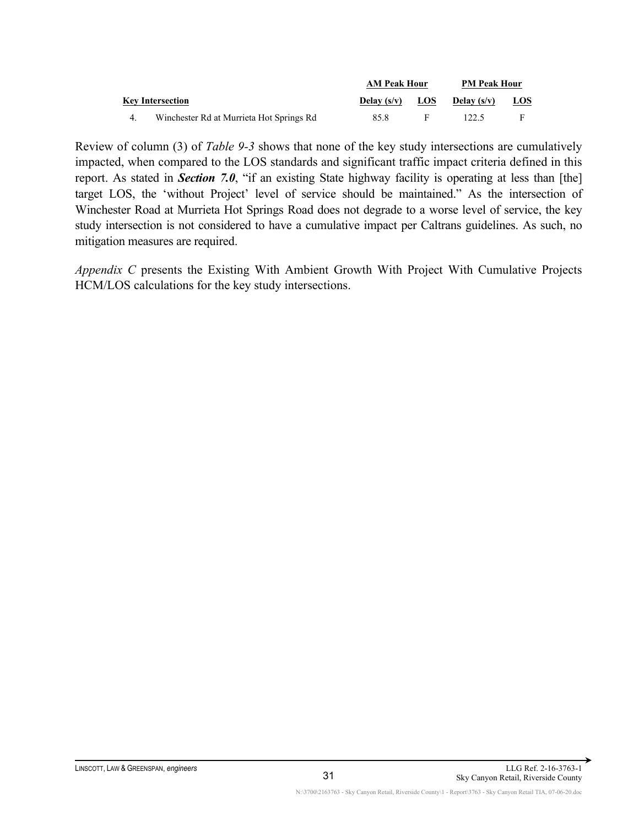|                                          | <b>AM Peak Hour</b> | <b>PM Peak Hour</b> |               |            |
|------------------------------------------|---------------------|---------------------|---------------|------------|
| <b>Key Intersection</b>                  | Delay $(s/v)$       | <b>LOS</b>          | Delay $(s/v)$ | <u>LOS</u> |
| Winchester Rd at Murrieta Hot Springs Rd | 85.8                |                     | 122.5         | F          |

Review of column (3) of *Table 9-3* shows that none of the key study intersections are cumulatively impacted, when compared to the LOS standards and significant traffic impact criteria defined in this report. As stated in **Section** 7.0, "if an existing State highway facility is operating at less than [the] target LOS, the 'without Project' level of service should be maintained." As the intersection of Winchester Road at Murrieta Hot Springs Road does not degrade to a worse level of service, the key study intersection is not considered to have a cumulative impact per Caltrans guidelines. As such, no mitigation measures are required.

*Appendix C* presents the Existing With Ambient Growth With Project With Cumulative Projects HCM/LOS calculations for the key study intersections.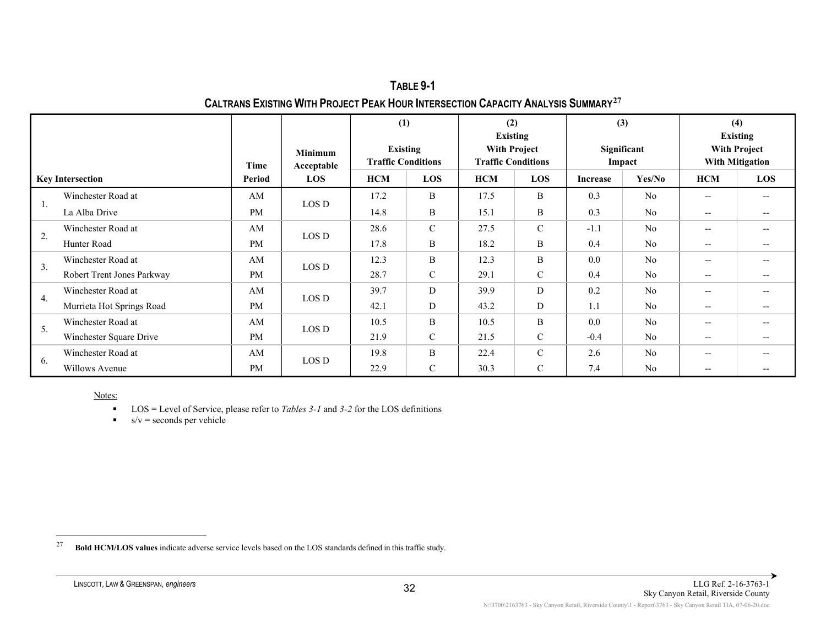<span id="page-42-0"></span>**TABLE 9-1 CALTRANS EXISTING WITH PROJECT PEAK HOUR INTERSECTION CAPACITY ANALYSIS SUMMARY[27](#page-42-0)**

|                         |                            |           |                              | (1)                                          |               | (2)<br><b>Existing</b>                           |               | (3)                   |                | (4)<br><b>Existing</b>                        |                          |
|-------------------------|----------------------------|-----------|------------------------------|----------------------------------------------|---------------|--------------------------------------------------|---------------|-----------------------|----------------|-----------------------------------------------|--------------------------|
|                         |                            |           | <b>Minimum</b><br>Acceptable | <b>Existing</b><br><b>Traffic Conditions</b> |               | <b>With Project</b><br><b>Traffic Conditions</b> |               | Significant<br>Impact |                | <b>With Project</b><br><b>With Mitigation</b> |                          |
| <b>Key Intersection</b> |                            | Period    | <b>LOS</b>                   | <b>HCM</b>                                   | LOS           | <b>HCM</b>                                       | LOS           | <b>Increase</b>       | Yes/No         | <b>HCM</b>                                    | LOS                      |
|                         | Winchester Road at         | AM        | LOS D                        | 17.2                                         | B             | 17.5                                             | $\, {\bf B}$  | 0.3                   | N <sub>o</sub> | $-$                                           | $- -$                    |
| 1.                      | La Alba Drive              | <b>PM</b> |                              | 14.8                                         | B             | 15.1                                             | B             | 0.3                   | N <sub>o</sub> | $\hspace{0.05cm} \ldots$                      | $- -$                    |
|                         | Winchester Road at         | AM        | LOS D                        | 28.6                                         | $\mathcal{C}$ | 27.5                                             | $\mathcal{C}$ | $-1.1$                | No             | $- -$                                         | $- -$                    |
| 2.                      | Hunter Road                | <b>PM</b> |                              | 17.8                                         | B             | 18.2                                             | B             | 0.4                   | N <sub>o</sub> | $-$                                           | $-$                      |
| 3.                      | Winchester Road at         | AM        | LOS D                        | 12.3                                         | B             | 12.3                                             | B             | 0.0                   | N <sub>o</sub> | $-$                                           | $- -$                    |
|                         | Robert Trent Jones Parkway | <b>PM</b> |                              | 28.7                                         | $\mathcal{C}$ | 29.1                                             | $\mathcal{C}$ | 0.4                   | N <sub>o</sub> | $- -$                                         | $\overline{\phantom{m}}$ |
|                         | Winchester Road at         | AM        |                              | 39.7                                         | D             | 39.9                                             | D             | 0.2                   | N <sub>o</sub> | $- -$                                         | $-$                      |
| 4.                      | Murrieta Hot Springs Road  | <b>PM</b> | LOS D                        | 42.1                                         | D             | 43.2                                             | D             | 1.1                   | N <sub>o</sub> | $- -$                                         | $- -$                    |
| 5.                      | Winchester Road at         | AM        |                              | 10.5                                         | B             | 10.5                                             | B             | 0.0                   | No             | $- -$                                         | $-$                      |
|                         | Winchester Square Drive    | <b>PM</b> | LOS D                        | 21.9                                         | $\mathcal{C}$ | 21.5                                             | $\mathcal{C}$ | $-0.4$                | N <sub>o</sub> | $- -$                                         | $- -$                    |
| 6.                      | Winchester Road at         | AM        |                              | 19.8                                         | B             | 22.4                                             | $\mathcal{C}$ | 2.6                   | No             | $- -$                                         | $-$                      |
|                         | Willows Avenue             | <b>PM</b> | LOS D                        | 22.9                                         | $\mathcal{C}$ | 30.3                                             | $\mathcal{C}$ | 7.4                   | N <sub>o</sub> | --                                            |                          |

■ LOS = Level of Service, please refer to *Tables 3-1* and 3-2 for the LOS definitions

 $s/v =$  seconds per vehicle

<sup>27</sup> **Bold HCM/LOS values** indicate adverse service levels based on the LOS standards defined in this traffic study.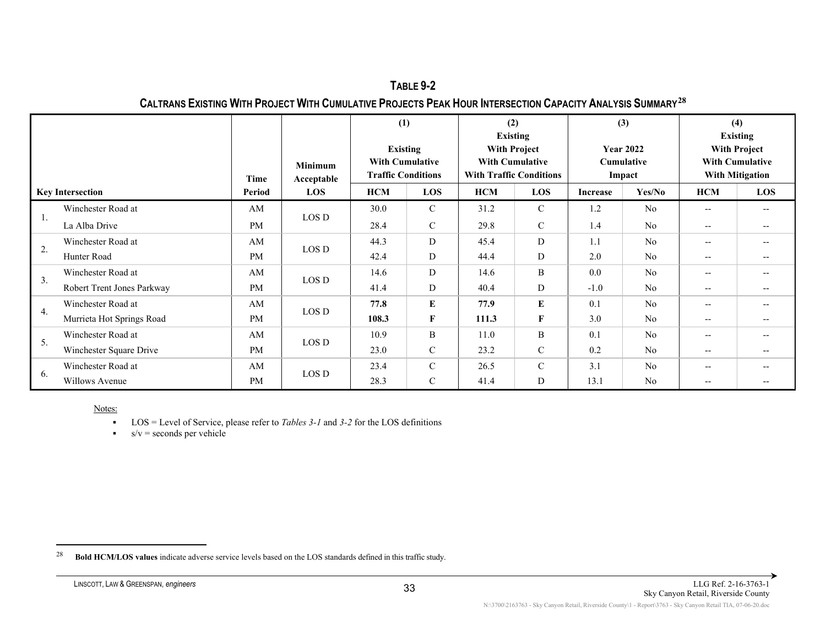<span id="page-43-0"></span>**TABLE 9-2 CALTRANS EXISTING WITH PROJECT WITH CUMULATIVE PROJECTS PEAK HOUR INTERSECTION CAPACITY ANALYSIS SUMMARY[28](#page-43-0)**

|                         |                            | Time      | <b>Minimum</b><br>Acceptable | (1)<br><b>Existing</b><br><b>With Cumulative</b><br><b>Traffic Conditions</b> |               | (2)<br><b>Existing</b><br><b>With Project</b><br><b>With Cumulative</b><br><b>With Traffic Conditions</b> |               | (3)             | <b>Year 2022</b><br>Cumulative<br>Impact | (4)<br><b>Existing</b><br><b>With Project</b><br><b>With Cumulative</b><br><b>With Mitigation</b> |                          |
|-------------------------|----------------------------|-----------|------------------------------|-------------------------------------------------------------------------------|---------------|-----------------------------------------------------------------------------------------------------------|---------------|-----------------|------------------------------------------|---------------------------------------------------------------------------------------------------|--------------------------|
| <b>Key Intersection</b> |                            | Period    | <b>LOS</b>                   | <b>HCM</b>                                                                    | <b>LOS</b>    | <b>HCM</b>                                                                                                | LOS           | <b>Increase</b> | Yes/No                                   | <b>HCM</b>                                                                                        | LOS                      |
|                         | Winchester Road at         | AM        |                              | 30.0                                                                          | $\mathcal{C}$ | 31.2                                                                                                      | $\mathcal{C}$ | 1.2             | N <sub>0</sub>                           | $- -$                                                                                             | $\qquad \qquad -$        |
| 1.                      | La Alba Drive              | <b>PM</b> | LOS D                        | 28.4                                                                          | $\mathcal{C}$ | 29.8                                                                                                      | $\mathbf C$   | 1.4             | N <sub>0</sub>                           | $- -$                                                                                             | $\hspace{0.05cm} \ldots$ |
|                         | Winchester Road at         | AM        | LOS D                        | 44.3                                                                          | D             | 45.4                                                                                                      | D             | 1.1             | No                                       | $- -$                                                                                             | $\hspace{0.05cm} \ldots$ |
| 2.                      | Hunter Road                | <b>PM</b> |                              | 42.4                                                                          | D             | 44.4                                                                                                      | D             | 2.0             | N <sub>0</sub>                           | $- -$                                                                                             | $\hspace{0.05cm} \ldots$ |
| 3.                      | Winchester Road at         | AM        |                              | 14.6                                                                          | D             | 14.6                                                                                                      | B             | 0.0             | N <sub>0</sub>                           | --                                                                                                | $\hspace{0.05cm} \ldots$ |
|                         | Robert Trent Jones Parkway | <b>PM</b> | LOS D                        | 41.4                                                                          | D             | 40.4                                                                                                      | D             | $-1.0$          | N <sub>o</sub>                           | --                                                                                                | $-\!$ $\!-$              |
| 4.                      | Winchester Road at         | AM        | LOS D                        | 77.8                                                                          | E             | 77.9                                                                                                      | E             | 0.1             | N <sub>0</sub>                           | $- -$                                                                                             | $\hspace{0.05cm} \ldots$ |
|                         | Murrieta Hot Springs Road  | <b>PM</b> |                              | 108.3                                                                         | F             | 111.3                                                                                                     | F             | 3.0             | N <sub>o</sub>                           | $- -$                                                                                             | $- -$                    |
| 5.                      | Winchester Road at         | AM        | LOS D                        | 10.9                                                                          | B             | 11.0                                                                                                      | B             | 0.1             | N <sub>o</sub>                           | $- -$                                                                                             | $- -$                    |
|                         | Winchester Square Drive    | <b>PM</b> |                              | 23.0                                                                          | $\mathcal{C}$ | 23.2                                                                                                      | $\mathcal{C}$ | 0.2             | N <sub>o</sub>                           | $- -$                                                                                             | $- -$                    |
|                         | Winchester Road at         | AM        | LOS D                        | 23.4                                                                          | $\mathcal{C}$ | 26.5                                                                                                      | $\mathcal{C}$ | 3.1             | N <sub>0</sub>                           | $- -$                                                                                             | $\qquad \qquad -$        |
| 6.                      | Willows Avenue             | <b>PM</b> |                              | 28.3                                                                          | $\mathcal{C}$ | 41.4                                                                                                      | D             | 13.1            | N <sub>o</sub>                           | $- -$                                                                                             | $\hspace{0.05cm} \ldots$ |

LOS = Level of Service, please refer to *Tables 3-1* and *3-2* for the LOS definitions

 $s/v =$  seconds per vehicle

<sup>28</sup> **Bold HCM/LOS values** indicate adverse service levels based on the LOS standards defined in this traffic study.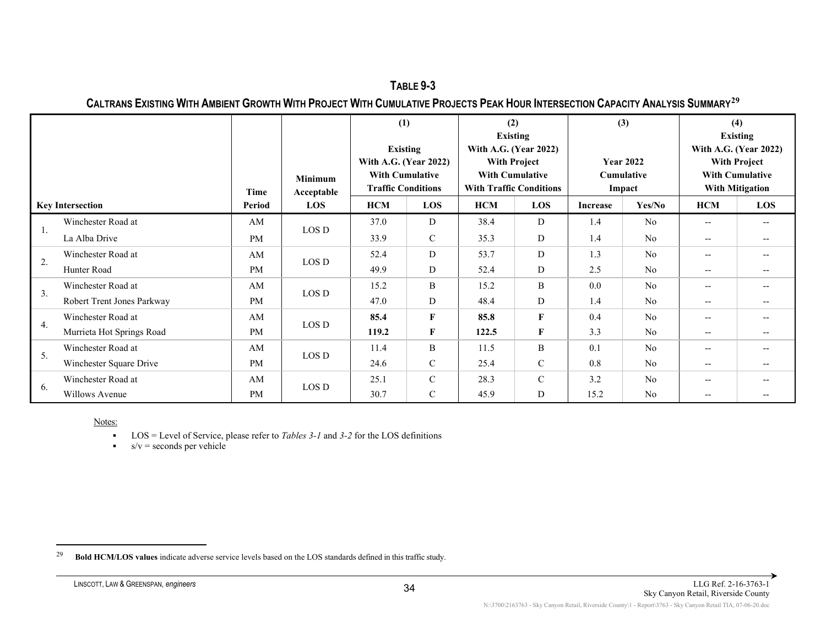<span id="page-44-0"></span>**TABLE 9-3 CALTRANS EXISTING WITH AMBIENT GROWTH WITH PROJECT WITH CUMULATIVE PROJECTS PEAK HOUR INTERSECTION CAPACITY ANALYSIS SUMMARY[29](#page-44-0)**

|                         |                            | Time      | <b>Minimum</b><br>Acceptable | (1)<br><b>Existing</b><br>With A.G. (Year 2022)<br><b>With Cumulative</b><br><b>Traffic Conditions</b> |               | (2)<br><b>Existing</b><br>With A.G. (Year 2022)<br><b>With Project</b><br><b>With Cumulative</b><br><b>With Traffic Conditions</b> |               | (3)             | <b>Year 2022</b><br><b>Cumulative</b><br>Impact | (4)                                                 | <b>Existing</b><br>With A.G. (Year 2022)<br><b>With Project</b><br><b>With Cumulative</b><br><b>With Mitigation</b> |
|-------------------------|----------------------------|-----------|------------------------------|--------------------------------------------------------------------------------------------------------|---------------|------------------------------------------------------------------------------------------------------------------------------------|---------------|-----------------|-------------------------------------------------|-----------------------------------------------------|---------------------------------------------------------------------------------------------------------------------|
| <b>Key Intersection</b> |                            | Period    | LOS                          | <b>HCM</b>                                                                                             | <b>LOS</b>    | <b>HCM</b>                                                                                                                         | <b>LOS</b>    | <b>Increase</b> | Yes/No                                          | <b>HCM</b>                                          | <b>LOS</b>                                                                                                          |
|                         | Winchester Road at         | AM        | LOS D                        | 37.0                                                                                                   | D             | 38.4                                                                                                                               | D             | 1.4             | N <sub>0</sub>                                  | $- -$                                               | $- -$                                                                                                               |
| 1.                      | La Alba Drive              | <b>PM</b> |                              | 33.9                                                                                                   | $\mathcal{C}$ | 35.3                                                                                                                               | D             | 1.4             | N <sub>o</sub>                                  | $- -$                                               |                                                                                                                     |
|                         | Winchester Road at         | AM        |                              | 52.4                                                                                                   | D             | 53.7                                                                                                                               | D             | 1.3             | N <sub>o</sub>                                  | $\hspace{0.05cm} \ldots$                            | $- -$                                                                                                               |
| 2.                      | Hunter Road                | <b>PM</b> | LOS D                        | 49.9                                                                                                   | D             | 52.4                                                                                                                               | D             | 2.5             | N <sub>0</sub>                                  | $- -$                                               |                                                                                                                     |
| 3.                      | Winchester Road at         | AM        | LOS D                        | 15.2                                                                                                   | B             | 15.2                                                                                                                               | B             | 0.0             | N <sub>0</sub>                                  | $\hspace{0.05cm} \ldots$                            | $- -$                                                                                                               |
|                         | Robert Trent Jones Parkway | <b>PM</b> |                              | 47.0                                                                                                   | D             | 48.4                                                                                                                               | D             | 1.4             | N <sub>0</sub>                                  | $\hspace{0.05cm} -\hspace{0.05cm} -\hspace{0.05cm}$ |                                                                                                                     |
| 4.                      | Winchester Road at         | AM        | LOS D                        | 85.4                                                                                                   | $\mathbf{F}$  | 85.8                                                                                                                               | F             | 0.4             | N <sub>0</sub>                                  | $- -$                                               | $- -$                                                                                                               |
|                         | Murrieta Hot Springs Road  | <b>PM</b> |                              | 119.2                                                                                                  | $\mathbf{F}$  | 122.5                                                                                                                              | F             | 3.3             | N <sub>0</sub>                                  | $- -$                                               | $- -$                                                                                                               |
| 5.                      | Winchester Road at         | AM        | LOS D                        | 11.4                                                                                                   | B             | 11.5                                                                                                                               | B             | 0.1             | No                                              | $- -$                                               | $- -$                                                                                                               |
|                         | Winchester Square Drive    | <b>PM</b> |                              | 24.6                                                                                                   | $\mathcal{C}$ | 25.4                                                                                                                               | $\mathbf C$   | 0.8             | N <sub>o</sub>                                  | $- -$                                               |                                                                                                                     |
|                         | Winchester Road at         | AM        | LOS D                        | 25.1                                                                                                   | $\mathcal{C}$ | 28.3                                                                                                                               | $\mathcal{C}$ | 3.2             | N <sub>o</sub>                                  | $-$                                                 |                                                                                                                     |
| 6.                      | Willows Avenue             | <b>PM</b> |                              | 30.7                                                                                                   | $\mathcal{C}$ | 45.9                                                                                                                               | D             | 15.2            | N <sub>o</sub>                                  | $- -$                                               |                                                                                                                     |

LOS = Level of Service, please refer to *Tables 3-1* and *3-2* for the LOS definitions

 $s/v =$  seconds per vehicle

<sup>29</sup> **Bold HCM/LOS values** indicate adverse service levels based on the LOS standards defined in this traffic study.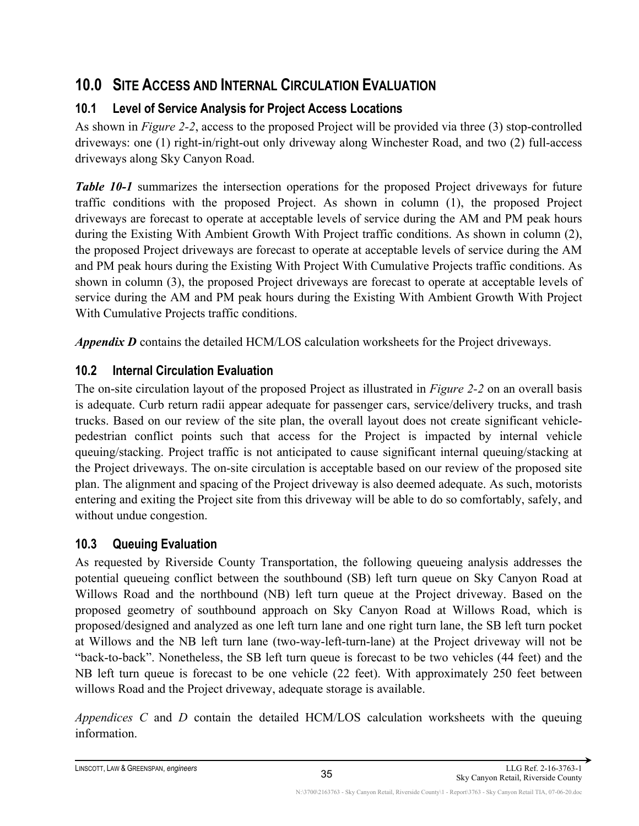# <span id="page-45-0"></span>**10.0 SITE ACCESS AND INTERNAL CIRCULATION EVALUATION**

## <span id="page-45-1"></span>**10.1 Level of Service Analysis for Project Access Locations**

As shown in *Figure 2-2*, access to the proposed Project will be provided via three (3) stop-controlled driveways: one (1) right-in/right-out only driveway along Winchester Road, and two (2) full-access driveways along Sky Canyon Road.

*Table 10-1* summarizes the intersection operations for the proposed Project driveways for future traffic conditions with the proposed Project. As shown in column (1), the proposed Project driveways are forecast to operate at acceptable levels of service during the AM and PM peak hours during the Existing With Ambient Growth With Project traffic conditions. As shown in column (2), the proposed Project driveways are forecast to operate at acceptable levels of service during the AM and PM peak hours during the Existing With Project With Cumulative Projects traffic conditions. As shown in column (3), the proposed Project driveways are forecast to operate at acceptable levels of service during the AM and PM peak hours during the Existing With Ambient Growth With Project With Cumulative Projects traffic conditions.

*Appendix D* contains the detailed HCM/LOS calculation worksheets for the Project driveways.

## <span id="page-45-2"></span>**10.2 Internal Circulation Evaluation**

The on-site circulation layout of the proposed Project as illustrated in *Figure 2-2* on an overall basis is adequate. Curb return radii appear adequate for passenger cars, service/delivery trucks, and trash trucks. Based on our review of the site plan, the overall layout does not create significant vehiclepedestrian conflict points such that access for the Project is impacted by internal vehicle queuing/stacking. Project traffic is not anticipated to cause significant internal queuing/stacking at the Project driveways. The on-site circulation is acceptable based on our review of the proposed site plan. The alignment and spacing of the Project driveway is also deemed adequate. As such, motorists entering and exiting the Project site from this driveway will be able to do so comfortably, safely, and without undue congestion.

## <span id="page-45-3"></span>**10.3 Queuing Evaluation**

As requested by Riverside County Transportation, the following queueing analysis addresses the potential queueing conflict between the southbound (SB) left turn queue on Sky Canyon Road at Willows Road and the northbound (NB) left turn queue at the Project driveway. Based on the proposed geometry of southbound approach on Sky Canyon Road at Willows Road, which is proposed/designed and analyzed as one left turn lane and one right turn lane, the SB left turn pocket at Willows and the NB left turn lane (two-way-left-turn-lane) at the Project driveway will not be "back-to-back". Nonetheless, the SB left turn queue is forecast to be two vehicles (44 feet) and the NB left turn queue is forecast to be one vehicle (22 feet). With approximately 250 feet between willows Road and the Project driveway, adequate storage is available.

*Appendices C* and *D* contain the detailed HCM/LOS calculation worksheets with the queuing information.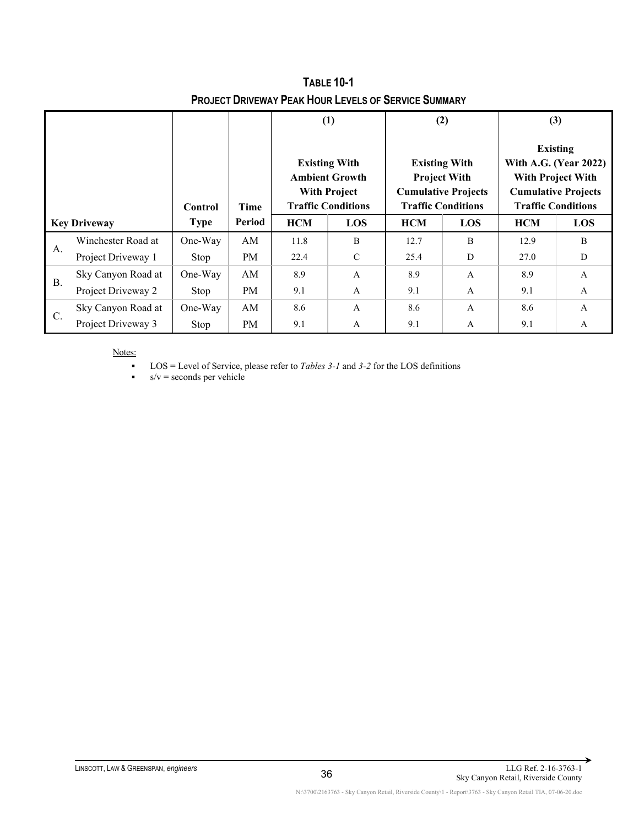|           |                     | Control     | Time      |            | (1)<br><b>Existing With</b><br><b>Ambient Growth</b><br><b>With Project</b><br><b>Traffic Conditions</b> | <b>Existing With</b><br><b>Project With</b> | (2)<br><b>Cumulative Projects</b><br><b>Traffic Conditions</b> | (3)<br><b>Existing</b><br>With A.G. (Year 2022)<br><b>With Project With</b><br><b>Cumulative Projects</b><br><b>Traffic Conditions</b> |              |  |
|-----------|---------------------|-------------|-----------|------------|----------------------------------------------------------------------------------------------------------|---------------------------------------------|----------------------------------------------------------------|----------------------------------------------------------------------------------------------------------------------------------------|--------------|--|
|           | <b>Key Driveway</b> | <b>Type</b> | Period    | <b>HCM</b> | LOS                                                                                                      | <b>HCM</b>                                  | LOS                                                            | <b>HCM</b>                                                                                                                             | LOS          |  |
|           | Winchester Road at  | One-Way     | AM        | 11.8       | B                                                                                                        | 12.7                                        | B                                                              | 12.9                                                                                                                                   | B            |  |
| А.        | Project Driveway 1  | Stop        | PM        | 22.4       | $\mathcal{C}$                                                                                            | 25.4                                        | D                                                              | 27.0                                                                                                                                   | D            |  |
|           | Sky Canyon Road at  | One-Way     | AM        | 8.9        | $\mathbf{A}$                                                                                             | 8.9                                         | $\mathbf{A}$                                                   | 8.9                                                                                                                                    | $\mathbf{A}$ |  |
| <b>B.</b> | Project Driveway 2  | Stop        | <b>PM</b> | 9.1        | $\mathbf{A}$                                                                                             | 9.1                                         | $\mathbf{A}$                                                   | 9.1                                                                                                                                    | $\mathbf{A}$ |  |
|           | Sky Canyon Road at  | One-Way     | AM        | 8.6        | $\mathsf{A}$                                                                                             | 8.6                                         | $\mathsf{A}$                                                   | 8.6                                                                                                                                    | $\mathsf{A}$ |  |
| C.        | Project Driveway 3  | Stop        | PM        | 9.1        | $\mathsf{A}$                                                                                             | 9.1                                         | A                                                              | 9.1                                                                                                                                    | $\mathsf{A}$ |  |

**TABLE 10-1 PROJECT DRIVEWAY PEAK HOUR LEVELS OF SERVICE SUMMARY**

LOS = Level of Service, please refer to *Tables 3-1* and *3-2* for the LOS definitions

 $s/v =$  seconds per vehicle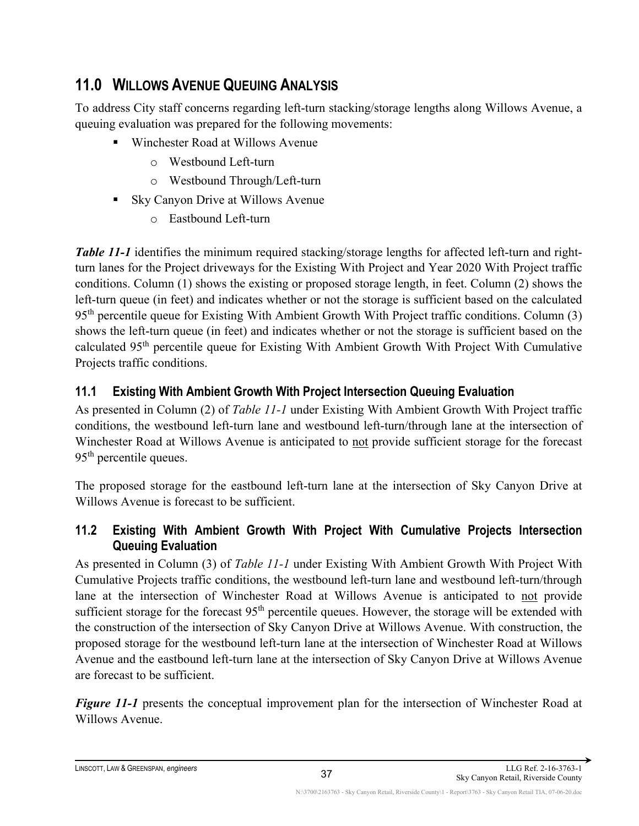# <span id="page-47-0"></span>**11.0 WILLOWS AVENUE QUEUING ANALYSIS**

To address City staff concerns regarding left-turn stacking/storage lengths along Willows Avenue, a queuing evaluation was prepared for the following movements:

- Winchester Road at Willows Avenue
	- o Westbound Left-turn
	- o Westbound Through/Left-turn
- Sky Canyon Drive at Willows Avenue
	- o Eastbound Left-turn

*Table 11-1* identifies the minimum required stacking/storage lengths for affected left-turn and rightturn lanes for the Project driveways for the Existing With Project and Year 2020 With Project traffic conditions. Column (1) shows the existing or proposed storage length, in feet. Column (2) shows the left-turn queue (in feet) and indicates whether or not the storage is sufficient based on the calculated  $95<sup>th</sup>$  percentile queue for Existing With Ambient Growth With Project traffic conditions. Column (3) shows the left-turn queue (in feet) and indicates whether or not the storage is sufficient based on the calculated 95<sup>th</sup> percentile queue for Existing With Ambient Growth With Project With Cumulative Projects traffic conditions.

### <span id="page-47-1"></span>**11.1 Existing With Ambient Growth With Project Intersection Queuing Evaluation**

As presented in Column (2) of *Table 11-1* under Existing With Ambient Growth With Project traffic conditions, the westbound left-turn lane and westbound left-turn/through lane at the intersection of Winchester Road at Willows Avenue is anticipated to not provide sufficient storage for the forecast  $95<sup>th</sup>$  percentile queues.

The proposed storage for the eastbound left-turn lane at the intersection of Sky Canyon Drive at Willows Avenue is forecast to be sufficient.

### <span id="page-47-2"></span>**11.2 Existing With Ambient Growth With Project With Cumulative Projects Intersection Queuing Evaluation**

As presented in Column (3) of *Table 11-1* under Existing With Ambient Growth With Project With Cumulative Projects traffic conditions, the westbound left-turn lane and westbound left-turn/through lane at the intersection of Winchester Road at Willows Avenue is anticipated to not provide sufficient storage for the forecast 95<sup>th</sup> percentile queues. However, the storage will be extended with the construction of the intersection of Sky Canyon Drive at Willows Avenue. With construction, the proposed storage for the westbound left-turn lane at the intersection of Winchester Road at Willows Avenue and the eastbound left-turn lane at the intersection of Sky Canyon Drive at Willows Avenue are forecast to be sufficient.

*Figure 11-1* presents the conceptual improvement plan for the intersection of Winchester Road at Willows Avenue.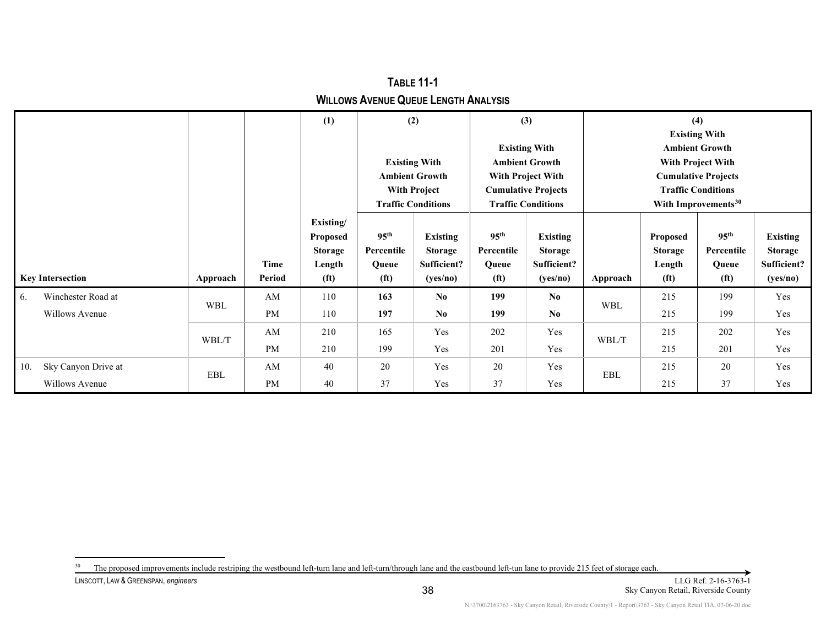|                            |                      |           | (1)               |                                                                      | (2)                       |                                                                                 | (3)                       |                                                                              | (4)                             |                       |                 |  |
|----------------------------|----------------------|-----------|-------------------|----------------------------------------------------------------------|---------------------------|---------------------------------------------------------------------------------|---------------------------|------------------------------------------------------------------------------|---------------------------------|-----------------------|-----------------|--|
|                            |                      |           |                   |                                                                      |                           |                                                                                 |                           |                                                                              | <b>Existing With</b>            |                       |                 |  |
|                            |                      |           |                   |                                                                      |                           |                                                                                 | <b>Existing With</b>      |                                                                              |                                 | <b>Ambient Growth</b> |                 |  |
|                            |                      |           |                   | <b>Existing With</b><br><b>Ambient Growth</b><br><b>With Project</b> |                           | <b>Ambient Growth</b><br><b>With Project With</b><br><b>Cumulative Projects</b> |                           | With Project With<br><b>Cumulative Projects</b><br><b>Traffic Conditions</b> |                                 |                       |                 |  |
|                            |                      |           |                   |                                                                      |                           |                                                                                 |                           |                                                                              |                                 |                       |                 |  |
|                            |                      |           |                   |                                                                      |                           |                                                                                 |                           |                                                                              |                                 |                       |                 |  |
|                            |                      |           |                   |                                                                      | <b>Traffic Conditions</b> |                                                                                 | <b>Traffic Conditions</b> |                                                                              | With Improvements <sup>30</sup> |                       |                 |  |
|                            |                      |           | Existing/         |                                                                      |                           |                                                                                 |                           |                                                                              |                                 |                       |                 |  |
|                            |                      |           | <b>Proposed</b>   | 95 <sup>th</sup>                                                     | <b>Existing</b>           | 95 <sup>th</sup>                                                                | <b>Existing</b>           |                                                                              | Proposed                        | 95 <sup>th</sup>      | <b>Existing</b> |  |
|                            |                      |           | <b>Storage</b>    | Percentile                                                           | <b>Storage</b>            | Percentile                                                                      | <b>Storage</b>            |                                                                              | <b>Storage</b>                  | Percentile            | <b>Storage</b>  |  |
|                            |                      | Time      | Length            | Queue                                                                | Sufficient?               | Queue                                                                           | Sufficient?               |                                                                              | Length                          | Queue                 | Sufficient?     |  |
| <b>Key Intersection</b>    | Approach             | Period    | (f <sup>t</sup> ) | (f <sup>t</sup> )                                                    | (yes/no)                  | (f <sup>t</sup> )                                                               | (yes/no)                  | Approach                                                                     | (f <sup>t</sup> )               | (f <sub>t</sub> )     | (yes/no)        |  |
| Winchester Road at<br>6.   | <b>WBL</b>           | AM        | 110               | 163                                                                  | N <sub>0</sub>            | 199                                                                             | No                        | <b>WBL</b>                                                                   | 215                             | 199                   | Yes             |  |
| Willows Avenue             |                      | <b>PM</b> | 110               | 197                                                                  | No.                       | 199                                                                             | N <sub>0</sub>            |                                                                              | 215                             | 199                   | Yes             |  |
|                            | WBL/T                | AM        | 210               | 165                                                                  | Yes                       | 202                                                                             | Yes                       |                                                                              | 215                             | 202                   | Yes             |  |
|                            |                      | <b>PM</b> | 210               | 199                                                                  | Yes                       | 201                                                                             | Yes                       | WBL/T                                                                        | 215                             | 201                   | Yes             |  |
| Sky Canyon Drive at<br>10. | $\operatorname{EBL}$ | AM        | 40                | 20                                                                   | Yes                       | 20                                                                              | Yes                       | EBL                                                                          | 215                             | 20                    | Yes             |  |
| Willows Avenue             |                      | <b>PM</b> | 40                | 37                                                                   | Yes                       | 37                                                                              | Yes                       |                                                                              | 215                             | 37                    | Yes             |  |

<span id="page-48-0"></span>**TABLE 11-1 WILLOWS AVENUE QUEUE LENGTH ANALYSIS**

LINSCOTT, LAW & GREENSPAN, *engineers* LLG Ref. 2-16-3763-1 <sup>30</sup> The proposed improvements include restriping the westbound left-turn lane and left-turn/through lane and the eastbound left-tun lane to provide 215 feet of storage each.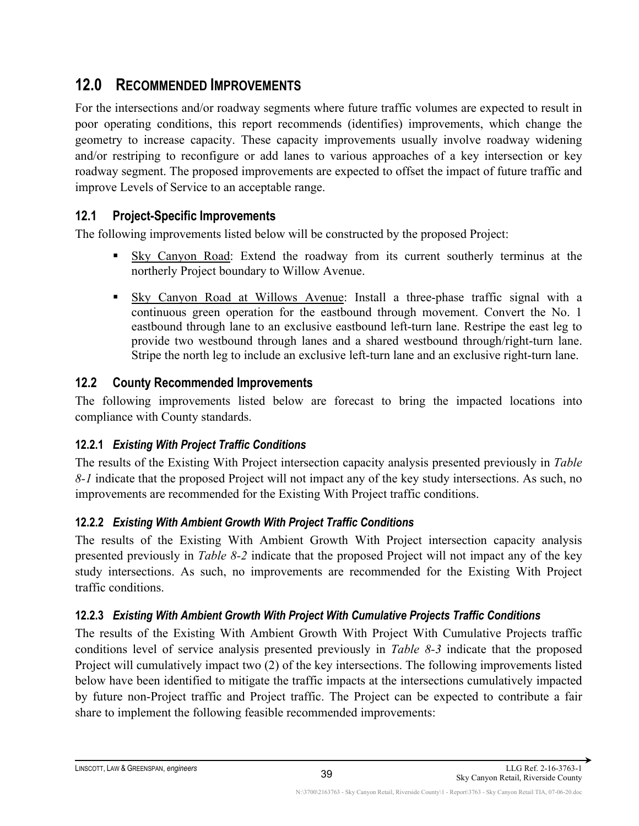# <span id="page-49-0"></span>**12.0 RECOMMENDED IMPROVEMENTS**

For the intersections and/or roadway segments where future traffic volumes are expected to result in poor operating conditions, this report recommends (identifies) improvements, which change the geometry to increase capacity. These capacity improvements usually involve roadway widening and/or restriping to reconfigure or add lanes to various approaches of a key intersection or key roadway segment. The proposed improvements are expected to offset the impact of future traffic and improve Levels of Service to an acceptable range.

### <span id="page-49-1"></span>**12.1 Project-Specific Improvements**

The following improvements listed below will be constructed by the proposed Project:

- Sky Canyon Road: Extend the roadway from its current southerly terminus at the northerly Project boundary to Willow Avenue.
- **Sky Canyon Road at Willows Avenue: Install a three-phase traffic signal with a** continuous green operation for the eastbound through movement. Convert the No. 1 eastbound through lane to an exclusive eastbound left-turn lane. Restripe the east leg to provide two westbound through lanes and a shared westbound through/right-turn lane. Stripe the north leg to include an exclusive left-turn lane and an exclusive right-turn lane.

### <span id="page-49-2"></span>**12.2 County Recommended Improvements**

The following improvements listed below are forecast to bring the impacted locations into compliance with County standards.

### <span id="page-49-3"></span>**12.2.1** *Existing With Project Traffic Conditions*

The results of the Existing With Project intersection capacity analysis presented previously in *Table 8-1* indicate that the proposed Project will not impact any of the key study intersections. As such, no improvements are recommended for the Existing With Project traffic conditions.

### <span id="page-49-4"></span>**12.2.2** *Existing With Ambient Growth With Project Traffic Conditions*

The results of the Existing With Ambient Growth With Project intersection capacity analysis presented previously in *Table 8-2* indicate that the proposed Project will not impact any of the key study intersections. As such, no improvements are recommended for the Existing With Project traffic conditions.

#### <span id="page-49-5"></span>**12.2.3** *Existing With Ambient Growth With Project With Cumulative Projects Traffic Conditions*

The results of the Existing With Ambient Growth With Project With Cumulative Projects traffic conditions level of service analysis presented previously in *Table 8-3* indicate that the proposed Project will cumulatively impact two (2) of the key intersections. The following improvements listed below have been identified to mitigate the traffic impacts at the intersections cumulatively impacted by future non-Project traffic and Project traffic. The Project can be expected to contribute a fair share to implement the following feasible recommended improvements: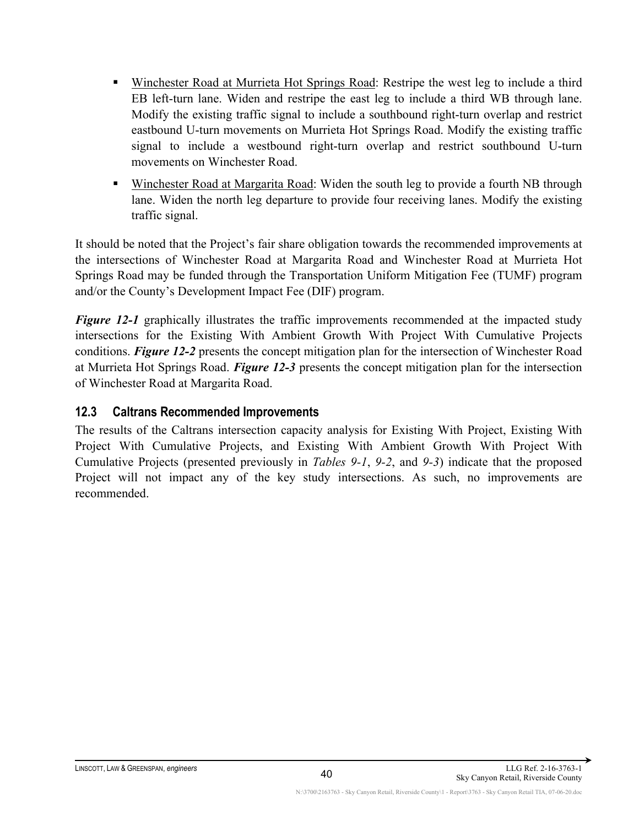- Winchester Road at Murrieta Hot Springs Road: Restripe the west leg to include a third EB left-turn lane. Widen and restripe the east leg to include a third WB through lane. Modify the existing traffic signal to include a southbound right-turn overlap and restrict eastbound U-turn movements on Murrieta Hot Springs Road. Modify the existing traffic signal to include a westbound right-turn overlap and restrict southbound U-turn movements on Winchester Road.
- Winchester Road at Margarita Road: Widen the south leg to provide a fourth NB through lane. Widen the north leg departure to provide four receiving lanes. Modify the existing traffic signal.

It should be noted that the Project's fair share obligation towards the recommended improvements at the intersections of Winchester Road at Margarita Road and Winchester Road at Murrieta Hot Springs Road may be funded through the Transportation Uniform Mitigation Fee (TUMF) program and/or the County's Development Impact Fee (DIF) program.

*Figure 12-1* graphically illustrates the traffic improvements recommended at the impacted study intersections for the Existing With Ambient Growth With Project With Cumulative Projects conditions. *Figure 12-2* presents the concept mitigation plan for the intersection of Winchester Road at Murrieta Hot Springs Road. *Figure 12-3* presents the concept mitigation plan for the intersection of Winchester Road at Margarita Road.

#### <span id="page-50-0"></span>**12.3 Caltrans Recommended Improvements**

The results of the Caltrans intersection capacity analysis for Existing With Project, Existing With Project With Cumulative Projects, and Existing With Ambient Growth With Project With Cumulative Projects (presented previously in *Tables 9-1*, *9-2*, and *9-3*) indicate that the proposed Project will not impact any of the key study intersections. As such, no improvements are recommended.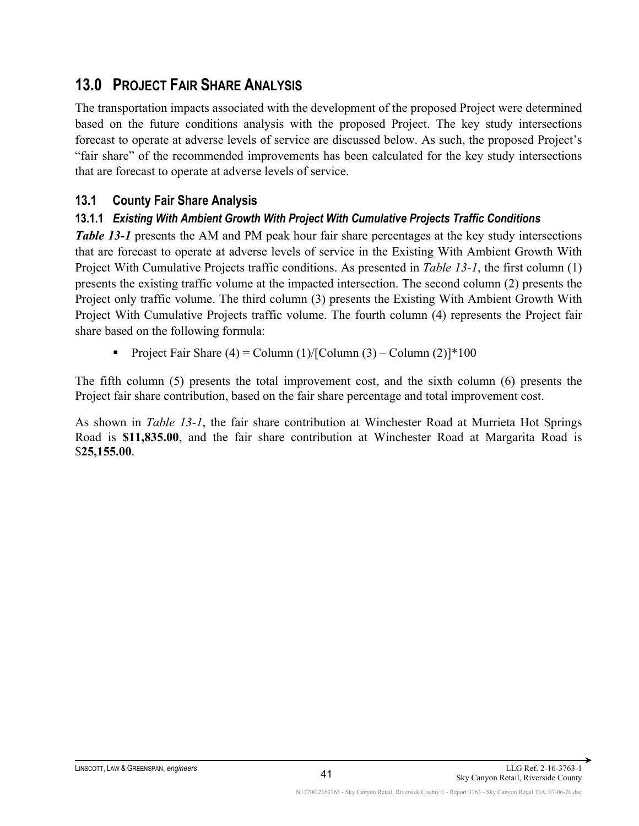## <span id="page-51-0"></span>**13.0 PROJECT FAIR SHARE ANALYSIS**

The transportation impacts associated with the development of the proposed Project were determined based on the future conditions analysis with the proposed Project. The key study intersections forecast to operate at adverse levels of service are discussed below. As such, the proposed Project's "fair share" of the recommended improvements has been calculated for the key study intersections that are forecast to operate at adverse levels of service.

### <span id="page-51-1"></span>**13.1 County Fair Share Analysis**

#### <span id="page-51-2"></span>**13.1.1** *Existing With Ambient Growth With Project With Cumulative Projects Traffic Conditions*

*Table 13-1* presents the AM and PM peak hour fair share percentages at the key study intersections that are forecast to operate at adverse levels of service in the Existing With Ambient Growth With Project With Cumulative Projects traffic conditions. As presented in *Table 13-1*, the first column (1) presents the existing traffic volume at the impacted intersection. The second column (2) presents the Project only traffic volume. The third column (3) presents the Existing With Ambient Growth With Project With Cumulative Projects traffic volume. The fourth column (4) represents the Project fair share based on the following formula:

Project Fair Share  $(4)$  = Column  $(1)/$ [Column  $(3)$  – Column  $(2)$ ]\*100

The fifth column (5) presents the total improvement cost, and the sixth column (6) presents the Project fair share contribution, based on the fair share percentage and total improvement cost.

As shown in *Table 13-1*, the fair share contribution at Winchester Road at Murrieta Hot Springs Road is **\$11,835.00**, and the fair share contribution at Winchester Road at Margarita Road is \$**25,155.00**.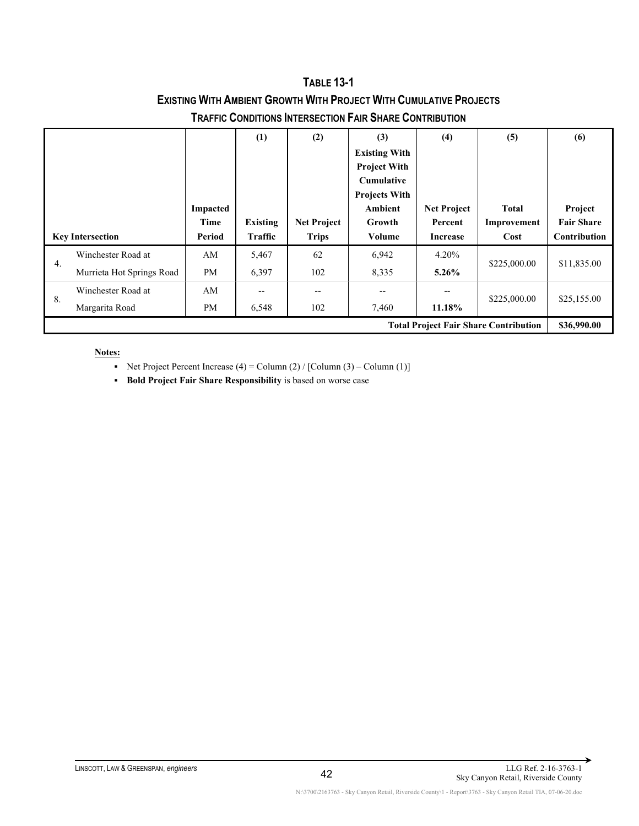**TABLE 13-1 EXISTING WITH AMBIENT GROWTH WITH PROJECT WITH CUMULATIVE PROJECTS TRAFFIC CONDITIONS INTERSECTION FAIR SHARE CONTRIBUTION**

|                         |                           |           | (1)            | (2)                | (3)                  | (4)                | (5)          | (6)               |
|-------------------------|---------------------------|-----------|----------------|--------------------|----------------------|--------------------|--------------|-------------------|
|                         |                           |           |                |                    | <b>Existing With</b> |                    |              |                   |
|                         |                           |           |                |                    | <b>Project With</b>  |                    |              |                   |
|                         |                           |           |                |                    | <b>Cumulative</b>    |                    |              |                   |
|                         |                           |           |                |                    | <b>Projects With</b> |                    |              |                   |
|                         |                           | Impacted  |                |                    | Ambient              | <b>Net Project</b> | <b>Total</b> | Project           |
|                         |                           | Time      | Existing       | <b>Net Project</b> | Growth               | Percent            | Improvement  | <b>Fair Share</b> |
| <b>Key Intersection</b> |                           | Period    | <b>Traffic</b> | <b>Trips</b>       | Volume               | <b>Increase</b>    | Cost         | Contribution      |
|                         |                           |           |                |                    |                      |                    |              |                   |
|                         | Winchester Road at        | AM        | 5,467          | 62                 | 6,942                | 4.20%              |              |                   |
| 4.                      | Murrieta Hot Springs Road | <b>PM</b> | 6,397          | 102                | 8,335                | $5.26\%$           | \$225,000.00 | \$11,835.00       |
|                         | Winchester Road at        | AM        | --             |                    | --                   | --                 |              |                   |
| 8.                      | Margarita Road            | PM        | 6,548          | 102                | 7,460                | 11.18%             | \$225,000.00 | \$25,155.00       |

Net Project Percent Increase  $(4)$  = Column  $(2)$  / [Column  $(3)$  – Column  $(1)$ ]

**Bold Project Fair Share Responsibility** is based on worse case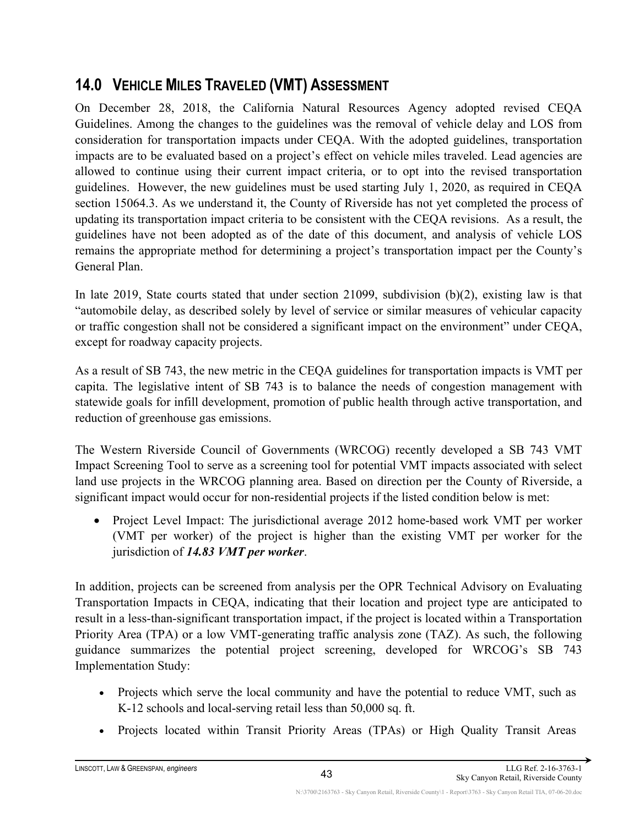# <span id="page-53-0"></span>**14.0 VEHICLE MILES TRAVELED (VMT) ASSESSMENT**

On December 28, 2018, the California Natural Resources Agency adopted revised CEQA Guidelines. Among the changes to the guidelines was the removal of vehicle delay and LOS from consideration for transportation impacts under CEQA. With the adopted guidelines, transportation impacts are to be evaluated based on a project's effect on vehicle miles traveled. Lead agencies are allowed to continue using their current impact criteria, or to opt into the revised transportation guidelines. However, the new guidelines must be used starting July 1, 2020, as required in CEQA section 15064.3. As we understand it, the County of Riverside has not yet completed the process of updating its transportation impact criteria to be consistent with the CEQA revisions. As a result, the guidelines have not been adopted as of the date of this document, and analysis of vehicle LOS remains the appropriate method for determining a project's transportation impact per the County's General Plan.

In late 2019, State courts stated that under section 21099, subdivision (b)(2), existing law is that "automobile delay, as described solely by level of service or similar measures of vehicular capacity or traffic congestion shall not be considered a significant impact on the environment" under CEQA, except for roadway capacity projects.

As a result of SB 743, the new metric in the CEQA guidelines for transportation impacts is VMT per capita. The legislative intent of SB 743 is to balance the needs of congestion management with statewide goals for infill development, promotion of public health through active transportation, and reduction of greenhouse gas emissions.

The Western Riverside Council of Governments (WRCOG) recently developed a SB 743 VMT Impact Screening Tool to serve as a screening tool for potential VMT impacts associated with select land use projects in the WRCOG planning area. Based on direction per the County of Riverside, a significant impact would occur for non-residential projects if the listed condition below is met:

• Project Level Impact: The jurisdictional average 2012 home-based work VMT per worker (VMT per worker) of the project is higher than the existing VMT per worker for the jurisdiction of *14.83 VMT per worker*.

In addition, projects can be screened from analysis per the OPR Technical Advisory on Evaluating Transportation Impacts in CEQA, indicating that their location and project type are anticipated to result in a less-than-significant transportation impact, if the project is located within a Transportation Priority Area (TPA) or a low VMT-generating traffic analysis zone (TAZ). As such, the following guidance summarizes the potential project screening, developed for WRCOG's SB 743 Implementation Study:

- Projects which serve the local community and have the potential to reduce VMT, such as K-12 schools and local-serving retail less than 50,000 sq. ft.
- Projects located within Transit Priority Areas (TPAs) or High Quality Transit Areas